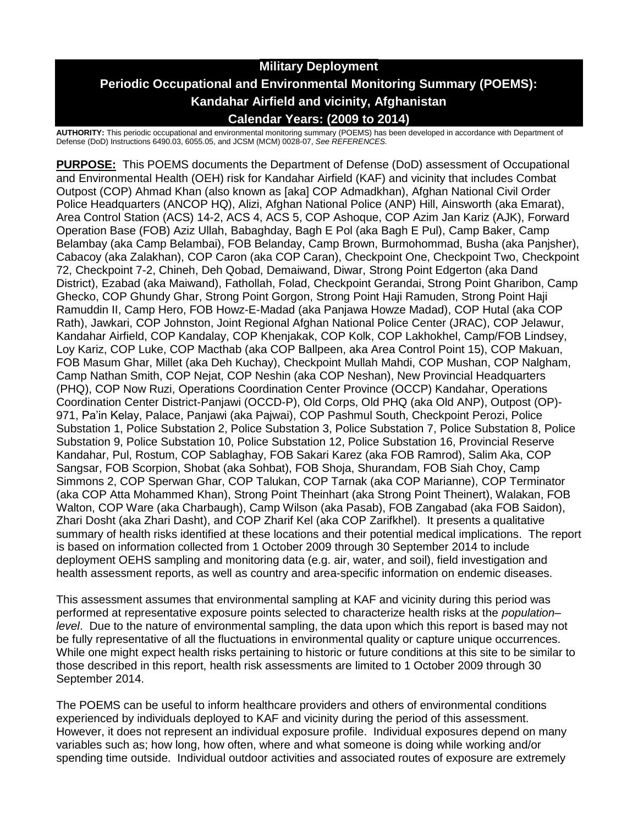# **Military Deployment Periodic Occupational and Environmental Monitoring Summary (POEMS): Kandahar Airfield and vicinity, Afghanistan Calendar Years: (2009 to 2014)**

**AUTHORITY:** This periodic occupational and environmental monitoring summary (POEMS) has been developed in accordance with Department of Defense (DoD) Instructions 6490.03, 6055.05, and JCSM (MCM) 0028-07, *See REFERENCES.*

**PURPOSE:** This POEMS documents the Department of Defense (DoD) assessment of Occupational and Environmental Health (OEH) risk for Kandahar Airfield (KAF) and vicinity that includes Combat Outpost (COP) Ahmad Khan (also known as [aka] COP Admadkhan), Afghan National Civil Order Police Headquarters (ANCOP HQ), Alizi, Afghan National Police (ANP) Hill, Ainsworth (aka Emarat), Area Control Station (ACS) 14-2, ACS 4, ACS 5, COP Ashoque, COP Azim Jan Kariz (AJK), Forward Operation Base (FOB) Aziz Ullah, Babaghday, Bagh E Pol (aka Bagh E Pul), Camp Baker, Camp Belambay (aka Camp Belambai), FOB Belanday, Camp Brown, Burmohommad, Busha (aka Panjsher), Cabacoy (aka Zalakhan), COP Caron (aka COP Caran), Checkpoint One, Checkpoint Two, Checkpoint 72, Checkpoint 7-2, Chineh, Deh Qobad, Demaiwand, Diwar, Strong Point Edgerton (aka Dand District), Ezabad (aka Maiwand), Fathollah, Folad, Checkpoint Gerandai, Strong Point Gharibon, Camp Ghecko, COP Ghundy Ghar, Strong Point Gorgon, Strong Point Haji Ramuden, Strong Point Haji Ramuddin II, Camp Hero, FOB Howz-E-Madad (aka Panjawa Howze Madad), COP Hutal (aka COP Rath), Jawkari, COP Johnston, Joint Regional Afghan National Police Center (JRAC), COP Jelawur, Kandahar Airfield, COP Kandalay, COP Khenjakak, COP Kolk, COP Lakhokhel, Camp/FOB Lindsey, Loy Kariz, COP Luke, COP Macthab (aka COP Ballpeen, aka Area Control Point 15), COP Makuan, FOB Masum Ghar, Millet (aka Deh Kuchay), Checkpoint Mullah Mahdi, COP Mushan, COP Nalgham, Camp Nathan Smith, COP Nejat, COP Neshin (aka COP Neshan), New Provincial Headquarters (PHQ), COP Now Ruzi, Operations Coordination Center Province (OCCP) Kandahar, Operations Coordination Center District-Panjawi (OCCD-P), Old Corps, Old PHQ (aka Old ANP), Outpost (OP)- 971, Pa'in Kelay, Palace, Panjawi (aka Pajwai), COP Pashmul South, Checkpoint Perozi, Police Substation 1, Police Substation 2, Police Substation 3, Police Substation 7, Police Substation 8, Police Substation 9, Police Substation 10, Police Substation 12, Police Substation 16, Provincial Reserve Kandahar, Pul, Rostum, COP Sablaghay, FOB Sakari Karez (aka FOB Ramrod), Salim Aka, COP Sangsar, FOB Scorpion, Shobat (aka Sohbat), FOB Shoja, Shurandam, FOB Siah Choy, Camp Simmons 2, COP Sperwan Ghar, COP Talukan, COP Tarnak (aka COP Marianne), COP Terminator (aka COP Atta Mohammed Khan), Strong Point Theinhart (aka Strong Point Theinert), Walakan, FOB Walton, COP Ware (aka Charbaugh), Camp Wilson (aka Pasab), FOB Zangabad (aka FOB Saidon), Zhari Dosht (aka Zhari Dasht), and COP Zharif Kel (aka COP Zarifkhel). It presents a qualitative summary of health risks identified at these locations and their potential medical implications. The report is based on information collected from 1 October 2009 through 30 September 2014 to include deployment OEHS sampling and monitoring data (e.g. air, water, and soil), field investigation and health assessment reports, as well as country and area-specific information on endemic diseases.

This assessment assumes that environmental sampling at KAF and vicinity during this period was performed at representative exposure points selected to characterize health risks at the *population– level*. Due to the nature of environmental sampling, the data upon which this report is based may not be fully representative of all the fluctuations in environmental quality or capture unique occurrences. While one might expect health risks pertaining to historic or future conditions at this site to be similar to those described in this report, health risk assessments are limited to 1 October 2009 through 30 September 2014.

The POEMS can be useful to inform healthcare providers and others of environmental conditions experienced by individuals deployed to KAF and vicinity during the period of this assessment. However, it does not represent an individual exposure profile. Individual exposures depend on many variables such as; how long, how often, where and what someone is doing while working and/or spending time outside. Individual outdoor activities and associated routes of exposure are extremely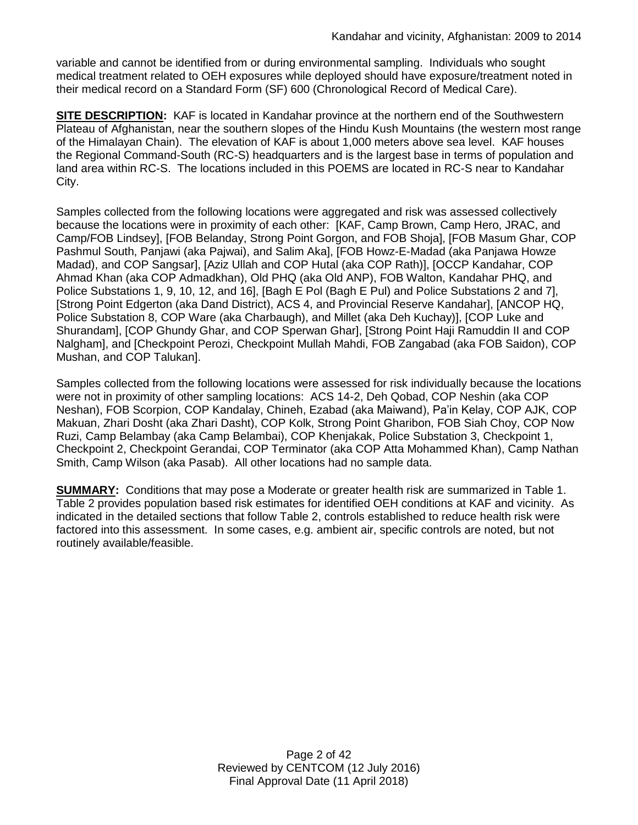variable and cannot be identified from or during environmental sampling. Individuals who sought medical treatment related to OEH exposures while deployed should have exposure/treatment noted in their medical record on a Standard Form (SF) 600 (Chronological Record of Medical Care).

**SITE DESCRIPTION:** KAF is located in Kandahar province at the northern end of the Southwestern Plateau of Afghanistan, near the southern slopes of the Hindu Kush Mountains (the western most range of the Himalayan Chain). The elevation of KAF is about 1,000 meters above sea level. KAF houses the Regional Command-South (RC-S) headquarters and is the largest base in terms of population and land area within RC-S. The locations included in this POEMS are located in RC-S near to Kandahar City.

Samples collected from the following locations were aggregated and risk was assessed collectively because the locations were in proximity of each other: [KAF, Camp Brown, Camp Hero, JRAC, and Camp/FOB Lindsey], [FOB Belanday, Strong Point Gorgon, and FOB Shoja], [FOB Masum Ghar, COP Pashmul South, Panjawi (aka Pajwai), and Salim Aka], [FOB Howz-E-Madad (aka Panjawa Howze Madad), and COP Sangsar], [Aziz Ullah and COP Hutal (aka COP Rath)], [OCCP Kandahar, COP Ahmad Khan (aka COP Admadkhan), Old PHQ (aka Old ANP), FOB Walton, Kandahar PHQ, and Police Substations 1, 9, 10, 12, and 16], [Bagh E Pol (Bagh E Pul) and Police Substations 2 and 7], [Strong Point Edgerton (aka Dand District), ACS 4, and Provincial Reserve Kandahar], [ANCOP HQ, Police Substation 8, COP Ware (aka Charbaugh), and Millet (aka Deh Kuchay)], [COP Luke and Shurandam], [COP Ghundy Ghar, and COP Sperwan Ghar], [Strong Point Haji Ramuddin II and COP Nalgham], and [Checkpoint Perozi, Checkpoint Mullah Mahdi, FOB Zangabad (aka FOB Saidon), COP Mushan, and COP Talukan].

Samples collected from the following locations were assessed for risk individually because the locations were not in proximity of other sampling locations: ACS 14-2, Deh Qobad, COP Neshin (aka COP Neshan), FOB Scorpion, COP Kandalay, Chineh, Ezabad (aka Maiwand), Pa'in Kelay, COP AJK, COP Makuan, Zhari Dosht (aka Zhari Dasht), COP Kolk, Strong Point Gharibon, FOB Siah Choy, COP Now Ruzi, Camp Belambay (aka Camp Belambai), COP Khenjakak, Police Substation 3, Checkpoint 1, Checkpoint 2, Checkpoint Gerandai, COP Terminator (aka COP Atta Mohammed Khan), Camp Nathan Smith, Camp Wilson (aka Pasab). All other locations had no sample data.

**SUMMARY:** Conditions that may pose a Moderate or greater health risk are summarized in Table 1. Table 2 provides population based risk estimates for identified OEH conditions at KAF and vicinity. As indicated in the detailed sections that follow Table 2, controls established to reduce health risk were factored into this assessment. In some cases, e.g. ambient air, specific controls are noted, but not routinely available/feasible.

> Page 2 of 42 Reviewed by CENTCOM (12 July 2016) Final Approval Date (11 April 2018)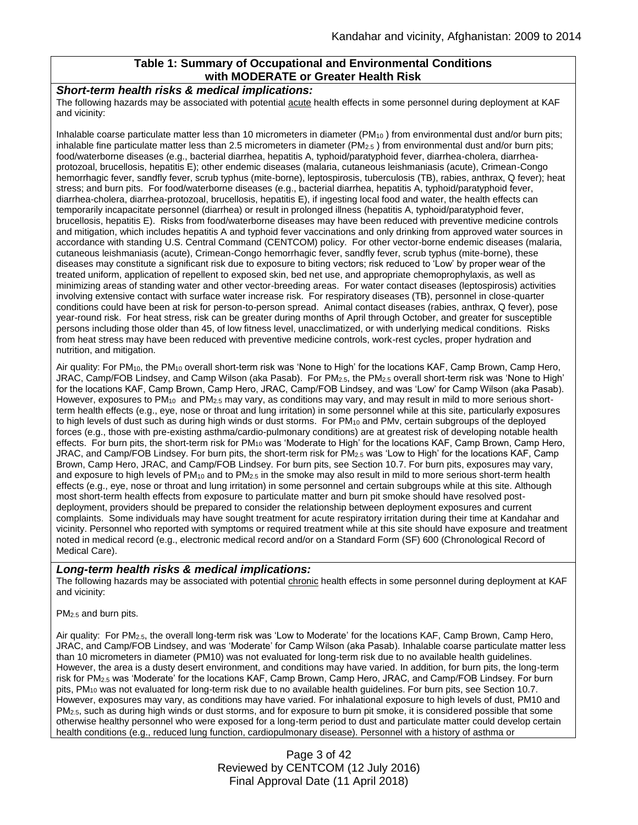## **Table 1: Summary of Occupational and Environmental Conditions with MODERATE or Greater Health Risk**

#### *Short-term health risks & medical implications:*

The following hazards may be associated with potential acute health effects in some personnel during deployment at KAF and vicinity:

Inhalable coarse particulate matter less than 10 micrometers in diameter ( $PM_{10}$ ) from environmental dust and/or burn pits; inhalable fine particulate matter less than 2.5 micrometers in diameter ( $PM_{2.5}$ ) from environmental dust and/or burn pits; food/waterborne diseases (e.g., bacterial diarrhea, hepatitis A, typhoid/paratyphoid fever, diarrhea-cholera, diarrheaprotozoal, brucellosis, hepatitis E); other endemic diseases (malaria, cutaneous leishmaniasis (acute), Crimean-Congo hemorrhagic fever, sandfly fever, scrub typhus (mite-borne), leptospirosis, tuberculosis (TB), rabies, anthrax, Q fever); heat stress; and burn pits. For food/waterborne diseases (e.g., bacterial diarrhea, hepatitis A, typhoid/paratyphoid fever, diarrhea-cholera, diarrhea-protozoal, brucellosis, hepatitis E), if ingesting local food and water, the health effects can temporarily incapacitate personnel (diarrhea) or result in prolonged illness (hepatitis A, typhoid/paratyphoid fever, brucellosis, hepatitis E). Risks from food/waterborne diseases may have been reduced with preventive medicine controls and mitigation, which includes hepatitis A and typhoid fever vaccinations and only drinking from approved water sources in accordance with standing U.S. Central Command (CENTCOM) policy. For other vector-borne endemic diseases (malaria, cutaneous leishmaniasis (acute), Crimean-Congo hemorrhagic fever, sandfly fever, scrub typhus (mite-borne), these diseases may constitute a significant risk due to exposure to biting vectors; risk reduced to 'Low' by proper wear of the treated uniform, application of repellent to exposed skin, bed net use, and appropriate chemoprophylaxis, as well as minimizing areas of standing water and other vector-breeding areas. For water contact diseases (leptospirosis) activities involving extensive contact with surface water increase risk. For respiratory diseases (TB), personnel in close-quarter conditions could have been at risk for person-to-person spread. Animal contact diseases (rabies, anthrax, Q fever), pose year-round risk. For heat stress, risk can be greater during months of April through October, and greater for susceptible persons including those older than 45, of low fitness level, unacclimatized, or with underlying medical conditions. Risks from heat stress may have been reduced with preventive medicine controls, work-rest cycles, proper hydration and nutrition, and mitigation.

Air quality: For PM10, the PM<sup>10</sup> overall short-term risk was 'None to High' for the locations KAF, Camp Brown, Camp Hero, JRAC, Camp/FOB Lindsey, and Camp Wilson (aka Pasab). For PM2.5, the PM2.5 overall short-term risk was 'None to High' for the locations KAF, Camp Brown, Camp Hero, JRAC, Camp/FOB Lindsey, and was 'Low' for Camp Wilson (aka Pasab). However, exposures to  $PM_{10}$  and  $PM_{2.5}$  may vary, as conditions may vary, and may result in mild to more serious shortterm health effects (e.g., eye, nose or throat and lung irritation) in some personnel while at this site, particularly exposures to high levels of dust such as during high winds or dust storms. For PM<sub>10</sub> and PMv, certain subgroups of the deployed forces (e.g., those with pre-existing asthma/cardio-pulmonary conditions) are at greatest risk of developing notable health effects. For burn pits, the short-term risk for PM<sub>10</sub> was 'Moderate to High' for the locations KAF, Camp Brown, Camp Hero, JRAC, and Camp/FOB Lindsey. For burn pits, the short-term risk for PM<sub>2.5</sub> was 'Low to High' for the locations KAF, Camp Brown, Camp Hero, JRAC, and Camp/FOB Lindsey. For burn pits, see Section 10.7. For burn pits, exposures may vary, and exposure to high levels of PM<sub>10</sub> and to PM<sub>2.5</sub> in the smoke may also result in mild to more serious short-term health effects (e.g., eye, nose or throat and lung irritation) in some personnel and certain subgroups while at this site. Although most short-term health effects from exposure to particulate matter and burn pit smoke should have resolved postdeployment, providers should be prepared to consider the relationship between deployment exposures and current complaints. Some individuals may have sought treatment for acute respiratory irritation during their time at Kandahar and vicinity. Personnel who reported with symptoms or required treatment while at this site should have exposure and treatment noted in medical record (e.g., electronic medical record and/or on a Standard Form (SF) 600 (Chronological Record of Medical Care).

#### *Long-term health risks & medical implications:*

The following hazards may be associated with potential chronic health effects in some personnel during deployment at KAF and vicinity:

#### PM2.5 and burn pits.

Air quality: For PM2.5, the overall long-term risk was 'Low to Moderate' for the locations KAF, Camp Brown, Camp Hero, JRAC, and Camp/FOB Lindsey, and was 'Moderate' for Camp Wilson (aka Pasab). Inhalable coarse particulate matter less than 10 micrometers in diameter (PM10) was not evaluated for long-term risk due to no available health guidelines. However, the area is a dusty desert environment, and conditions may have varied. In addition, for burn pits, the long-term risk for PM2.5 was 'Moderate' for the locations KAF, Camp Brown, Camp Hero, JRAC, and Camp/FOB Lindsey. For burn pits, PM<sup>10</sup> was not evaluated for long-term risk due to no available health guidelines. For burn pits, see Section 10.7. However, exposures may vary, as conditions may have varied. For inhalational exposure to high levels of dust, PM10 and PM2.5, such as during high winds or dust storms, and for exposure to burn pit smoke, it is considered possible that some otherwise healthy personnel who were exposed for a long-term period to dust and particulate matter could develop certain health conditions (e.g., reduced lung function, cardiopulmonary disease). Personnel with a history of asthma or

> Page 3 of 42 Reviewed by CENTCOM (12 July 2016) Final Approval Date (11 April 2018)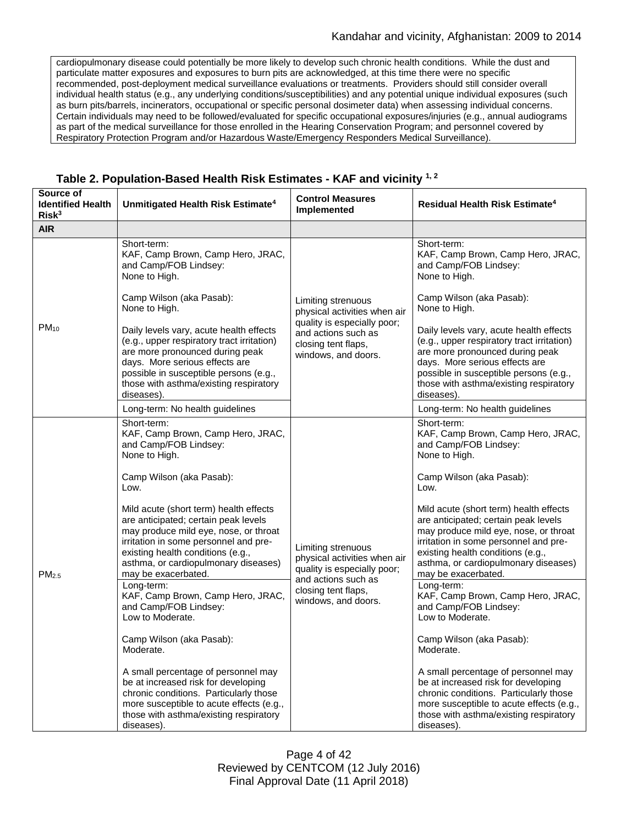cardiopulmonary disease could potentially be more likely to develop such chronic health conditions. While the dust and particulate matter exposures and exposures to burn pits are acknowledged, at this time there were no specific recommended, post-deployment medical surveillance evaluations or treatments. Providers should still consider overall individual health status (e.g., any underlying conditions/susceptibilities) and any potential unique individual exposures (such as burn pits/barrels, incinerators, occupational or specific personal dosimeter data) when assessing individual concerns. Certain individuals may need to be followed/evaluated for specific occupational exposures/injuries (e.g., annual audiograms as part of the medical surveillance for those enrolled in the Hearing Conservation Program; and personnel covered by Respiratory Protection Program and/or Hazardous Waste/Emergency Responders Medical Surveillance).

| Source of<br><b>Identified Health</b><br>Risk <sup>3</sup> | Unmitigated Health Risk Estimate <sup>4</sup>                                                                                                                                                                                                                                                                                                                                                                                                                                                                                                                                                                                                                                                                                                                 | <b>Control Measures</b><br>Implemented                                                                                                                 | <b>Residual Health Risk Estimate<sup>4</sup></b>                                                                                                                                                                                                                                                                                                                                                                                                                                                                                                                                                                                                                                                                                                              |
|------------------------------------------------------------|---------------------------------------------------------------------------------------------------------------------------------------------------------------------------------------------------------------------------------------------------------------------------------------------------------------------------------------------------------------------------------------------------------------------------------------------------------------------------------------------------------------------------------------------------------------------------------------------------------------------------------------------------------------------------------------------------------------------------------------------------------------|--------------------------------------------------------------------------------------------------------------------------------------------------------|---------------------------------------------------------------------------------------------------------------------------------------------------------------------------------------------------------------------------------------------------------------------------------------------------------------------------------------------------------------------------------------------------------------------------------------------------------------------------------------------------------------------------------------------------------------------------------------------------------------------------------------------------------------------------------------------------------------------------------------------------------------|
| <b>AIR</b>                                                 |                                                                                                                                                                                                                                                                                                                                                                                                                                                                                                                                                                                                                                                                                                                                                               |                                                                                                                                                        |                                                                                                                                                                                                                                                                                                                                                                                                                                                                                                                                                                                                                                                                                                                                                               |
| $PM_{10}$                                                  | Short-term:<br>KAF, Camp Brown, Camp Hero, JRAC,<br>and Camp/FOB Lindsey:<br>None to High.<br>Camp Wilson (aka Pasab):                                                                                                                                                                                                                                                                                                                                                                                                                                                                                                                                                                                                                                        | Limiting strenuous<br>physical activities when air<br>quality is especially poor;<br>and actions such as<br>closing tent flaps,<br>windows, and doors. | Short-term:<br>KAF, Camp Brown, Camp Hero, JRAC,<br>and Camp/FOB Lindsey:<br>None to High.<br>Camp Wilson (aka Pasab):                                                                                                                                                                                                                                                                                                                                                                                                                                                                                                                                                                                                                                        |
|                                                            | None to High.<br>Daily levels vary, acute health effects<br>(e.g., upper respiratory tract irritation)<br>are more pronounced during peak<br>days. More serious effects are<br>possible in susceptible persons (e.g.,<br>those with asthma/existing respiratory<br>diseases).<br>Long-term: No health guidelines                                                                                                                                                                                                                                                                                                                                                                                                                                              |                                                                                                                                                        | None to High.<br>Daily levels vary, acute health effects<br>(e.g., upper respiratory tract irritation)<br>are more pronounced during peak<br>days. More serious effects are<br>possible in susceptible persons (e.g.,<br>those with asthma/existing respiratory<br>diseases).<br>Long-term: No health guidelines                                                                                                                                                                                                                                                                                                                                                                                                                                              |
| PM <sub>2.5</sub>                                          | Short-term:<br>KAF, Camp Brown, Camp Hero, JRAC,<br>and Camp/FOB Lindsey:<br>None to High.<br>Camp Wilson (aka Pasab):<br>Low.<br>Mild acute (short term) health effects<br>are anticipated; certain peak levels<br>may produce mild eye, nose, or throat<br>irritation in some personnel and pre-<br>existing health conditions (e.g.,<br>asthma, or cardiopulmonary diseases)<br>may be exacerbated.<br>Long-term:<br>KAF, Camp Brown, Camp Hero, JRAC,<br>and Camp/FOB Lindsey:<br>Low to Moderate.<br>Camp Wilson (aka Pasab):<br>Moderate.<br>A small percentage of personnel may<br>be at increased risk for developing<br>chronic conditions. Particularly those<br>more susceptible to acute effects (e.g.,<br>those with asthma/existing respiratory | Limiting strenuous<br>physical activities when air<br>quality is especially poor;<br>and actions such as<br>closing tent flaps,<br>windows, and doors. | Short-term:<br>KAF, Camp Brown, Camp Hero, JRAC,<br>and Camp/FOB Lindsey:<br>None to High.<br>Camp Wilson (aka Pasab):<br>Low.<br>Mild acute (short term) health effects<br>are anticipated; certain peak levels<br>may produce mild eye, nose, or throat<br>irritation in some personnel and pre-<br>existing health conditions (e.g.,<br>asthma, or cardiopulmonary diseases)<br>may be exacerbated.<br>Long-term:<br>KAF, Camp Brown, Camp Hero, JRAC,<br>and Camp/FOB Lindsey:<br>Low to Moderate.<br>Camp Wilson (aka Pasab):<br>Moderate.<br>A small percentage of personnel may<br>be at increased risk for developing<br>chronic conditions. Particularly those<br>more susceptible to acute effects (e.g.,<br>those with asthma/existing respiratory |

# **Table 2. Population-Based Health Risk Estimates - KAF and vicinity 1, 2**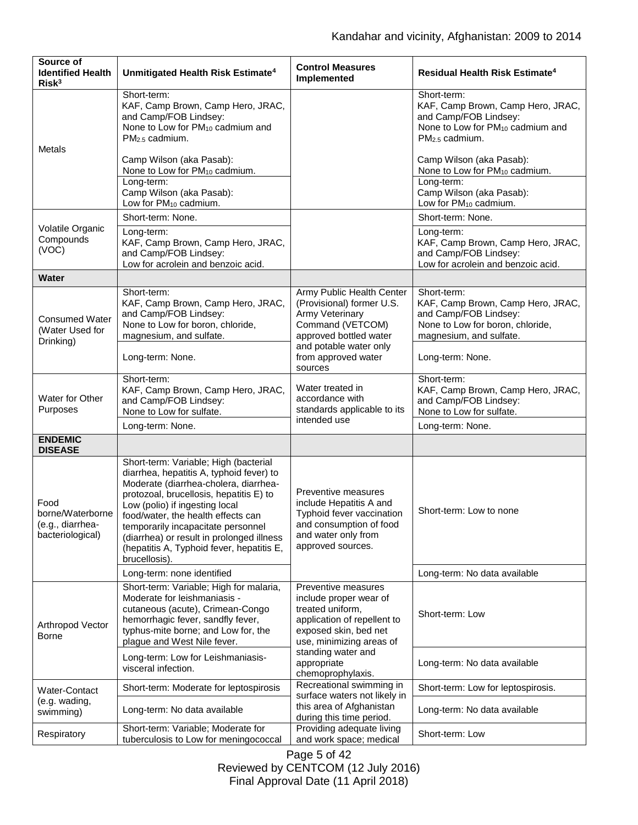| Source of<br><b>Identified Health</b><br>Risk <sup>3</sup>       | Unmitigated Health Risk Estimate <sup>4</sup>                                                                                                                                                                                                                                                                                                                                                  | <b>Control Measures</b><br>Implemented                                                                                                                | Residual Health Risk Estimate <sup>4</sup>                                                                                                    |
|------------------------------------------------------------------|------------------------------------------------------------------------------------------------------------------------------------------------------------------------------------------------------------------------------------------------------------------------------------------------------------------------------------------------------------------------------------------------|-------------------------------------------------------------------------------------------------------------------------------------------------------|-----------------------------------------------------------------------------------------------------------------------------------------------|
| <b>Metals</b>                                                    | Short-term:<br>KAF, Camp Brown, Camp Hero, JRAC,<br>and Camp/FOB Lindsey:<br>None to Low for PM <sub>10</sub> cadmium and<br>$PM2.5$ cadmium.                                                                                                                                                                                                                                                  |                                                                                                                                                       | Short-term:<br>KAF, Camp Brown, Camp Hero, JRAC,<br>and Camp/FOB Lindsey:<br>None to Low for PM <sub>10</sub> cadmium and<br>$PM2.5$ cadmium. |
|                                                                  | Camp Wilson (aka Pasab):<br>None to Low for PM <sub>10</sub> cadmium.                                                                                                                                                                                                                                                                                                                          |                                                                                                                                                       | Camp Wilson (aka Pasab):<br>None to Low for PM <sub>10</sub> cadmium.                                                                         |
|                                                                  | Long-term:<br>Camp Wilson (aka Pasab):<br>Low for PM <sub>10</sub> cadmium.                                                                                                                                                                                                                                                                                                                    |                                                                                                                                                       | Long-term:<br>Camp Wilson (aka Pasab):<br>Low for PM <sub>10</sub> cadmium.                                                                   |
|                                                                  | Short-term: None.                                                                                                                                                                                                                                                                                                                                                                              |                                                                                                                                                       | Short-term: None.                                                                                                                             |
| Volatile Organic<br>Compounds<br>(VOC)                           | Long-term:<br>KAF, Camp Brown, Camp Hero, JRAC,<br>and Camp/FOB Lindsey:<br>Low for acrolein and benzoic acid.                                                                                                                                                                                                                                                                                 |                                                                                                                                                       | Long-term:<br>KAF, Camp Brown, Camp Hero, JRAC,<br>and Camp/FOB Lindsey:<br>Low for acrolein and benzoic acid.                                |
| Water                                                            |                                                                                                                                                                                                                                                                                                                                                                                                |                                                                                                                                                       |                                                                                                                                               |
| <b>Consumed Water</b><br>(Water Used for<br>Drinking)            | Short-term:<br>KAF, Camp Brown, Camp Hero, JRAC,<br>and Camp/FOB Lindsey:<br>None to Low for boron, chloride,<br>magnesium, and sulfate.                                                                                                                                                                                                                                                       | Army Public Health Center<br>(Provisional) former U.S.<br>Army Veterinary<br>Command (VETCOM)<br>approved bottled water                               | Short-term:<br>KAF, Camp Brown, Camp Hero, JRAC,<br>and Camp/FOB Lindsey:<br>None to Low for boron, chloride,<br>magnesium, and sulfate.      |
|                                                                  | Long-term: None.                                                                                                                                                                                                                                                                                                                                                                               | and potable water only<br>from approved water<br>sources                                                                                              | Long-term: None.                                                                                                                              |
| Water for Other<br>Purposes                                      | Short-term:<br>KAF, Camp Brown, Camp Hero, JRAC,<br>and Camp/FOB Lindsey:<br>None to Low for sulfate.                                                                                                                                                                                                                                                                                          | Water treated in<br>accordance with<br>standards applicable to its<br>intended use                                                                    | Short-term:<br>KAF, Camp Brown, Camp Hero, JRAC,<br>and Camp/FOB Lindsey:<br>None to Low for sulfate.                                         |
|                                                                  | Long-term: None.                                                                                                                                                                                                                                                                                                                                                                               |                                                                                                                                                       | Long-term: None.                                                                                                                              |
| <b>ENDEMIC</b><br><b>DISEASE</b>                                 |                                                                                                                                                                                                                                                                                                                                                                                                |                                                                                                                                                       |                                                                                                                                               |
| Food<br>borne/Waterborne<br>(e.g., diarrhea-<br>bacteriological) | Short-term: Variable; High (bacterial<br>diarrhea, hepatitis A, typhoid fever) to<br>Moderate (diarrhea-cholera, diarrhea-<br>protozoal, brucellosis, hepatitis E) to<br>Low (polio) if ingesting local<br>food/water, the health effects can<br>temporarily incapacitate personnel<br>(diarrhea) or result in prolonged illness<br>(hepatitis A, Typhoid fever, hepatitis E,<br>brucellosis). | Preventive measures<br>include Hepatitis A and<br>Typhoid fever vaccination<br>and consumption of food<br>and water only from<br>approved sources.    | Short-term: Low to none                                                                                                                       |
|                                                                  | Long-term: none identified                                                                                                                                                                                                                                                                                                                                                                     |                                                                                                                                                       | Long-term: No data available                                                                                                                  |
| Arthropod Vector<br>Borne                                        | Short-term: Variable; High for malaria,<br>Moderate for leishmaniasis -<br>cutaneous (acute), Crimean-Congo<br>hemorrhagic fever, sandfly fever,<br>typhus-mite borne; and Low for, the<br>plague and West Nile fever.                                                                                                                                                                         | Preventive measures<br>include proper wear of<br>treated uniform,<br>application of repellent to<br>exposed skin, bed net<br>use, minimizing areas of | Short-term: Low                                                                                                                               |
|                                                                  | Long-term: Low for Leishmaniasis-<br>visceral infection.                                                                                                                                                                                                                                                                                                                                       | standing water and<br>appropriate<br>chemoprophylaxis.                                                                                                | Long-term: No data available                                                                                                                  |
| Water-Contact<br>(e.g. wading,<br>swimming)                      | Short-term: Moderate for leptospirosis                                                                                                                                                                                                                                                                                                                                                         | Recreational swimming in<br>surface waters not likely in                                                                                              | Short-term: Low for leptospirosis.                                                                                                            |
|                                                                  | Long-term: No data available                                                                                                                                                                                                                                                                                                                                                                   | this area of Afghanistan<br>during this time period.                                                                                                  | Long-term: No data available                                                                                                                  |
| Respiratory                                                      | Short-term: Variable; Moderate for<br>tuberculosis to Low for meningococcal                                                                                                                                                                                                                                                                                                                    | Providing adequate living<br>and work space; medical                                                                                                  | Short-term: Low                                                                                                                               |

Page 5 of 42 Reviewed by CENTCOM (12 July 2016) Final Approval Date (11 April 2018)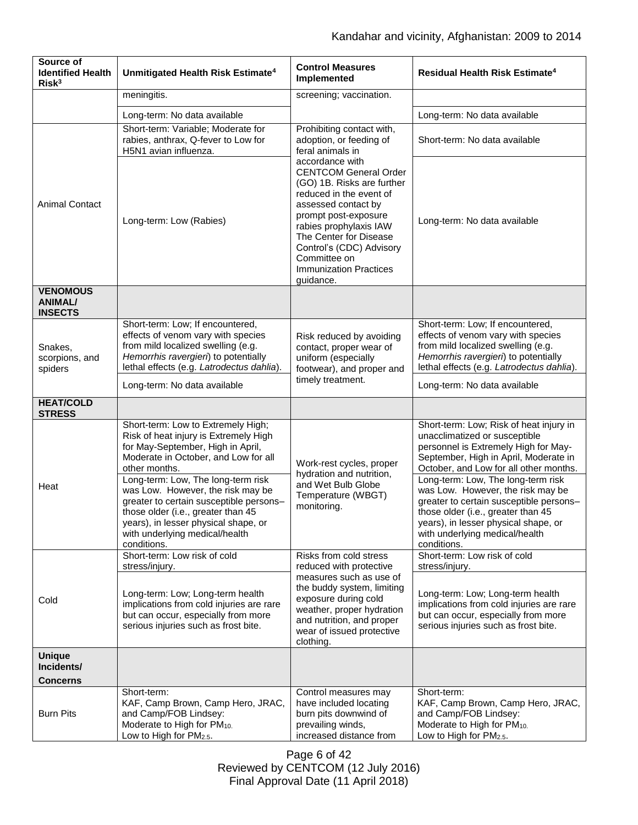| Source of<br><b>Identified Health</b><br>Risk <sup>3</sup> | Unmitigated Health Risk Estimate <sup>4</sup>                                                                                                                                                                                                     | <b>Control Measures</b><br>Implemented                                                                                                                                                                                                                                                                | Residual Health Risk Estimate <sup>4</sup>                                                                                                                                                                                                        |
|------------------------------------------------------------|---------------------------------------------------------------------------------------------------------------------------------------------------------------------------------------------------------------------------------------------------|-------------------------------------------------------------------------------------------------------------------------------------------------------------------------------------------------------------------------------------------------------------------------------------------------------|---------------------------------------------------------------------------------------------------------------------------------------------------------------------------------------------------------------------------------------------------|
|                                                            | meningitis.                                                                                                                                                                                                                                       | screening; vaccination.                                                                                                                                                                                                                                                                               |                                                                                                                                                                                                                                                   |
|                                                            | Long-term: No data available                                                                                                                                                                                                                      |                                                                                                                                                                                                                                                                                                       | Long-term: No data available                                                                                                                                                                                                                      |
|                                                            | Short-term: Variable; Moderate for<br>rabies, anthrax, Q-fever to Low for<br>H5N1 avian influenza.                                                                                                                                                | Prohibiting contact with,<br>adoption, or feeding of<br>feral animals in                                                                                                                                                                                                                              | Short-term: No data available                                                                                                                                                                                                                     |
| <b>Animal Contact</b>                                      | Long-term: Low (Rabies)                                                                                                                                                                                                                           | accordance with<br><b>CENTCOM General Order</b><br>(GO) 1B. Risks are further<br>reduced in the event of<br>assessed contact by<br>prompt post-exposure<br>rabies prophylaxis IAW<br>The Center for Disease<br>Control's (CDC) Advisory<br>Committee on<br><b>Immunization Practices</b><br>guidance. | Long-term: No data available                                                                                                                                                                                                                      |
| <b>VENOMOUS</b><br><b>ANIMAL/</b><br><b>INSECTS</b>        |                                                                                                                                                                                                                                                   |                                                                                                                                                                                                                                                                                                       |                                                                                                                                                                                                                                                   |
| Snakes,<br>scorpions, and<br>spiders                       | Short-term: Low; If encountered,<br>effects of venom vary with species<br>from mild localized swelling (e.g.<br>Hemorrhis ravergieri) to potentially<br>lethal effects (e.g. Latrodectus dahlia).                                                 | Risk reduced by avoiding<br>contact, proper wear of<br>uniform (especially<br>footwear), and proper and                                                                                                                                                                                               | Short-term: Low; If encountered,<br>effects of venom vary with species<br>from mild localized swelling (e.g.<br>Hemorrhis ravergieri) to potentially<br>lethal effects (e.g. Latrodectus dahlia).                                                 |
|                                                            | Long-term: No data available                                                                                                                                                                                                                      | timely treatment.                                                                                                                                                                                                                                                                                     | Long-term: No data available                                                                                                                                                                                                                      |
| <b>HEAT/COLD</b><br><b>STRESS</b>                          |                                                                                                                                                                                                                                                   |                                                                                                                                                                                                                                                                                                       |                                                                                                                                                                                                                                                   |
| Heat                                                       | Short-term: Low to Extremely High;<br>Risk of heat injury is Extremely High<br>for May-September, High in April,<br>Moderate in October, and Low for all<br>other months.                                                                         | Work-rest cycles, proper<br>hydration and nutrition,<br>and Wet Bulb Globe<br>Temperature (WBGT)<br>monitoring.                                                                                                                                                                                       | Short-term: Low; Risk of heat injury in<br>unacclimatized or susceptible<br>personnel is Extremely High for May-<br>September, High in April, Moderate in<br>October, and Low for all other months.                                               |
|                                                            | Long-term: Low, The long-term risk<br>was Low. However, the risk may be<br>greater to certain susceptible persons-<br>those older (i.e., greater than 45<br>years), in lesser physical shape, or<br>with underlying medical/health<br>conditions. |                                                                                                                                                                                                                                                                                                       | Long-term: Low, The long-term risk<br>was Low. However, the risk may be<br>greater to certain susceptible persons-<br>those older (i.e., greater than 45<br>years), in lesser physical shape, or<br>with underlying medical/health<br>conditions. |
|                                                            | Short-term: Low risk of cold<br>stress/injury.                                                                                                                                                                                                    | Risks from cold stress<br>reduced with protective                                                                                                                                                                                                                                                     | Short-term: Low risk of cold<br>stress/injury.                                                                                                                                                                                                    |
| Cold                                                       | Long-term: Low; Long-term health<br>implications from cold injuries are rare<br>but can occur, especially from more<br>serious injuries such as frost bite.                                                                                       | measures such as use of<br>the buddy system, limiting<br>exposure during cold<br>weather, proper hydration<br>and nutrition, and proper<br>wear of issued protective<br>clothing.                                                                                                                     | Long-term: Low; Long-term health<br>implications from cold injuries are rare<br>but can occur, especially from more<br>serious injuries such as frost bite.                                                                                       |
| <b>Unique</b><br>Incidents/<br><b>Concerns</b>             |                                                                                                                                                                                                                                                   |                                                                                                                                                                                                                                                                                                       |                                                                                                                                                                                                                                                   |
| <b>Burn Pits</b>                                           | Short-term:<br>KAF, Camp Brown, Camp Hero, JRAC,<br>and Camp/FOB Lindsey:<br>Moderate to High for PM <sub>10.</sub><br>Low to High for PM2.5.                                                                                                     | Control measures may<br>have included locating<br>burn pits downwind of<br>prevailing winds,<br>increased distance from                                                                                                                                                                               | Short-term:<br>KAF, Camp Brown, Camp Hero, JRAC,<br>and Camp/FOB Lindsey:<br>Moderate to High for PM <sub>10.</sub><br>Low to High for PM2.5.                                                                                                     |

Page 6 of 42 Reviewed by CENTCOM (12 July 2016) Final Approval Date (11 April 2018)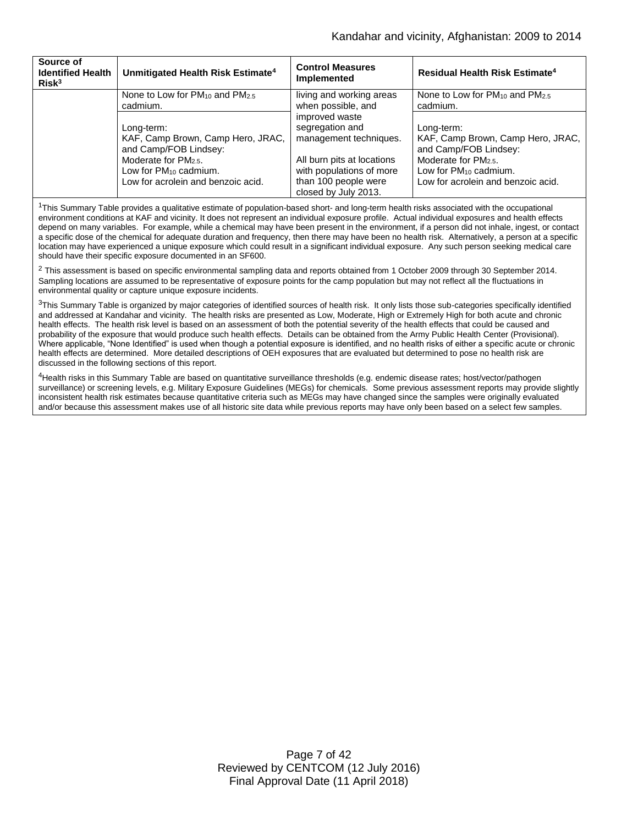| Source of<br><b>Identified Health</b><br>Risk <sup>3</sup> | Unmitigated Health Risk Estimate <sup>4</sup>                                                 | <b>Control Measures</b><br>Implemented                                                                 | <b>Residual Health Risk Estimate<sup>4</sup></b>                                                     |
|------------------------------------------------------------|-----------------------------------------------------------------------------------------------|--------------------------------------------------------------------------------------------------------|------------------------------------------------------------------------------------------------------|
|                                                            | None to Low for $PM_{10}$ and $PM_{2.5}$                                                      | living and working areas                                                                               | None to Low for PM <sub>10</sub> and PM <sub>2.5</sub>                                               |
|                                                            | cadmium.                                                                                      | when possible, and                                                                                     | cadmium.                                                                                             |
|                                                            | Long-term:                                                                                    | improved waste                                                                                         | Long-term:                                                                                           |
|                                                            | KAF, Camp Brown, Camp Hero, JRAC,                                                             | segregation and                                                                                        | KAF, Camp Brown, Camp Hero, JRAC,                                                                    |
|                                                            | and Camp/FOB Lindsey:                                                                         | management techniques.                                                                                 | and Camp/FOB Lindsey:                                                                                |
|                                                            | Moderate for $PM_{2.5}$ .<br>Low for $PM_{10}$ cadmium.<br>Low for acrolein and benzoic acid. | All burn pits at locations<br>with populations of more<br>than 100 people were<br>closed by July 2013. | Moderate for PM <sub>2.5</sub> .<br>Low for $PM_{10}$ cadmium.<br>Low for acrolein and benzoic acid. |

<sup>1</sup>This Summary Table provides a qualitative estimate of population-based short- and long-term health risks associated with the occupational environment conditions at KAF and vicinity. It does not represent an individual exposure profile. Actual individual exposures and health effects depend on many variables. For example, while a chemical may have been present in the environment, if a person did not inhale, ingest, or contact a specific dose of the chemical for adequate duration and frequency, then there may have been no health risk. Alternatively, a person at a specific location may have experienced a unique exposure which could result in a significant individual exposure. Any such person seeking medical care should have their specific exposure documented in an SF600.

 $2$  This assessment is based on specific environmental sampling data and reports obtained from 1 October 2009 through 30 September 2014. Sampling locations are assumed to be representative of exposure points for the camp population but may not reflect all the fluctuations in environmental quality or capture unique exposure incidents.

 $3$ This Summary Table is organized by major categories of identified sources of health risk. It only lists those sub-categories specifically identified and addressed at Kandahar and vicinity. The health risks are presented as Low, Moderate, High or Extremely High for both acute and chronic health effects. The health risk level is based on an assessment of both the potential severity of the health effects that could be caused and probability of the exposure that would produce such health effects. Details can be obtained from the Army Public Health Center (Provisional). Where applicable, "None Identified" is used when though a potential exposure is identified, and no health risks of either a specific acute or chronic health effects are determined. More detailed descriptions of OEH exposures that are evaluated but determined to pose no health risk are discussed in the following sections of this report.

4Health risks in this Summary Table are based on quantitative surveillance thresholds (e.g. endemic disease rates; host/vector/pathogen surveillance) or screening levels, e.g. Military Exposure Guidelines (MEGs) for chemicals*.* Some previous assessment reports may provide slightly inconsistent health risk estimates because quantitative criteria such as MEGs may have changed since the samples were originally evaluated and/or because this assessment makes use of all historic site data while previous reports may have only been based on a select few samples.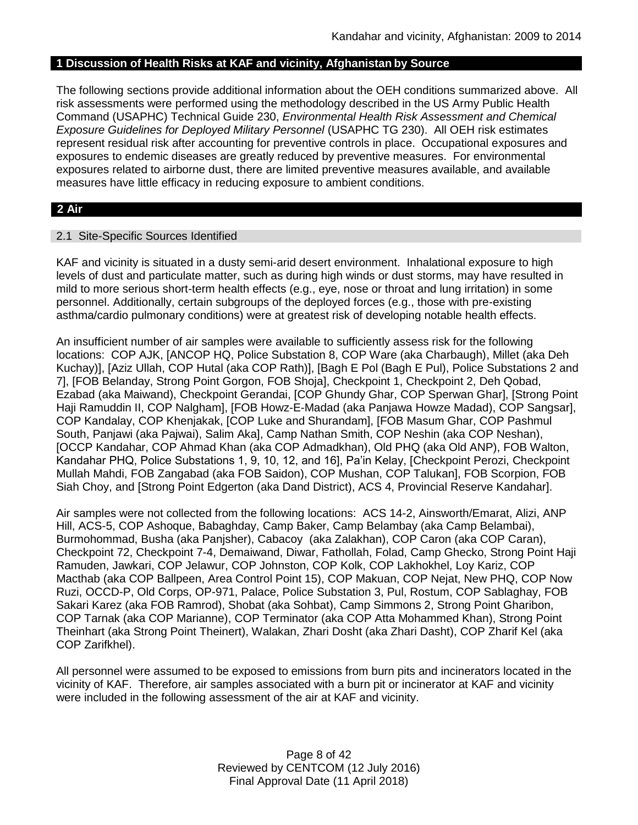# **1 Discussion of Health Risks at KAF and vicinity, Afghanistan by Source**

The following sections provide additional information about the OEH conditions summarized above. All risk assessments were performed using the methodology described in the US Army Public Health Command (USAPHC) Technical Guide 230, *Environmental Health Risk Assessment and Chemical Exposure Guidelines for Deployed Military Personnel* (USAPHC TG 230). All OEH risk estimates represent residual risk after accounting for preventive controls in place. Occupational exposures and exposures to endemic diseases are greatly reduced by preventive measures. For environmental exposures related to airborne dust, there are limited preventive measures available, and available measures have little efficacy in reducing exposure to ambient conditions.

# **2 Air**

#### 2.1 Site-Specific Sources Identified

KAF and vicinity is situated in a dusty semi-arid desert environment. Inhalational exposure to high levels of dust and particulate matter, such as during high winds or dust storms, may have resulted in mild to more serious short-term health effects (e.g., eye, nose or throat and lung irritation) in some personnel. Additionally, certain subgroups of the deployed forces (e.g., those with pre-existing asthma/cardio pulmonary conditions) were at greatest risk of developing notable health effects.

An insufficient number of air samples were available to sufficiently assess risk for the following locations: COP AJK, [ANCOP HQ, Police Substation 8, COP Ware (aka Charbaugh), Millet (aka Deh Kuchay)], [Aziz Ullah, COP Hutal (aka COP Rath)], [Bagh E Pol (Bagh E Pul), Police Substations 2 and 7], [FOB Belanday, Strong Point Gorgon, FOB Shoja], Checkpoint 1, Checkpoint 2, Deh Qobad, Ezabad (aka Maiwand), Checkpoint Gerandai, [COP Ghundy Ghar, COP Sperwan Ghar], [Strong Point Haji Ramuddin II, COP Nalgham], [FOB Howz-E-Madad (aka Panjawa Howze Madad), COP Sangsar], COP Kandalay, COP Khenjakak, [COP Luke and Shurandam], [FOB Masum Ghar, COP Pashmul South, Panjawi (aka Pajwai), Salim Aka], Camp Nathan Smith, COP Neshin (aka COP Neshan), [OCCP Kandahar, COP Ahmad Khan (aka COP Admadkhan), Old PHQ (aka Old ANP), FOB Walton, Kandahar PHQ, Police Substations 1, 9, 10, 12, and 16], Pa'in Kelay, [Checkpoint Perozi, Checkpoint Mullah Mahdi, FOB Zangabad (aka FOB Saidon), COP Mushan, COP Talukan], FOB Scorpion, FOB Siah Choy, and [Strong Point Edgerton (aka Dand District), ACS 4, Provincial Reserve Kandahar].

Air samples were not collected from the following locations: ACS 14-2, Ainsworth/Emarat, Alizi, ANP Hill, ACS-5, COP Ashoque, Babaghday, Camp Baker, Camp Belambay (aka Camp Belambai), Burmohommad, Busha (aka Panjsher), Cabacoy (aka Zalakhan), COP Caron (aka COP Caran), Checkpoint 72, Checkpoint 7-4, Demaiwand, Diwar, Fathollah, Folad, Camp Ghecko, Strong Point Haji Ramuden, Jawkari, COP Jelawur, COP Johnston, COP Kolk, COP Lakhokhel, Loy Kariz, COP Macthab (aka COP Ballpeen, Area Control Point 15), COP Makuan, COP Nejat, New PHQ, COP Now Ruzi, OCCD-P, Old Corps, OP-971, Palace, Police Substation 3, Pul, Rostum, COP Sablaghay, FOB Sakari Karez (aka FOB Ramrod), Shobat (aka Sohbat), Camp Simmons 2, Strong Point Gharibon, COP Tarnak (aka COP Marianne), COP Terminator (aka COP Atta Mohammed Khan), Strong Point Theinhart (aka Strong Point Theinert), Walakan, Zhari Dosht (aka Zhari Dasht), COP Zharif Kel (aka COP Zarifkhel).

All personnel were assumed to be exposed to emissions from burn pits and incinerators located in the vicinity of KAF. Therefore, air samples associated with a burn pit or incinerator at KAF and vicinity were included in the following assessment of the air at KAF and vicinity.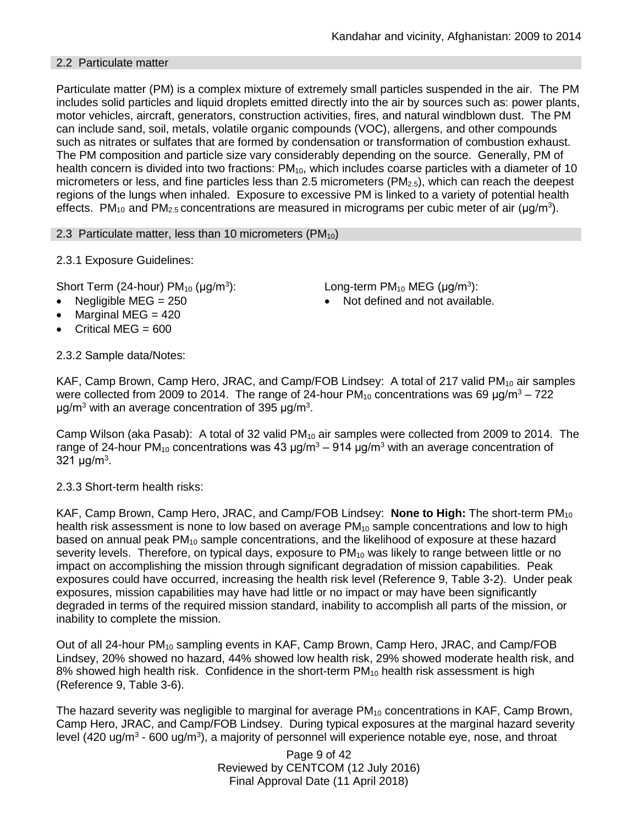# 2.2 Particulate matter

Particulate matter (PM) is a complex mixture of extremely small particles suspended in the air. The PM includes solid particles and liquid droplets emitted directly into the air by sources such as: power plants, motor vehicles, aircraft, generators, construction activities, fires, and natural windblown dust. The PM can include sand, soil, metals, volatile organic compounds (VOC), allergens, and other compounds such as nitrates or sulfates that are formed by condensation or transformation of combustion exhaust. The PM composition and particle size vary considerably depending on the source. Generally, PM of health concern is divided into two fractions:  $PM_{10}$ , which includes coarse particles with a diameter of 10 micrometers or less, and fine particles less than 2.5 micrometers (PM<sub>2.5</sub>), which can reach the deepest regions of the lungs when inhaled. Exposure to excessive PM is linked to a variety of potential health effects. PM<sub>10</sub> and PM<sub>2.5</sub> concentrations are measured in micrograms per cubic meter of air (µg/m<sup>3</sup>).

2.3 Particulate matter, less than 10 micrometers (PM<sub>10</sub>)

2.3.1 Exposure Guidelines:

Short Term (24-hour)  $PM_{10}$  ( $\mu$ g/m<sup>3</sup>):

- 
- Marginal MEG  $=$  420
- Critical MEG =  $600$

2.3.2 Sample data/Notes:

): Long-term PM<sub>10</sub> MEG ( $\mu$ g/m<sup>3</sup>):

Negligible  $MEG = 250$   $\bullet$  Not defined and not available.

KAF, Camp Brown, Camp Hero, JRAC, and Camp/FOB Lindsey: A total of 217 valid  $PM_{10}$  air samples were collected from 2009 to 2014. The range of 24-hour  $PM_{10}$  concentrations was 69  $\mu$ g/m<sup>3</sup> – 722 μg/m<sup>3</sup> with an average concentration of 395 μg/m<sup>3</sup>.

Camp Wilson (aka Pasab): A total of 32 valid  $PM_{10}$  air samples were collected from 2009 to 2014. The range of 24-hour PM<sub>10</sub> concentrations was 43  $\mu$ g/m<sup>3</sup> – 914  $\mu$ g/m<sup>3</sup> with an average concentration of 321  $\mu$ g/m<sup>3</sup>.

2.3.3 Short-term health risks:

KAF, Camp Brown, Camp Hero, JRAC, and Camp/FOB Lindsey: **None to High:** The short-term PM<sup>10</sup> health risk assessment is none to low based on average  $PM_{10}$  sample concentrations and low to high based on annual peak  $PM_{10}$  sample concentrations, and the likelihood of exposure at these hazard severity levels. Therefore, on typical days, exposure to  $PM_{10}$  was likely to range between little or no impact on accomplishing the mission through significant degradation of mission capabilities. Peak exposures could have occurred, increasing the health risk level (Reference 9, Table 3-2). Under peak exposures, mission capabilities may have had little or no impact or may have been significantly degraded in terms of the required mission standard, inability to accomplish all parts of the mission, or inability to complete the mission.

Out of all 24-hour PM<sub>10</sub> sampling events in KAF, Camp Brown, Camp Hero, JRAC, and Camp/FOB Lindsey, 20% showed no hazard, 44% showed low health risk, 29% showed moderate health risk, and 8% showed high health risk. Confidence in the short-term  $PM_{10}$  health risk assessment is high (Reference 9, Table 3-6).

The hazard severity was negligible to marginal for average  $PM_{10}$  concentrations in KAF, Camp Brown, Camp Hero, JRAC, and Camp/FOB Lindsey. During typical exposures at the marginal hazard severity level (420 ug/m<sup>3</sup> - 600 ug/m<sup>3</sup>), a majority of personnel will experience notable eye, nose, and throat

> Page 9 of 42 Reviewed by CENTCOM (12 July 2016) Final Approval Date (11 April 2018)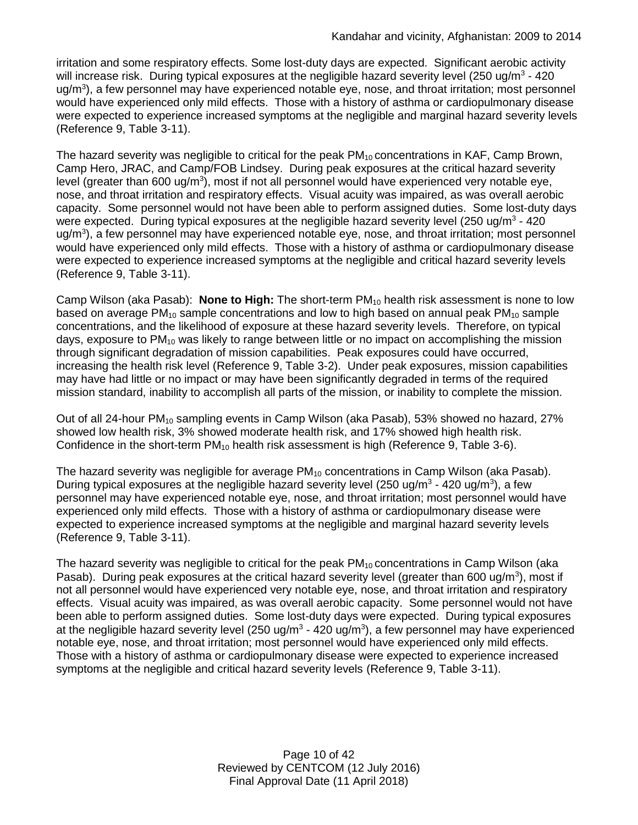irritation and some respiratory effects. Some lost-duty days are expected. Significant aerobic activity will increase risk. During typical exposures at the negligible hazard severity level (250 ug/m<sup>3</sup> - 420 ug/m<sup>3</sup>), a few personnel may have experienced notable eye, nose, and throat irritation; most personnel would have experienced only mild effects. Those with a history of asthma or cardiopulmonary disease were expected to experience increased symptoms at the negligible and marginal hazard severity levels (Reference 9, Table 3-11).

The hazard severity was negligible to critical for the peak  $PM_{10}$  concentrations in KAF, Camp Brown, Camp Hero, JRAC, and Camp/FOB Lindsey. During peak exposures at the critical hazard severity level (greater than 600 ug/m<sup>3</sup>), most if not all personnel would have experienced very notable eye, nose, and throat irritation and respiratory effects. Visual acuity was impaired, as was overall aerobic capacity. Some personnel would not have been able to perform assigned duties. Some lost-duty days were expected. During typical exposures at the negligible hazard severity level (250 ug/m<sup>3</sup> - 420 ug/m<sup>3</sup>), a few personnel may have experienced notable eye, nose, and throat irritation; most personnel would have experienced only mild effects. Those with a history of asthma or cardiopulmonary disease were expected to experience increased symptoms at the negligible and critical hazard severity levels (Reference 9, Table 3-11).

Camp Wilson (aka Pasab): **None to High:** The short-term PM<sup>10</sup> health risk assessment is none to low based on average  $PM_{10}$  sample concentrations and low to high based on annual peak  $PM_{10}$  sample concentrations, and the likelihood of exposure at these hazard severity levels. Therefore, on typical days, exposure to  $PM_{10}$  was likely to range between little or no impact on accomplishing the mission through significant degradation of mission capabilities. Peak exposures could have occurred, increasing the health risk level (Reference 9, Table 3-2). Under peak exposures, mission capabilities may have had little or no impact or may have been significantly degraded in terms of the required mission standard, inability to accomplish all parts of the mission, or inability to complete the mission.

Out of all 24-hour PM<sub>10</sub> sampling events in Camp Wilson (aka Pasab), 53% showed no hazard, 27% showed low health risk, 3% showed moderate health risk, and 17% showed high health risk. Confidence in the short-term  $PM_{10}$  health risk assessment is high (Reference 9, Table 3-6).

The hazard severity was negligible for average  $PM_{10}$  concentrations in Camp Wilson (aka Pasab). During typical exposures at the negligible hazard severity level (250 ug/m<sup>3</sup> - 420 ug/m<sup>3</sup>), a few personnel may have experienced notable eye, nose, and throat irritation; most personnel would have experienced only mild effects. Those with a history of asthma or cardiopulmonary disease were expected to experience increased symptoms at the negligible and marginal hazard severity levels (Reference 9, Table 3-11).

The hazard severity was negligible to critical for the peak  $PM_{10}$  concentrations in Camp Wilson (aka Pasab). During peak exposures at the critical hazard severity level (greater than 600 ug/m<sup>3</sup>), most if not all personnel would have experienced very notable eye, nose, and throat irritation and respiratory effects. Visual acuity was impaired, as was overall aerobic capacity. Some personnel would not have been able to perform assigned duties. Some lost-duty days were expected. During typical exposures at the negligible hazard severity level (250 ug/m<sup>3</sup> - 420 ug/m<sup>3</sup>), a few personnel may have experienced notable eye, nose, and throat irritation; most personnel would have experienced only mild effects. Those with a history of asthma or cardiopulmonary disease were expected to experience increased symptoms at the negligible and critical hazard severity levels (Reference 9, Table 3-11).

> Page 10 of 42 Reviewed by CENTCOM (12 July 2016) Final Approval Date (11 April 2018)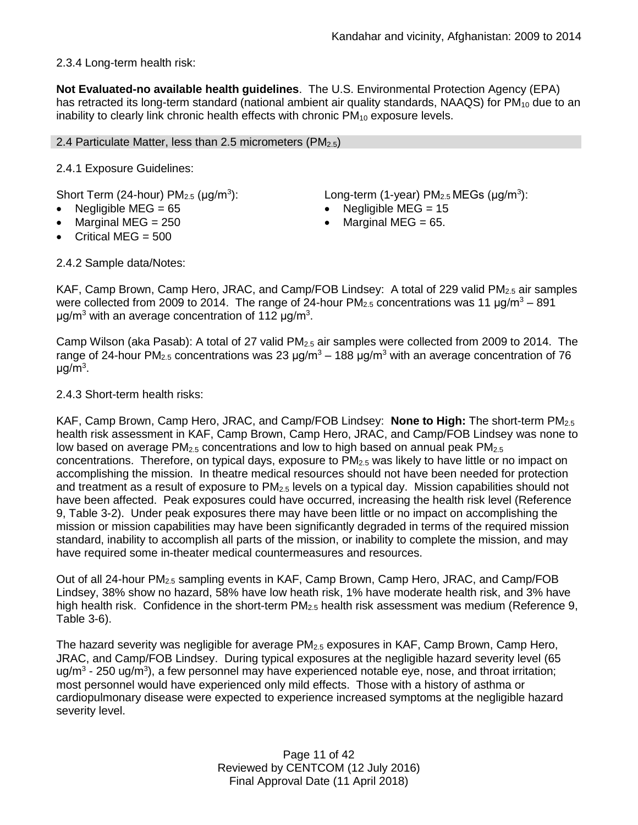# 2.3.4 Long-term health risk:

**Not Evaluated-no available health guidelines**. The U.S. Environmental Protection Agency (EPA) has retracted its long-term standard (national ambient air quality standards, NAAQS) for  $PM_{10}$  due to an inability to clearly link chronic health effects with chronic  $PM_{10}$  exposure levels.

## 2.4 Particulate Matter, less than 2.5 micrometers ( $PM_{2.5}$ )

2.4.1 Exposure Guidelines:

Short Term (24-hour)  $PM<sub>2.5</sub>$  ( $\mu$ g/m<sup>3</sup>):

- 
- 
- Critical MEG = 500

): Long-term (1-year)  $PM<sub>2.5</sub> MEGs (µg/m<sup>3</sup>)$ :

- Negligible MEG = 65 Negligible MEG = 15
- Marginal MEG =  $250$   $\bullet$  Marginal MEG =  $65$ .

2.4.2 Sample data/Notes:

KAF, Camp Brown, Camp Hero, JRAC, and Camp/FOB Lindsey: A total of 229 valid  $PM_{2.5}$  air samples were collected from 2009 to 2014. The range of 24-hour  $PM_{2.5}$  concentrations was 11  $\mu q/m^3 - 891$ μg/m<sup>3</sup> with an average concentration of 112 μg/m<sup>3</sup>.

Camp Wilson (aka Pasab): A total of 27 valid PM2.5 air samples were collected from 2009 to 2014. The range of 24-hour PM<sub>2.5</sub> concentrations was 23  $\mu$ g/m<sup>3</sup> – 188  $\mu$ g/m<sup>3</sup> with an average concentration of 76 μg/m<sup>3</sup>.

2.4.3 Short-term health risks:

KAF, Camp Brown, Camp Hero, JRAC, and Camp/FOB Lindsey: **None to High:** The short-term PM2.5 health risk assessment in KAF, Camp Brown, Camp Hero, JRAC, and Camp/FOB Lindsey was none to low based on average  $PM<sub>2.5</sub>$  concentrations and low to high based on annual peak  $PM<sub>2.5</sub>$ concentrations. Therefore, on typical days, exposure to  $PM_{2.5}$  was likely to have little or no impact on accomplishing the mission. In theatre medical resources should not have been needed for protection and treatment as a result of exposure to PM<sub>2.5</sub> levels on a typical day. Mission capabilities should not have been affected. Peak exposures could have occurred, increasing the health risk level (Reference 9, Table 3-2). Under peak exposures there may have been little or no impact on accomplishing the mission or mission capabilities may have been significantly degraded in terms of the required mission standard, inability to accomplish all parts of the mission, or inability to complete the mission, and may have required some in-theater medical countermeasures and resources.

Out of all 24-hour PM2.5 sampling events in KAF, Camp Brown, Camp Hero, JRAC, and Camp/FOB Lindsey, 38% show no hazard, 58% have low heath risk, 1% have moderate health risk, and 3% have high health risk. Confidence in the short-term  $PM_{2.5}$  health risk assessment was medium (Reference 9, Table 3-6).

The hazard severity was negligible for average  $PM_{2.5}$  exposures in KAF, Camp Brown, Camp Hero, JRAC, and Camp/FOB Lindsey. During typical exposures at the negligible hazard severity level (65 ug/m<sup>3</sup> - 250 ug/m<sup>3</sup>), a few personnel may have experienced notable eye, nose, and throat irritation; most personnel would have experienced only mild effects. Those with a history of asthma or cardiopulmonary disease were expected to experience increased symptoms at the negligible hazard severity level.

> Page 11 of 42 Reviewed by CENTCOM (12 July 2016) Final Approval Date (11 April 2018)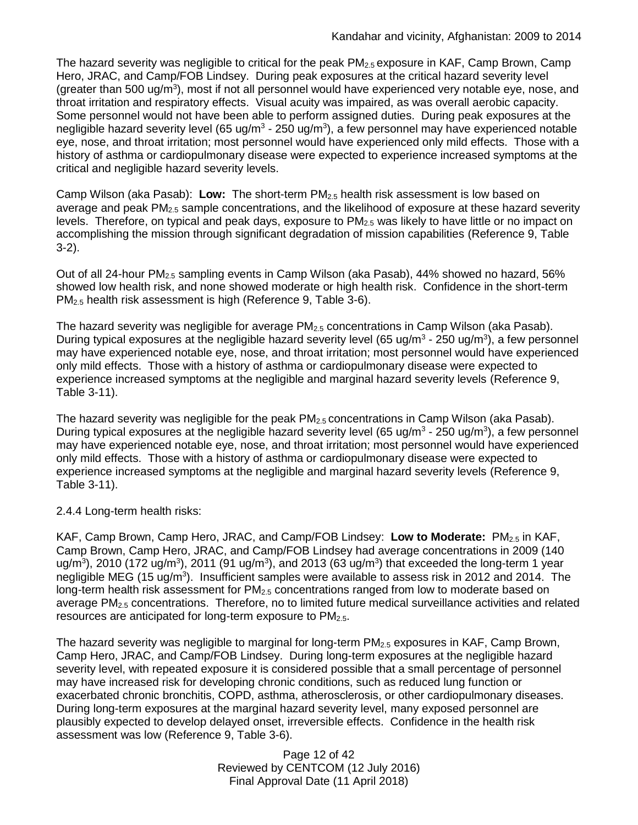The hazard severity was negligible to critical for the peak  $PM_{2.5}$  exposure in KAF, Camp Brown, Camp Hero, JRAC, and Camp/FOB Lindsey. During peak exposures at the critical hazard severity level (greater than 500 ug/ $m<sup>3</sup>$ ), most if not all personnel would have experienced very notable eye, nose, and throat irritation and respiratory effects. Visual acuity was impaired, as was overall aerobic capacity. Some personnel would not have been able to perform assigned duties. During peak exposures at the negligible hazard severity level (65 ug/m<sup>3</sup> - 250 ug/m<sup>3</sup>), a few personnel may have experienced notable eye, nose, and throat irritation; most personnel would have experienced only mild effects. Those with a history of asthma or cardiopulmonary disease were expected to experience increased symptoms at the critical and negligible hazard severity levels.

Camp Wilson (aka Pasab): **Low:** The short-term PM2.5 health risk assessment is low based on average and peak  $PM<sub>2.5</sub>$  sample concentrations, and the likelihood of exposure at these hazard severity levels. Therefore, on typical and peak days, exposure to  $PM_{2.5}$  was likely to have little or no impact on accomplishing the mission through significant degradation of mission capabilities (Reference 9, Table 3-2).

Out of all 24-hour PM<sub>2.5</sub> sampling events in Camp Wilson (aka Pasab), 44% showed no hazard, 56% showed low health risk, and none showed moderate or high health risk. Confidence in the short-term PM2.5 health risk assessment is high (Reference 9, Table 3-6).

The hazard severity was negligible for average  $PM<sub>2.5</sub>$  concentrations in Camp Wilson (aka Pasab). During typical exposures at the negligible hazard severity level (65 ug/m<sup>3</sup> - 250 ug/m<sup>3</sup>), a few personnel may have experienced notable eye, nose, and throat irritation; most personnel would have experienced only mild effects. Those with a history of asthma or cardiopulmonary disease were expected to experience increased symptoms at the negligible and marginal hazard severity levels (Reference 9, Table 3-11).

The hazard severity was negligible for the peak  $PM_{2.5}$  concentrations in Camp Wilson (aka Pasab). During typical exposures at the negligible hazard severity level (65 ug/m<sup>3</sup> - 250 ug/m<sup>3</sup>), a few personnel may have experienced notable eye, nose, and throat irritation; most personnel would have experienced only mild effects. Those with a history of asthma or cardiopulmonary disease were expected to experience increased symptoms at the negligible and marginal hazard severity levels (Reference 9, Table 3-11).

# 2.4.4 Long-term health risks:

KAF, Camp Brown, Camp Hero, JRAC, and Camp/FOB Lindsey: **Low to Moderate:** PM2.5 in KAF, Camp Brown, Camp Hero, JRAC, and Camp/FOB Lindsey had average concentrations in 2009 (140 ug/m<sup>3</sup>), 2010 (172 ug/m<sup>3</sup>), 2011 (91 ug/m<sup>3</sup>), and 2013 (63 ug/m<sup>3</sup>) that exceeded the long-term 1 year negligible MEG (15 ug/m<sup>3</sup>). Insufficient samples were available to assess risk in 2012 and 2014. The long-term health risk assessment for PM<sub>2.5</sub> concentrations ranged from low to moderate based on average PM2.5 concentrations. Therefore, no to limited future medical surveillance activities and related resources are anticipated for long-term exposure to  $PM_{2.5}$ .

The hazard severity was negligible to marginal for long-term PM<sub>2.5</sub> exposures in KAF, Camp Brown, Camp Hero, JRAC, and Camp/FOB Lindsey. During long-term exposures at the negligible hazard severity level, with repeated exposure it is considered possible that a small percentage of personnel may have increased risk for developing chronic conditions, such as reduced lung function or exacerbated chronic bronchitis, COPD, asthma, atherosclerosis, or other cardiopulmonary diseases. During long-term exposures at the marginal hazard severity level, many exposed personnel are plausibly expected to develop delayed onset, irreversible effects. Confidence in the health risk assessment was low (Reference 9, Table 3-6).

> Page 12 of 42 Reviewed by CENTCOM (12 July 2016) Final Approval Date (11 April 2018)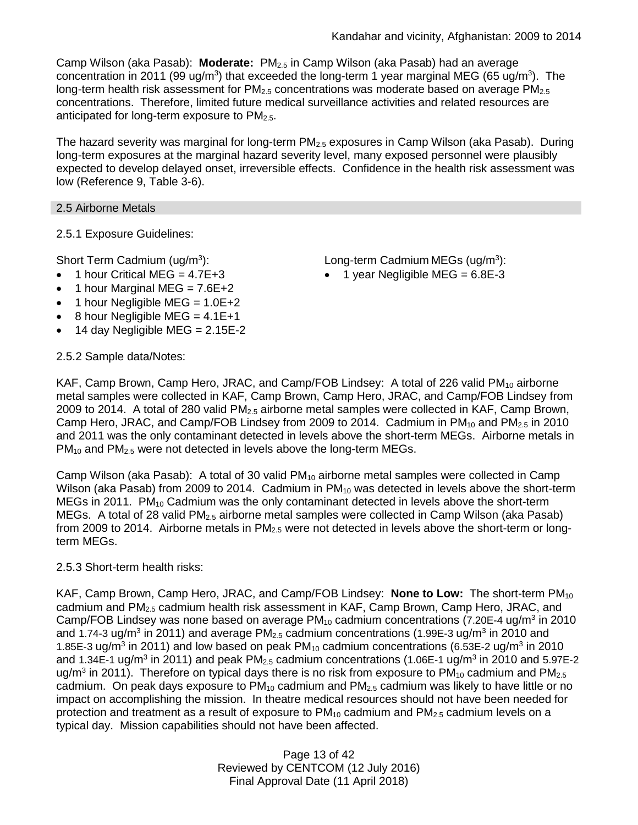Camp Wilson (aka Pasab): **Moderate:** PM2.5 in Camp Wilson (aka Pasab) had an average concentration in 2011 (99 ug/m<sup>3</sup>) that exceeded the long-term 1 year marginal MEG (65 ug/m<sup>3</sup>). The long-term health risk assessment for  $PM_{2.5}$  concentrations was moderate based on average  $PM_{2.5}$ concentrations. Therefore, limited future medical surveillance activities and related resources are anticipated for long-term exposure to PM<sub>2.5</sub>.

The hazard severity was marginal for long-term  $PM_{2.5}$  exposures in Camp Wilson (aka Pasab). During long-term exposures at the marginal hazard severity level, many exposed personnel were plausibly expected to develop delayed onset, irreversible effects. Confidence in the health risk assessment was low (Reference 9, Table 3-6).

# 2.5 Airborne Metals

2.5.1 Exposure Guidelines:

Short Term Cadmium (ug/m<sup>3</sup>):

- $\bullet$  1 hour Critical MEG = 4.7E+3
- 1 hour Marginal MEG =  $7.6E+2$
- 1 hour Negligible MEG =  $1.0E+2$
- $\bullet$  8 hour Negligible MEG = 4.1E+1
- 14 day Negligible MEG =  $2.15E-2$

# 2.5.2 Sample data/Notes:

): Long-term Cadmium MEGs (ug/m<sup>3</sup> ):

 $\bullet$  1 year Negligible MEG = 6.8E-3

KAF, Camp Brown, Camp Hero, JRAC, and Camp/FOB Lindsey: A total of 226 valid PM<sub>10</sub> airborne metal samples were collected in KAF, Camp Brown, Camp Hero, JRAC, and Camp/FOB Lindsey from 2009 to 2014. A total of 280 valid PM2.5 airborne metal samples were collected in KAF, Camp Brown, Camp Hero, JRAC, and Camp/FOB Lindsey from 2009 to 2014. Cadmium in  $PM_{10}$  and  $PM_{2.5}$  in 2010 and 2011 was the only contaminant detected in levels above the short-term MEGs. Airborne metals in PM<sub>10</sub> and PM<sub>2.5</sub> were not detected in levels above the long-term MEGs.

Camp Wilson (aka Pasab): A total of 30 valid  $PM_{10}$  airborne metal samples were collected in Camp Wilson (aka Pasab) from 2009 to 2014. Cadmium in  $PM_{10}$  was detected in levels above the short-term MEGs in 2011. PM<sub>10</sub> Cadmium was the only contaminant detected in levels above the short-term MEGs. A total of 28 valid PM<sub>2.5</sub> airborne metal samples were collected in Camp Wilson (aka Pasab) from 2009 to 2014. Airborne metals in  $PM_{2.5}$  were not detected in levels above the short-term or longterm MEGs.

# 2.5.3 Short-term health risks:

KAF, Camp Brown, Camp Hero, JRAC, and Camp/FOB Lindsey: **None to Low:** The short-term PM<sub>10</sub> cadmium and  $PM<sub>2.5</sub>$  cadmium health risk assessment in KAF, Camp Brown, Camp Hero, JRAC, and Camp/FOB Lindsey was none based on average PM<sub>10</sub> cadmium concentrations (7.20E-4 ug/m<sup>3</sup> in 2010 and 1.74-3 ug/m<sup>3</sup> in 2011) and average PM<sub>2.5</sub> cadmium concentrations (1.99E-3 ug/m<sup>3</sup> in 2010 and 1.85E-3 ug/m<sup>3</sup> in 2011) and low based on peak PM<sub>10</sub> cadmium concentrations (6.53E-2 ug/m<sup>3</sup> in 2010 and 1.34E-1 ug/m<sup>3</sup> in 2011) and peak PM<sub>2.5</sub> cadmium concentrations (1.06E-1 ug/m<sup>3</sup> in 2010 and 5.97E-2 ug/m<sup>3</sup> in 2011). Therefore on typical days there is no risk from exposure to PM<sub>10</sub> cadmium and PM<sub>2.5</sub> cadmium. On peak days exposure to  $PM_{10}$  cadmium and  $PM_{2.5}$  cadmium was likely to have little or no impact on accomplishing the mission. In theatre medical resources should not have been needed for protection and treatment as a result of exposure to  $PM_{10}$  cadmium and  $PM_{2.5}$  cadmium levels on a typical day. Mission capabilities should not have been affected.

> Page 13 of 42 Reviewed by CENTCOM (12 July 2016) Final Approval Date (11 April 2018)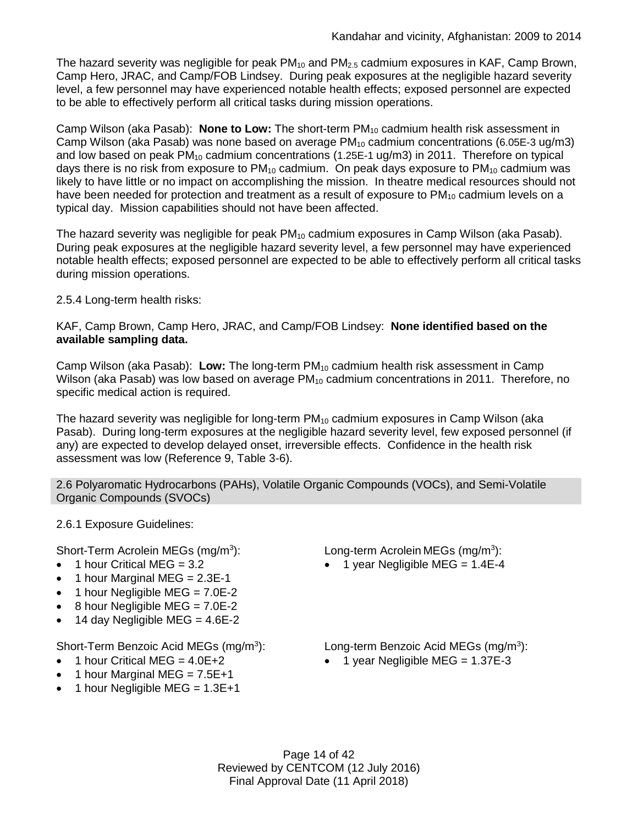The hazard severity was negligible for peak  $PM_{10}$  and  $PM_{2.5}$  cadmium exposures in KAF, Camp Brown, Camp Hero, JRAC, and Camp/FOB Lindsey. During peak exposures at the negligible hazard severity level, a few personnel may have experienced notable health effects; exposed personnel are expected to be able to effectively perform all critical tasks during mission operations.

Camp Wilson (aka Pasab): **None to Low:** The short-term PM<sub>10</sub> cadmium health risk assessment in Camp Wilson (aka Pasab) was none based on average  $PM_{10}$  cadmium concentrations (6.05E-3 ug/m3) and low based on peak  $PM_{10}$  cadmium concentrations (1.25E-1 ug/m3) in 2011. Therefore on typical days there is no risk from exposure to  $PM_{10}$  cadmium. On peak days exposure to  $PM_{10}$  cadmium was likely to have little or no impact on accomplishing the mission. In theatre medical resources should not have been needed for protection and treatment as a result of exposure to  $PM_{10}$  cadmium levels on a typical day. Mission capabilities should not have been affected.

The hazard severity was negligible for peak PM<sub>10</sub> cadmium exposures in Camp Wilson (aka Pasab). During peak exposures at the negligible hazard severity level, a few personnel may have experienced notable health effects; exposed personnel are expected to be able to effectively perform all critical tasks during mission operations.

2.5.4 Long-term health risks:

KAF, Camp Brown, Camp Hero, JRAC, and Camp/FOB Lindsey: **None identified based on the available sampling data.**

Camp Wilson (aka Pasab): **Low:** The long-term PM<sup>10</sup> cadmium health risk assessment in Camp Wilson (aka Pasab) was low based on average PM<sub>10</sub> cadmium concentrations in 2011. Therefore, no specific medical action is required.

The hazard severity was negligible for long-term  $PM_{10}$  cadmium exposures in Camp Wilson (aka Pasab). During long-term exposures at the negligible hazard severity level, few exposed personnel (if any) are expected to develop delayed onset, irreversible effects. Confidence in the health risk assessment was low (Reference 9, Table 3-6).

2.6 Polyaromatic Hydrocarbons (PAHs), Volatile Organic Compounds (VOCs), and Semi-Volatile Organic Compounds (SVOCs)

2.6.1 Exposure Guidelines:

Short-Term Acrolein MEGs (mg/m<sup>3</sup>):

- 1 hour Critical MEG =  $3.2$
- 1 hour Marginal MEG = 2.3E-1
- 1 hour Negligible MEG =  $7.0E-2$
- 8 hour Negligible MEG = 7.0E-2
- $\bullet$  14 day Negligible MEG = 4.6E-2

Short-Term Benzoic Acid MEGs (mg/m<sup>3</sup>):

- 1 hour Critical MEG =  $4.0E+2$
- 1 hour Marginal MEG =  $7.5E+1$
- 1 hour Negligible MEG =  $1.3E+1$

): Long-term Acrolein MEGs (mg/m<sup>3</sup> ):

• 1 year Negligible MEG =  $1.4E-4$ 

): Long-term Benzoic Acid MEGs (mg/m<sup>3</sup>):

• 1 year Negligible MEG =  $1.37E-3$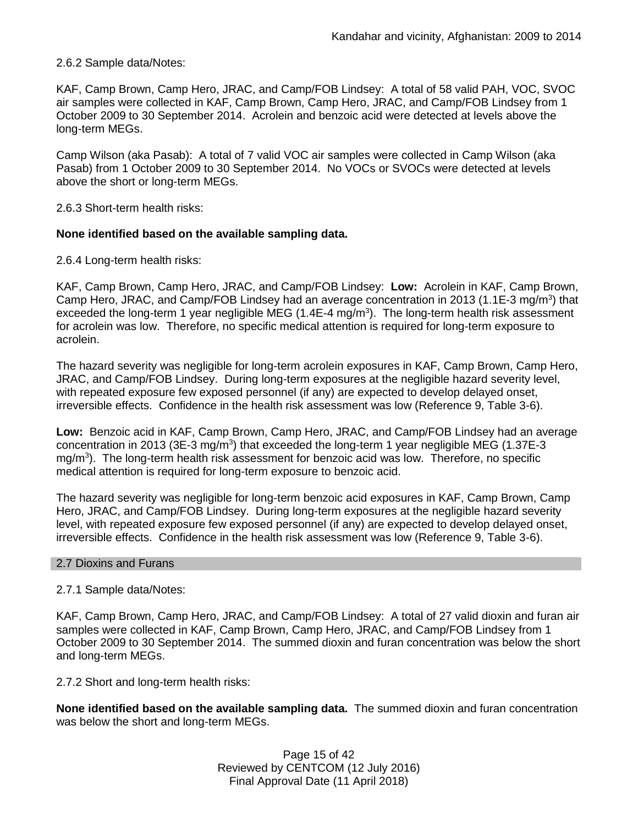# 2.6.2 Sample data/Notes:

KAF, Camp Brown, Camp Hero, JRAC, and Camp/FOB Lindsey: A total of 58 valid PAH, VOC, SVOC air samples were collected in KAF, Camp Brown, Camp Hero, JRAC, and Camp/FOB Lindsey from 1 October 2009 to 30 September 2014. Acrolein and benzoic acid were detected at levels above the long-term MEGs.

Camp Wilson (aka Pasab): A total of 7 valid VOC air samples were collected in Camp Wilson (aka Pasab) from 1 October 2009 to 30 September 2014. No VOCs or SVOCs were detected at levels above the short or long-term MEGs.

2.6.3 Short-term health risks:

## **None identified based on the available sampling data.**

2.6.4 Long-term health risks:

KAF, Camp Brown, Camp Hero, JRAC, and Camp/FOB Lindsey: **Low:** Acrolein in KAF, Camp Brown, Camp Hero, JRAC, and Camp/FOB Lindsey had an average concentration in 2013 (1.1E-3 mg/m<sup>3</sup>) that exceeded the long-term 1 year negligible MEG (1.4E-4 mg/m<sup>3</sup>). The long-term health risk assessment for acrolein was low. Therefore, no specific medical attention is required for long-term exposure to acrolein.

The hazard severity was negligible for long-term acrolein exposures in KAF, Camp Brown, Camp Hero, JRAC, and Camp/FOB Lindsey. During long-term exposures at the negligible hazard severity level, with repeated exposure few exposed personnel (if any) are expected to develop delayed onset, irreversible effects. Confidence in the health risk assessment was low (Reference 9, Table 3-6).

**Low:** Benzoic acid in KAF, Camp Brown, Camp Hero, JRAC, and Camp/FOB Lindsey had an average concentration in 2013 (3E-3 mg/m<sup>3</sup>) that exceeded the long-term 1 year negligible MEG (1.37E-3 mg/m<sup>3</sup>). The long-term health risk assessment for benzoic acid was low. Therefore, no specific medical attention is required for long-term exposure to benzoic acid.

The hazard severity was negligible for long-term benzoic acid exposures in KAF, Camp Brown, Camp Hero, JRAC, and Camp/FOB Lindsey. During long-term exposures at the negligible hazard severity level, with repeated exposure few exposed personnel (if any) are expected to develop delayed onset, irreversible effects. Confidence in the health risk assessment was low (Reference 9, Table 3-6).

#### 2.7 Dioxins and Furans

# 2.7.1 Sample data/Notes:

KAF, Camp Brown, Camp Hero, JRAC, and Camp/FOB Lindsey: A total of 27 valid dioxin and furan air samples were collected in KAF, Camp Brown, Camp Hero, JRAC, and Camp/FOB Lindsey from 1 October 2009 to 30 September 2014. The summed dioxin and furan concentration was below the short and long-term MEGs.

2.7.2 Short and long-term health risks:

**None identified based on the available sampling data.** The summed dioxin and furan concentration was below the short and long-term MEGs.

> Page 15 of 42 Reviewed by CENTCOM (12 July 2016) Final Approval Date (11 April 2018)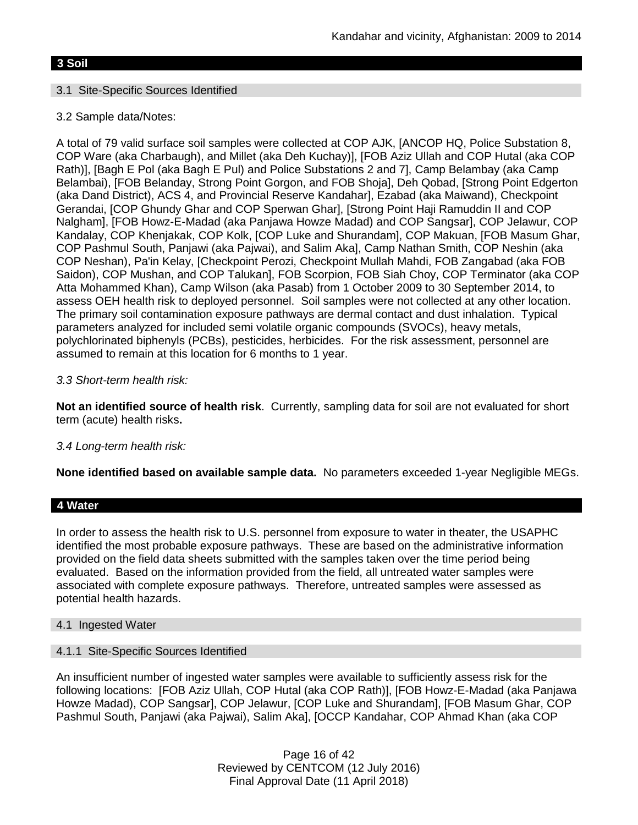# **3 Soil**

# 3.1 Site-Specific Sources Identified

# 3.2 Sample data/Notes:

A total of 79 valid surface soil samples were collected at COP AJK, [ANCOP HQ, Police Substation 8, COP Ware (aka Charbaugh), and Millet (aka Deh Kuchay)], [FOB Aziz Ullah and COP Hutal (aka COP Rath)], [Bagh E Pol (aka Bagh E Pul) and Police Substations 2 and 7], Camp Belambay (aka Camp Belambai), [FOB Belanday, Strong Point Gorgon, and FOB Shoja], Deh Qobad, [Strong Point Edgerton (aka Dand District), ACS 4, and Provincial Reserve Kandahar], Ezabad (aka Maiwand), Checkpoint Gerandai, [COP Ghundy Ghar and COP Sperwan Ghar], [Strong Point Haji Ramuddin II and COP Nalgham], [FOB Howz-E-Madad (aka Panjawa Howze Madad) and COP Sangsar], COP Jelawur, COP Kandalay, COP Khenjakak, COP Kolk, [COP Luke and Shurandam], COP Makuan, [FOB Masum Ghar, COP Pashmul South, Panjawi (aka Pajwai), and Salim Aka], Camp Nathan Smith, COP Neshin (aka COP Neshan), Pa'in Kelay, [Checkpoint Perozi, Checkpoint Mullah Mahdi, FOB Zangabad (aka FOB Saidon), COP Mushan, and COP Talukan], FOB Scorpion, FOB Siah Choy, COP Terminator (aka COP Atta Mohammed Khan), Camp Wilson (aka Pasab) from 1 October 2009 to 30 September 2014, to assess OEH health risk to deployed personnel. Soil samples were not collected at any other location. The primary soil contamination exposure pathways are dermal contact and dust inhalation. Typical parameters analyzed for included semi volatile organic compounds (SVOCs), heavy metals, polychlorinated biphenyls (PCBs), pesticides, herbicides. For the risk assessment, personnel are assumed to remain at this location for 6 months to 1 year.

# *3.3 Short-term health risk:*

**Not an identified source of health risk**. Currently, sampling data for soil are not evaluated for short term (acute) health risks**.**

# *3.4 Long-term health risk:*

**None identified based on available sample data.** No parameters exceeded 1-year Negligible MEGs.

#### **4 Water**

In order to assess the health risk to U.S. personnel from exposure to water in theater, the USAPHC identified the most probable exposure pathways. These are based on the administrative information provided on the field data sheets submitted with the samples taken over the time period being evaluated. Based on the information provided from the field, all untreated water samples were associated with complete exposure pathways. Therefore, untreated samples were assessed as potential health hazards.

#### 4.1 Ingested Water

#### 4.1.1 Site-Specific Sources Identified

An insufficient number of ingested water samples were available to sufficiently assess risk for the following locations: [FOB Aziz Ullah, COP Hutal (aka COP Rath)], [FOB Howz-E-Madad (aka Panjawa Howze Madad), COP Sangsar], COP Jelawur, [COP Luke and Shurandam], [FOB Masum Ghar, COP Pashmul South, Panjawi (aka Pajwai), Salim Aka], [OCCP Kandahar, COP Ahmad Khan (aka COP

> Page 16 of 42 Reviewed by CENTCOM (12 July 2016) Final Approval Date (11 April 2018)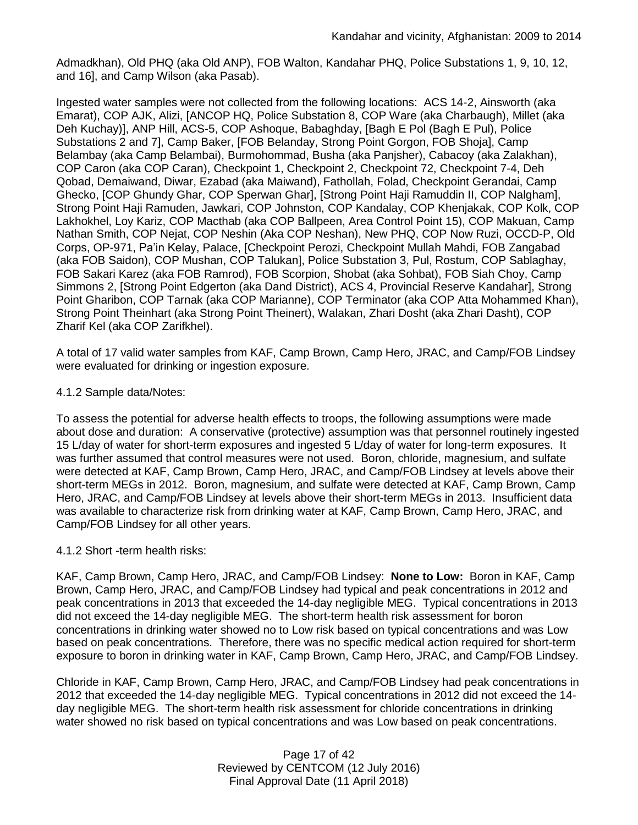Admadkhan), Old PHQ (aka Old ANP), FOB Walton, Kandahar PHQ, Police Substations 1, 9, 10, 12, and 16], and Camp Wilson (aka Pasab).

Ingested water samples were not collected from the following locations: ACS 14-2, Ainsworth (aka Emarat), COP AJK, Alizi, [ANCOP HQ, Police Substation 8, COP Ware (aka Charbaugh), Millet (aka Deh Kuchay)], ANP Hill, ACS-5, COP Ashoque, Babaghday, [Bagh E Pol (Bagh E Pul), Police Substations 2 and 7], Camp Baker, [FOB Belanday, Strong Point Gorgon, FOB Shoja], Camp Belambay (aka Camp Belambai), Burmohommad, Busha (aka Panjsher), Cabacoy (aka Zalakhan), COP Caron (aka COP Caran), Checkpoint 1, Checkpoint 2, Checkpoint 72, Checkpoint 7-4, Deh Qobad, Demaiwand, Diwar, Ezabad (aka Maiwand), Fathollah, Folad, Checkpoint Gerandai, Camp Ghecko, [COP Ghundy Ghar, COP Sperwan Ghar], [Strong Point Haji Ramuddin II, COP Nalgham], Strong Point Haji Ramuden, Jawkari, COP Johnston, COP Kandalay, COP Khenjakak, COP Kolk, COP Lakhokhel, Loy Kariz, COP Macthab (aka COP Ballpeen, Area Control Point 15), COP Makuan, Camp Nathan Smith, COP Nejat, COP Neshin (Aka COP Neshan), New PHQ, COP Now Ruzi, OCCD-P, Old Corps, OP-971, Pa'in Kelay, Palace, [Checkpoint Perozi, Checkpoint Mullah Mahdi, FOB Zangabad (aka FOB Saidon), COP Mushan, COP Talukan], Police Substation 3, Pul, Rostum, COP Sablaghay, FOB Sakari Karez (aka FOB Ramrod), FOB Scorpion, Shobat (aka Sohbat), FOB Siah Choy, Camp Simmons 2, [Strong Point Edgerton (aka Dand District), ACS 4, Provincial Reserve Kandahar], Strong Point Gharibon, COP Tarnak (aka COP Marianne), COP Terminator (aka COP Atta Mohammed Khan), Strong Point Theinhart (aka Strong Point Theinert), Walakan, Zhari Dosht (aka Zhari Dasht), COP Zharif Kel (aka COP Zarifkhel).

A total of 17 valid water samples from KAF, Camp Brown, Camp Hero, JRAC, and Camp/FOB Lindsey were evaluated for drinking or ingestion exposure.

# 4.1.2 Sample data/Notes:

To assess the potential for adverse health effects to troops, the following assumptions were made about dose and duration: A conservative (protective) assumption was that personnel routinely ingested 15 L/day of water for short-term exposures and ingested 5 L/day of water for long-term exposures. It was further assumed that control measures were not used. Boron, chloride, magnesium, and sulfate were detected at KAF, Camp Brown, Camp Hero, JRAC, and Camp/FOB Lindsey at levels above their short-term MEGs in 2012. Boron, magnesium, and sulfate were detected at KAF, Camp Brown, Camp Hero, JRAC, and Camp/FOB Lindsey at levels above their short-term MEGs in 2013. Insufficient data was available to characterize risk from drinking water at KAF, Camp Brown, Camp Hero, JRAC, and Camp/FOB Lindsey for all other years.

# 4.1.2 Short -term health risks:

KAF, Camp Brown, Camp Hero, JRAC, and Camp/FOB Lindsey: **None to Low:** Boron in KAF, Camp Brown, Camp Hero, JRAC, and Camp/FOB Lindsey had typical and peak concentrations in 2012 and peak concentrations in 2013 that exceeded the 14-day negligible MEG. Typical concentrations in 2013 did not exceed the 14-day negligible MEG. The short-term health risk assessment for boron concentrations in drinking water showed no to Low risk based on typical concentrations and was Low based on peak concentrations. Therefore, there was no specific medical action required for short-term exposure to boron in drinking water in KAF, Camp Brown, Camp Hero, JRAC, and Camp/FOB Lindsey.

Chloride in KAF, Camp Brown, Camp Hero, JRAC, and Camp/FOB Lindsey had peak concentrations in 2012 that exceeded the 14-day negligible MEG. Typical concentrations in 2012 did not exceed the 14 day negligible MEG. The short-term health risk assessment for chloride concentrations in drinking water showed no risk based on typical concentrations and was Low based on peak concentrations.

> Page 17 of 42 Reviewed by CENTCOM (12 July 2016) Final Approval Date (11 April 2018)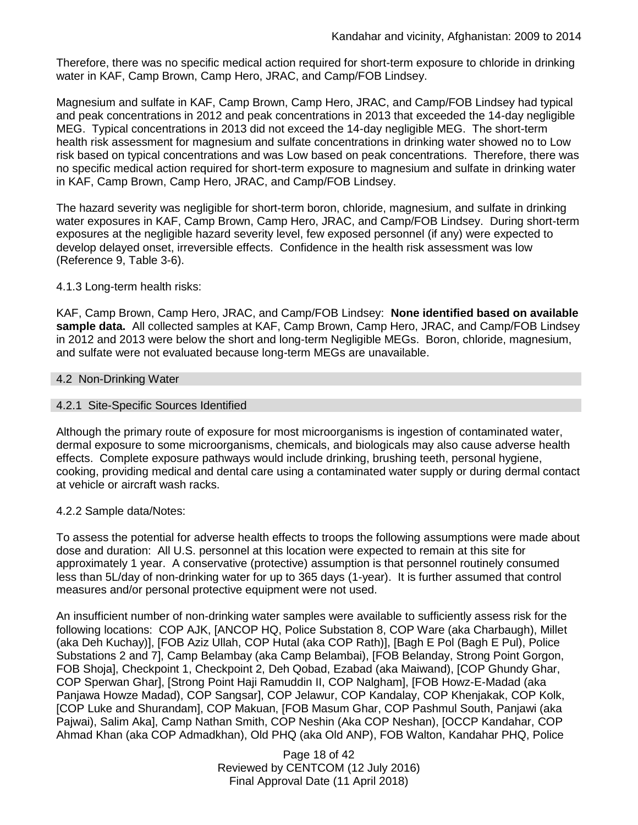Therefore, there was no specific medical action required for short-term exposure to chloride in drinking water in KAF, Camp Brown, Camp Hero, JRAC, and Camp/FOB Lindsey.

Magnesium and sulfate in KAF, Camp Brown, Camp Hero, JRAC, and Camp/FOB Lindsey had typical and peak concentrations in 2012 and peak concentrations in 2013 that exceeded the 14-day negligible MEG. Typical concentrations in 2013 did not exceed the 14-day negligible MEG. The short-term health risk assessment for magnesium and sulfate concentrations in drinking water showed no to Low risk based on typical concentrations and was Low based on peak concentrations. Therefore, there was no specific medical action required for short-term exposure to magnesium and sulfate in drinking water in KAF, Camp Brown, Camp Hero, JRAC, and Camp/FOB Lindsey.

The hazard severity was negligible for short-term boron, chloride, magnesium, and sulfate in drinking water exposures in KAF, Camp Brown, Camp Hero, JRAC, and Camp/FOB Lindsey. During short-term exposures at the negligible hazard severity level, few exposed personnel (if any) were expected to develop delayed onset, irreversible effects. Confidence in the health risk assessment was low (Reference 9, Table 3-6).

## 4.1.3 Long-term health risks:

KAF, Camp Brown, Camp Hero, JRAC, and Camp/FOB Lindsey: **None identified based on available sample data.** All collected samples at KAF, Camp Brown, Camp Hero, JRAC, and Camp/FOB Lindsey in 2012 and 2013 were below the short and long-term Negligible MEGs. Boron, chloride, magnesium, and sulfate were not evaluated because long-term MEGs are unavailable.

#### 4.2 Non-Drinking Water

#### 4.2.1 Site-Specific Sources Identified

Although the primary route of exposure for most microorganisms is ingestion of contaminated water, dermal exposure to some microorganisms, chemicals, and biologicals may also cause adverse health effects. Complete exposure pathways would include drinking, brushing teeth, personal hygiene, cooking, providing medical and dental care using a contaminated water supply or during dermal contact at vehicle or aircraft wash racks.

#### 4.2.2 Sample data/Notes:

To assess the potential for adverse health effects to troops the following assumptions were made about dose and duration: All U.S. personnel at this location were expected to remain at this site for approximately 1 year. A conservative (protective) assumption is that personnel routinely consumed less than 5L/day of non-drinking water for up to 365 days (1-year). It is further assumed that control measures and/or personal protective equipment were not used.

An insufficient number of non-drinking water samples were available to sufficiently assess risk for the following locations: COP AJK, [ANCOP HQ, Police Substation 8, COP Ware (aka Charbaugh), Millet (aka Deh Kuchay)], [FOB Aziz Ullah, COP Hutal (aka COP Rath)], [Bagh E Pol (Bagh E Pul), Police Substations 2 and 7], Camp Belambay (aka Camp Belambai), [FOB Belanday, Strong Point Gorgon, FOB Shoja], Checkpoint 1, Checkpoint 2, Deh Qobad, Ezabad (aka Maiwand), [COP Ghundy Ghar, COP Sperwan Ghar], [Strong Point Haji Ramuddin II, COP Nalgham], [FOB Howz-E-Madad (aka Panjawa Howze Madad), COP Sangsar], COP Jelawur, COP Kandalay, COP Khenjakak, COP Kolk, [COP Luke and Shurandam], COP Makuan, [FOB Masum Ghar, COP Pashmul South, Panjawi (aka Pajwai), Salim Aka], Camp Nathan Smith, COP Neshin (Aka COP Neshan), [OCCP Kandahar, COP Ahmad Khan (aka COP Admadkhan), Old PHQ (aka Old ANP), FOB Walton, Kandahar PHQ, Police

> Page 18 of 42 Reviewed by CENTCOM (12 July 2016) Final Approval Date (11 April 2018)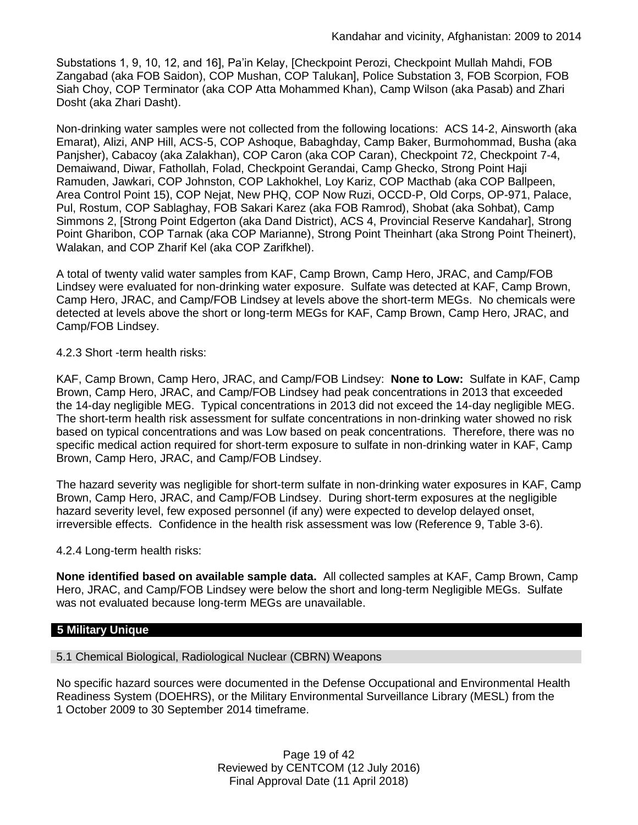Substations 1, 9, 10, 12, and 16], Pa'in Kelay, [Checkpoint Perozi, Checkpoint Mullah Mahdi, FOB Zangabad (aka FOB Saidon), COP Mushan, COP Talukan], Police Substation 3, FOB Scorpion, FOB Siah Choy, COP Terminator (aka COP Atta Mohammed Khan), Camp Wilson (aka Pasab) and Zhari Dosht (aka Zhari Dasht).

Non-drinking water samples were not collected from the following locations: ACS 14-2, Ainsworth (aka Emarat), Alizi, ANP Hill, ACS-5, COP Ashoque, Babaghday, Camp Baker, Burmohommad, Busha (aka Panjsher), Cabacoy (aka Zalakhan), COP Caron (aka COP Caran), Checkpoint 72, Checkpoint 7-4, Demaiwand, Diwar, Fathollah, Folad, Checkpoint Gerandai, Camp Ghecko, Strong Point Haji Ramuden, Jawkari, COP Johnston, COP Lakhokhel, Loy Kariz, COP Macthab (aka COP Ballpeen, Area Control Point 15), COP Nejat, New PHQ, COP Now Ruzi, OCCD-P, Old Corps, OP-971, Palace, Pul, Rostum, COP Sablaghay, FOB Sakari Karez (aka FOB Ramrod), Shobat (aka Sohbat), Camp Simmons 2, [Strong Point Edgerton (aka Dand District), ACS 4, Provincial Reserve Kandahar], Strong Point Gharibon, COP Tarnak (aka COP Marianne), Strong Point Theinhart (aka Strong Point Theinert), Walakan, and COP Zharif Kel (aka COP Zarifkhel).

A total of twenty valid water samples from KAF, Camp Brown, Camp Hero, JRAC, and Camp/FOB Lindsey were evaluated for non-drinking water exposure. Sulfate was detected at KAF, Camp Brown, Camp Hero, JRAC, and Camp/FOB Lindsey at levels above the short-term MEGs. No chemicals were detected at levels above the short or long-term MEGs for KAF, Camp Brown, Camp Hero, JRAC, and Camp/FOB Lindsey.

## 4.2.3 Short -term health risks:

KAF, Camp Brown, Camp Hero, JRAC, and Camp/FOB Lindsey: **None to Low:** Sulfate in KAF, Camp Brown, Camp Hero, JRAC, and Camp/FOB Lindsey had peak concentrations in 2013 that exceeded the 14-day negligible MEG. Typical concentrations in 2013 did not exceed the 14-day negligible MEG. The short-term health risk assessment for sulfate concentrations in non-drinking water showed no risk based on typical concentrations and was Low based on peak concentrations. Therefore, there was no specific medical action required for short-term exposure to sulfate in non-drinking water in KAF, Camp Brown, Camp Hero, JRAC, and Camp/FOB Lindsey.

The hazard severity was negligible for short-term sulfate in non-drinking water exposures in KAF, Camp Brown, Camp Hero, JRAC, and Camp/FOB Lindsey. During short-term exposures at the negligible hazard severity level, few exposed personnel (if any) were expected to develop delayed onset, irreversible effects. Confidence in the health risk assessment was low (Reference 9, Table 3-6).

#### 4.2.4 Long-term health risks:

**None identified based on available sample data.** All collected samples at KAF, Camp Brown, Camp Hero, JRAC, and Camp/FOB Lindsey were below the short and long-term Negligible MEGs. Sulfate was not evaluated because long-term MEGs are unavailable.

# **5 Military Unique**

5.1 Chemical Biological, Radiological Nuclear (CBRN) Weapons

No specific hazard sources were documented in the Defense Occupational and Environmental Health Readiness System (DOEHRS), or the Military Environmental Surveillance Library (MESL) from the 1 October 2009 to 30 September 2014 timeframe.

> Page 19 of 42 Reviewed by CENTCOM (12 July 2016) Final Approval Date (11 April 2018)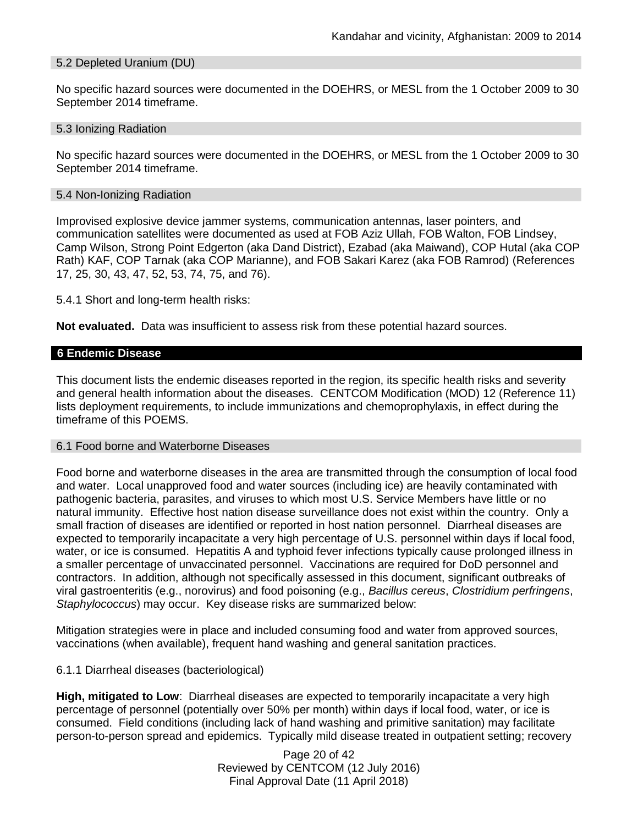## 5.2 Depleted Uranium (DU)

No specific hazard sources were documented in the DOEHRS, or MESL from the 1 October 2009 to 30 September 2014 timeframe.

#### 5.3 Ionizing Radiation

No specific hazard sources were documented in the DOEHRS, or MESL from the 1 October 2009 to 30 September 2014 timeframe.

#### 5.4 Non-Ionizing Radiation

Improvised explosive device jammer systems, communication antennas, laser pointers, and communication satellites were documented as used at FOB Aziz Ullah, FOB Walton, FOB Lindsey, Camp Wilson, Strong Point Edgerton (aka Dand District), Ezabad (aka Maiwand), COP Hutal (aka COP Rath) KAF, COP Tarnak (aka COP Marianne), and FOB Sakari Karez (aka FOB Ramrod) (References 17, 25, 30, 43, 47, 52, 53, 74, 75, and 76).

5.4.1 Short and long-term health risks:

**Not evaluated.** Data was insufficient to assess risk from these potential hazard sources.

#### **6 Endemic Disease**

This document lists the endemic diseases reported in the region, its specific health risks and severity and general health information about the diseases. CENTCOM Modification (MOD) 12 (Reference 11) lists deployment requirements, to include immunizations and chemoprophylaxis, in effect during the timeframe of this POEMS.

#### 6.1 Food borne and Waterborne Diseases

Food borne and waterborne diseases in the area are transmitted through the consumption of local food and water. Local unapproved food and water sources (including ice) are heavily contaminated with pathogenic bacteria, parasites, and viruses to which most U.S. Service Members have little or no natural immunity. Effective host nation disease surveillance does not exist within the country. Only a small fraction of diseases are identified or reported in host nation personnel. Diarrheal diseases are expected to temporarily incapacitate a very high percentage of U.S. personnel within days if local food, water, or ice is consumed. Hepatitis A and typhoid fever infections typically cause prolonged illness in a smaller percentage of unvaccinated personnel. Vaccinations are required for DoD personnel and contractors. In addition, although not specifically assessed in this document, significant outbreaks of viral gastroenteritis (e.g., norovirus) and food poisoning (e.g., *Bacillus cereus*, *Clostridium perfringens*, *Staphylococcus*) may occur. Key disease risks are summarized below:

Mitigation strategies were in place and included consuming food and water from approved sources, vaccinations (when available), frequent hand washing and general sanitation practices.

#### 6.1.1 Diarrheal diseases (bacteriological)

**High, mitigated to Low**: Diarrheal diseases are expected to temporarily incapacitate a very high percentage of personnel (potentially over 50% per month) within days if local food, water, or ice is consumed. Field conditions (including lack of hand washing and primitive sanitation) may facilitate person-to-person spread and epidemics. Typically mild disease treated in outpatient setting; recovery

> Page 20 of 42 Reviewed by CENTCOM (12 July 2016) Final Approval Date (11 April 2018)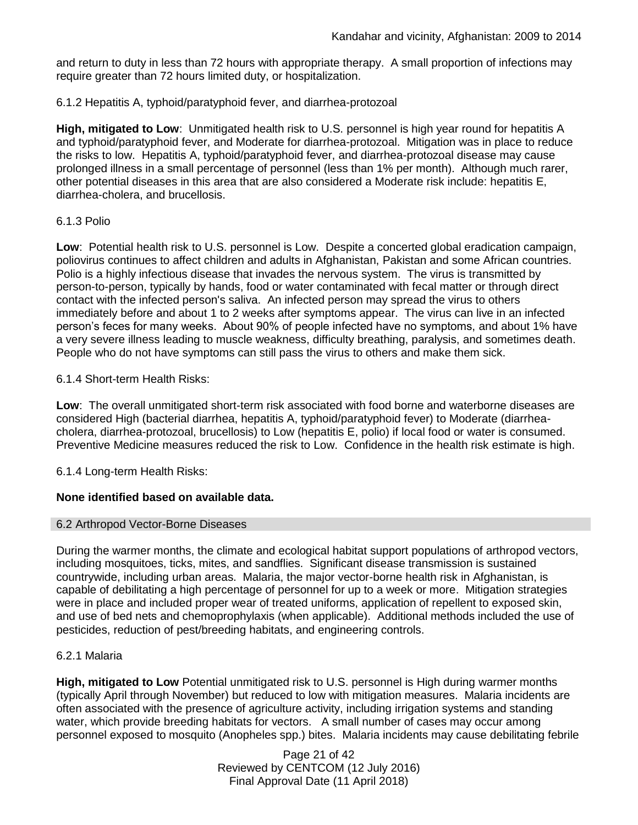and return to duty in less than 72 hours with appropriate therapy. A small proportion of infections may require greater than 72 hours limited duty, or hospitalization.

# 6.1.2 Hepatitis A, typhoid/paratyphoid fever, and diarrhea-protozoal

**High, mitigated to Low**: Unmitigated health risk to U.S. personnel is high year round for hepatitis A and typhoid/paratyphoid fever, and Moderate for diarrhea-protozoal. Mitigation was in place to reduce the risks to low. Hepatitis A, typhoid/paratyphoid fever, and diarrhea-protozoal disease may cause prolonged illness in a small percentage of personnel (less than 1% per month). Although much rarer, other potential diseases in this area that are also considered a Moderate risk include: hepatitis E, diarrhea-cholera, and brucellosis.

# 6.1.3 Polio

**Low**: Potential health risk to U.S. personnel is Low. Despite a concerted global eradication campaign, poliovirus continues to affect children and adults in Afghanistan, Pakistan and some African countries. Polio is a highly infectious disease that invades the nervous system. The virus is transmitted by person-to-person, typically by hands, food or water contaminated with fecal matter or through direct contact with the infected person's saliva. An infected person may spread the virus to others immediately before and about 1 to 2 weeks after symptoms appear. The virus can live in an infected person's feces for many weeks. About 90% of people infected have no symptoms, and about 1% have a very severe illness leading to muscle weakness, difficulty breathing, paralysis, and sometimes death. People who do not have symptoms can still pass the virus to others and make them sick.

# 6.1.4 Short-term Health Risks:

**Low**: The overall unmitigated short-term risk associated with food borne and waterborne diseases are considered High (bacterial diarrhea, hepatitis A, typhoid/paratyphoid fever) to Moderate (diarrheacholera, diarrhea-protozoal, brucellosis) to Low (hepatitis E, polio) if local food or water is consumed. Preventive Medicine measures reduced the risk to Low. Confidence in the health risk estimate is high.

# 6.1.4 Long-term Health Risks:

# **None identified based on available data.**

# 6.2 Arthropod Vector-Borne Diseases

During the warmer months, the climate and ecological habitat support populations of arthropod vectors, including mosquitoes, ticks, mites, and sandflies. Significant disease transmission is sustained countrywide, including urban areas. Malaria, the major vector-borne health risk in Afghanistan, is capable of debilitating a high percentage of personnel for up to a week or more. Mitigation strategies were in place and included proper wear of treated uniforms, application of repellent to exposed skin, and use of bed nets and chemoprophylaxis (when applicable). Additional methods included the use of pesticides, reduction of pest/breeding habitats, and engineering controls.

# 6.2.1 Malaria

**High, mitigated to Low** Potential unmitigated risk to U.S. personnel is High during warmer months (typically April through November) but reduced to low with mitigation measures. Malaria incidents are often associated with the presence of agriculture activity, including irrigation systems and standing water, which provide breeding habitats for vectors. A small number of cases may occur among personnel exposed to mosquito (Anopheles spp.) bites. Malaria incidents may cause debilitating febrile

> Page 21 of 42 Reviewed by CENTCOM (12 July 2016) Final Approval Date (11 April 2018)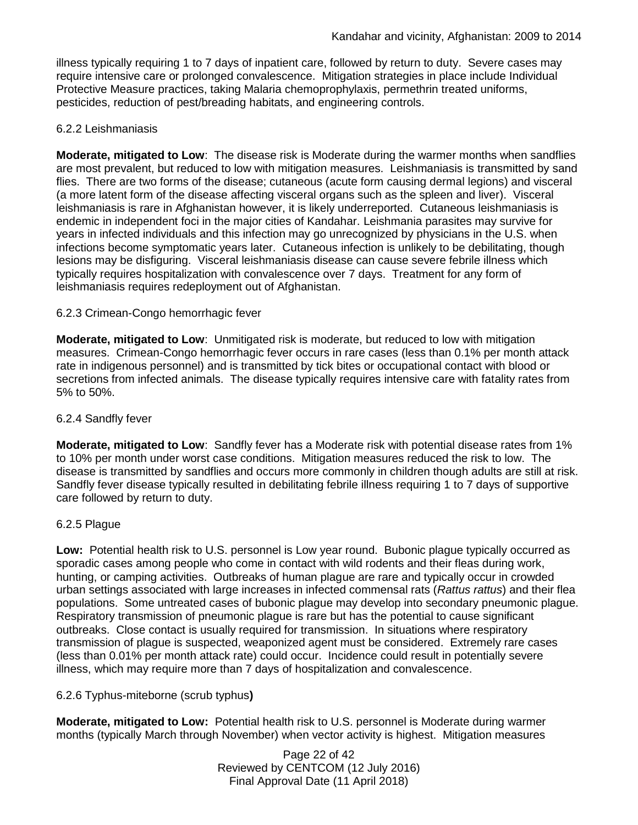illness typically requiring 1 to 7 days of inpatient care, followed by return to duty. Severe cases may require intensive care or prolonged convalescence. Mitigation strategies in place include Individual Protective Measure practices, taking Malaria chemoprophylaxis, permethrin treated uniforms, pesticides, reduction of pest/breading habitats, and engineering controls.

## 6.2.2 Leishmaniasis

**Moderate, mitigated to Low**: The disease risk is Moderate during the warmer months when sandflies are most prevalent, but reduced to low with mitigation measures. Leishmaniasis is transmitted by sand flies. There are two forms of the disease; cutaneous (acute form causing dermal legions) and visceral (a more latent form of the disease affecting visceral organs such as the spleen and liver). Visceral leishmaniasis is rare in Afghanistan however, it is likely underreported. Cutaneous leishmaniasis is endemic in independent foci in the major cities of Kandahar. Leishmania parasites may survive for years in infected individuals and this infection may go unrecognized by physicians in the U.S. when infections become symptomatic years later. Cutaneous infection is unlikely to be debilitating, though lesions may be disfiguring. Visceral leishmaniasis disease can cause severe febrile illness which typically requires hospitalization with convalescence over 7 days. Treatment for any form of leishmaniasis requires redeployment out of Afghanistan.

## 6.2.3 Crimean-Congo hemorrhagic fever

**Moderate, mitigated to Low**: Unmitigated risk is moderate, but reduced to low with mitigation measures. Crimean-Congo hemorrhagic fever occurs in rare cases (less than 0.1% per month attack rate in indigenous personnel) and is transmitted by tick bites or occupational contact with blood or secretions from infected animals. The disease typically requires intensive care with fatality rates from 5% to 50%.

#### 6.2.4 Sandfly fever

**Moderate, mitigated to Low**: Sandfly fever has a Moderate risk with potential disease rates from 1% to 10% per month under worst case conditions. Mitigation measures reduced the risk to low. The disease is transmitted by sandflies and occurs more commonly in children though adults are still at risk. Sandfly fever disease typically resulted in debilitating febrile illness requiring 1 to 7 days of supportive care followed by return to duty.

#### 6.2.5 Plague

**Low:** Potential health risk to U.S. personnel is Low year round. Bubonic plague typically occurred as sporadic cases among people who come in contact with wild rodents and their fleas during work, hunting, or camping activities. Outbreaks of human plague are rare and typically occur in crowded urban settings associated with large increases in infected commensal rats (*Rattus rattus*) and their flea populations. Some untreated cases of bubonic plague may develop into secondary pneumonic plague. Respiratory transmission of pneumonic plague is rare but has the potential to cause significant outbreaks. Close contact is usually required for transmission. In situations where respiratory transmission of plague is suspected, weaponized agent must be considered. Extremely rare cases (less than 0.01% per month attack rate) could occur. Incidence could result in potentially severe illness, which may require more than 7 days of hospitalization and convalescence.

#### 6.2.6 Typhus-miteborne (scrub typhus**)**

**Moderate, mitigated to Low:** Potential health risk to U.S. personnel is Moderate during warmer months (typically March through November) when vector activity is highest. Mitigation measures

> Page 22 of 42 Reviewed by CENTCOM (12 July 2016) Final Approval Date (11 April 2018)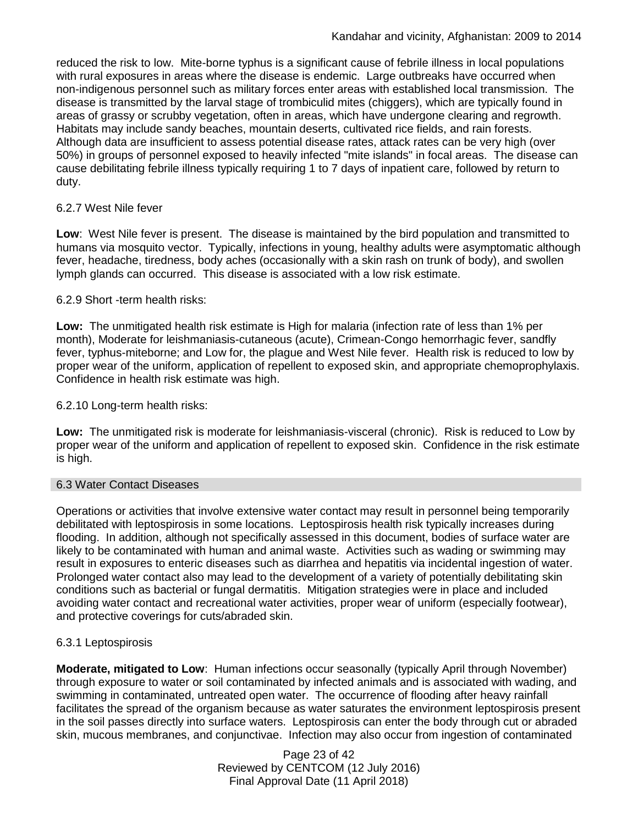reduced the risk to low. Mite-borne typhus is a significant cause of febrile illness in local populations with rural exposures in areas where the disease is endemic. Large outbreaks have occurred when non-indigenous personnel such as military forces enter areas with established local transmission. The disease is transmitted by the larval stage of trombiculid mites (chiggers), which are typically found in areas of grassy or scrubby vegetation, often in areas, which have undergone clearing and regrowth. Habitats may include sandy beaches, mountain deserts, cultivated rice fields, and rain forests. Although data are insufficient to assess potential disease rates, attack rates can be very high (over 50%) in groups of personnel exposed to heavily infected "mite islands" in focal areas. The disease can cause debilitating febrile illness typically requiring 1 to 7 days of inpatient care, followed by return to duty.

# 6.2.7 West Nile fever

**Low**: West Nile fever is present. The disease is maintained by the bird population and transmitted to humans via mosquito vector. Typically, infections in young, healthy adults were asymptomatic although fever, headache, tiredness, body aches (occasionally with a skin rash on trunk of body), and swollen lymph glands can occurred. This disease is associated with a low risk estimate.

## 6.2.9 Short -term health risks:

**Low:** The unmitigated health risk estimate is High for malaria (infection rate of less than 1% per month), Moderate for leishmaniasis-cutaneous (acute), Crimean-Congo hemorrhagic fever, sandfly fever, typhus-miteborne; and Low for, the plague and West Nile fever. Health risk is reduced to low by proper wear of the uniform, application of repellent to exposed skin, and appropriate chemoprophylaxis. Confidence in health risk estimate was high.

## 6.2.10 Long-term health risks:

**Low:** The unmitigated risk is moderate for leishmaniasis-visceral (chronic). Risk is reduced to Low by proper wear of the uniform and application of repellent to exposed skin. Confidence in the risk estimate is high.

#### 6.3 Water Contact Diseases

Operations or activities that involve extensive water contact may result in personnel being temporarily debilitated with leptospirosis in some locations. Leptospirosis health risk typically increases during flooding. In addition, although not specifically assessed in this document, bodies of surface water are likely to be contaminated with human and animal waste. Activities such as wading or swimming may result in exposures to enteric diseases such as diarrhea and hepatitis via incidental ingestion of water. Prolonged water contact also may lead to the development of a variety of potentially debilitating skin conditions such as bacterial or fungal dermatitis. Mitigation strategies were in place and included avoiding water contact and recreational water activities, proper wear of uniform (especially footwear), and protective coverings for cuts/abraded skin.

# 6.3.1 Leptospirosis

**Moderate, mitigated to Low**: Human infections occur seasonally (typically April through November) through exposure to water or soil contaminated by infected animals and is associated with wading, and swimming in contaminated, untreated open water. The occurrence of flooding after heavy rainfall facilitates the spread of the organism because as water saturates the environment leptospirosis present in the soil passes directly into surface waters. Leptospirosis can enter the body through cut or abraded skin, mucous membranes, and conjunctivae. Infection may also occur from ingestion of contaminated

> Page 23 of 42 Reviewed by CENTCOM (12 July 2016) Final Approval Date (11 April 2018)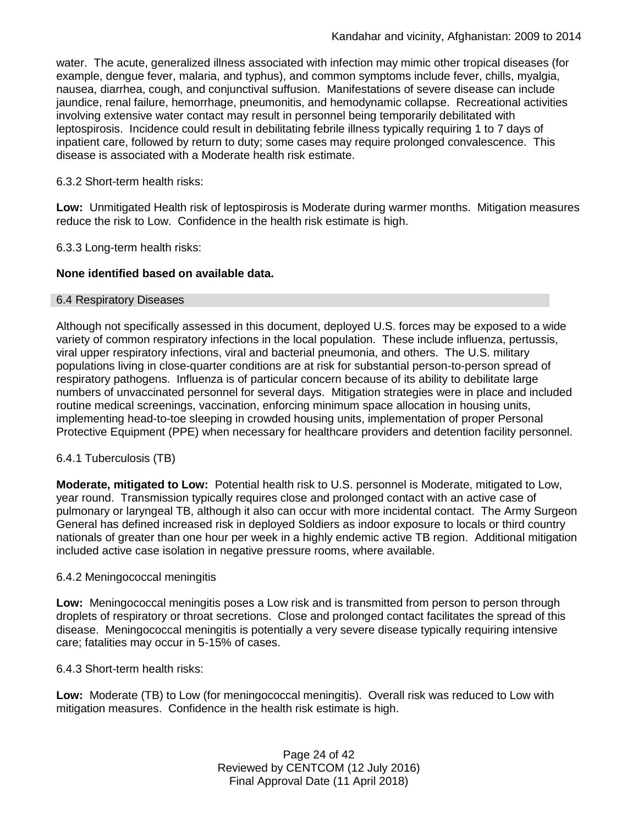water. The acute, generalized illness associated with infection may mimic other tropical diseases (for example, dengue fever, malaria, and typhus), and common symptoms include fever, chills, myalgia, nausea, diarrhea, cough, and conjunctival suffusion. Manifestations of severe disease can include jaundice, renal failure, hemorrhage, pneumonitis, and hemodynamic collapse. Recreational activities involving extensive water contact may result in personnel being temporarily debilitated with leptospirosis. Incidence could result in debilitating febrile illness typically requiring 1 to 7 days of inpatient care, followed by return to duty; some cases may require prolonged convalescence. This disease is associated with a Moderate health risk estimate.

# 6.3.2 Short-term health risks:

**Low:** Unmitigated Health risk of leptospirosis is Moderate during warmer months. Mitigation measures reduce the risk to Low. Confidence in the health risk estimate is high.

6.3.3 Long-term health risks:

## **None identified based on available data.**

#### 6.4 Respiratory Diseases

Although not specifically assessed in this document, deployed U.S. forces may be exposed to a wide variety of common respiratory infections in the local population. These include influenza, pertussis, viral upper respiratory infections, viral and bacterial pneumonia, and others. The U.S. military populations living in close-quarter conditions are at risk for substantial person-to-person spread of respiratory pathogens. Influenza is of particular concern because of its ability to debilitate large numbers of unvaccinated personnel for several days. Mitigation strategies were in place and included routine medical screenings, vaccination, enforcing minimum space allocation in housing units, implementing head-to-toe sleeping in crowded housing units, implementation of proper Personal Protective Equipment (PPE) when necessary for healthcare providers and detention facility personnel.

#### 6.4.1 Tuberculosis (TB)

**Moderate, mitigated to Low:** Potential health risk to U.S. personnel is Moderate, mitigated to Low, year round. Transmission typically requires close and prolonged contact with an active case of pulmonary or laryngeal TB, although it also can occur with more incidental contact. The Army Surgeon General has defined increased risk in deployed Soldiers as indoor exposure to locals or third country nationals of greater than one hour per week in a highly endemic active TB region. Additional mitigation included active case isolation in negative pressure rooms, where available.

#### 6.4.2 Meningococcal meningitis

**Low:** Meningococcal meningitis poses a Low risk and is transmitted from person to person through droplets of respiratory or throat secretions. Close and prolonged contact facilitates the spread of this disease. Meningococcal meningitis is potentially a very severe disease typically requiring intensive care; fatalities may occur in 5-15% of cases.

6.4.3 Short-term health risks:

**Low:** Moderate (TB) to Low (for meningococcal meningitis). Overall risk was reduced to Low with mitigation measures. Confidence in the health risk estimate is high.

> Page 24 of 42 Reviewed by CENTCOM (12 July 2016) Final Approval Date (11 April 2018)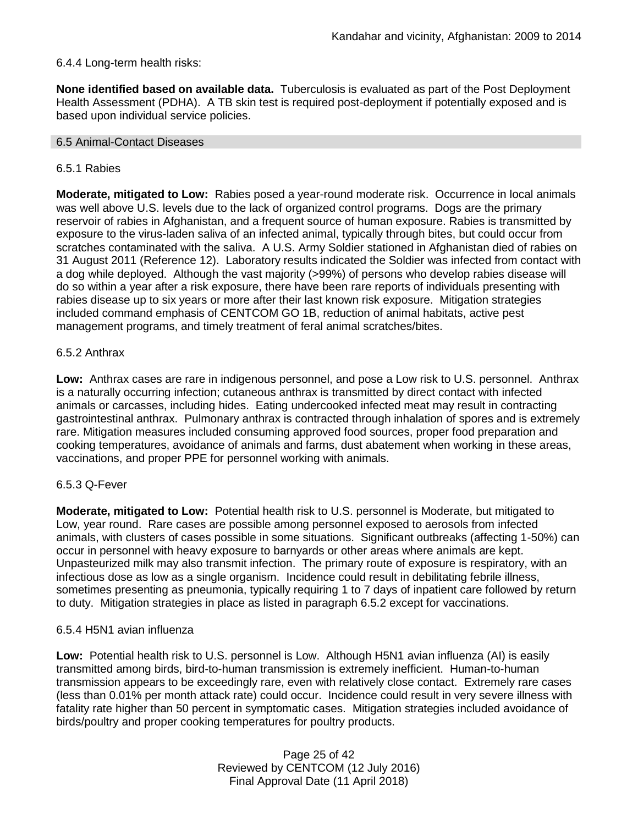# 6.4.4 Long-term health risks:

**None identified based on available data.** Tuberculosis is evaluated as part of the Post Deployment Health Assessment (PDHA). A TB skin test is required post-deployment if potentially exposed and is based upon individual service policies.

#### 6.5 Animal-Contact Diseases

## 6.5.1 Rabies

**Moderate, mitigated to Low:** Rabies posed a year-round moderate risk. Occurrence in local animals was well above U.S. levels due to the lack of organized control programs. Dogs are the primary reservoir of rabies in Afghanistan, and a frequent source of human exposure. Rabies is transmitted by exposure to the virus-laden saliva of an infected animal, typically through bites, but could occur from scratches contaminated with the saliva. A U.S. Army Soldier stationed in Afghanistan died of rabies on 31 August 2011 (Reference 12). Laboratory results indicated the Soldier was infected from contact with a dog while deployed. Although the vast majority (>99%) of persons who develop rabies disease will do so within a year after a risk exposure, there have been rare reports of individuals presenting with rabies disease up to six years or more after their last known risk exposure. Mitigation strategies included command emphasis of CENTCOM GO 1B, reduction of animal habitats, active pest management programs, and timely treatment of feral animal scratches/bites.

## 6.5.2 Anthrax

**Low:** Anthrax cases are rare in indigenous personnel, and pose a Low risk to U.S. personnel. Anthrax is a naturally occurring infection; cutaneous anthrax is transmitted by direct contact with infected animals or carcasses, including hides. Eating undercooked infected meat may result in contracting gastrointestinal anthrax. Pulmonary anthrax is contracted through inhalation of spores and is extremely rare. Mitigation measures included consuming approved food sources, proper food preparation and cooking temperatures, avoidance of animals and farms, dust abatement when working in these areas, vaccinations, and proper PPE for personnel working with animals.

#### 6.5.3 Q-Fever

**Moderate, mitigated to Low:** Potential health risk to U.S. personnel is Moderate, but mitigated to Low, year round. Rare cases are possible among personnel exposed to aerosols from infected animals, with clusters of cases possible in some situations. Significant outbreaks (affecting 1-50%) can occur in personnel with heavy exposure to barnyards or other areas where animals are kept. Unpasteurized milk may also transmit infection. The primary route of exposure is respiratory, with an infectious dose as low as a single organism. Incidence could result in debilitating febrile illness, sometimes presenting as pneumonia, typically requiring 1 to 7 days of inpatient care followed by return to duty. Mitigation strategies in place as listed in paragraph 6.5.2 except for vaccinations.

#### 6.5.4 H5N1 avian influenza

**Low:** Potential health risk to U.S. personnel is Low. Although H5N1 avian influenza (AI) is easily transmitted among birds, bird-to-human transmission is extremely inefficient. Human-to-human transmission appears to be exceedingly rare, even with relatively close contact. Extremely rare cases (less than 0.01% per month attack rate) could occur. Incidence could result in very severe illness with fatality rate higher than 50 percent in symptomatic cases. Mitigation strategies included avoidance of birds/poultry and proper cooking temperatures for poultry products.

> Page 25 of 42 Reviewed by CENTCOM (12 July 2016) Final Approval Date (11 April 2018)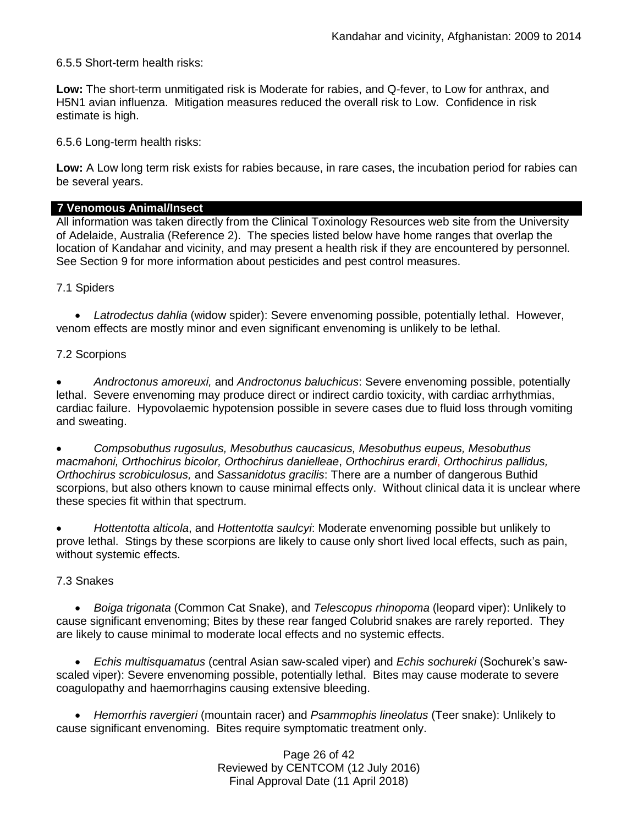6.5.5 Short-term health risks:

**Low:** The short-term unmitigated risk is Moderate for rabies, and Q-fever, to Low for anthrax, and H5N1 avian influenza. Mitigation measures reduced the overall risk to Low.Confidence in risk estimate is high.

6.5.6 Long-term health risks:

**Low:** A Low long term risk exists for rabies because, in rare cases, the incubation period for rabies can be several years.

## **7 Venomous Animal/Insect**

All information was taken directly from the Clinical Toxinology Resources web site from the University of Adelaide, Australia (Reference 2). The species listed below have home ranges that overlap the location of Kandahar and vicinity, and may present a health risk if they are encountered by personnel. See Section 9 for more information about pesticides and pest control measures.

7.1 Spiders

 *Latrodectus dahlia* (widow spider): Severe envenoming possible, potentially lethal. However, venom effects are mostly minor and even significant envenoming is unlikely to be lethal.

## 7.2 Scorpions

 *Androctonus amoreuxi,* and *Androctonus baluchicus*: Severe envenoming possible, potentially lethal. Severe envenoming may produce direct or indirect cardio toxicity, with cardiac arrhythmias, cardiac failure. Hypovolaemic hypotension possible in severe cases due to fluid loss through vomiting and sweating.

 *Compsobuthus rugosulus, Mesobuthus caucasicus, Mesobuthus eupeus, Mesobuthus macmahoni, Orthochirus bicolor, Orthochirus danielleae*, *Orthochirus erardi*, *Orthochirus pallidus, Orthochirus scrobiculosus,* and *Sassanidotus gracilis*: There are a number of dangerous Buthid scorpions, but also others known to cause minimal effects only. Without clinical data it is unclear where these species fit within that spectrum.

 *Hottentotta alticola*, and *Hottentotta saulcyi*: Moderate envenoming possible but unlikely to prove lethal. Stings by these scorpions are likely to cause only short lived local effects, such as pain, without systemic effects.

#### 7.3 Snakes

 *[Boiga](http://www.toxinology.com/fusebox.cfm?fuseaction=main.snakes.display&id=SN0722) [trigonata](http://www.toxinology.com/fusebox.cfm?fuseaction=main.snakes.display&id=SN0722)* (Common Cat Snake), and *Telescopus rhinopoma* (leopard viper): Unlikely to cause significant envenoming; Bites by these rear fanged Colubrid snakes are rarely reported. They are likely to cause minimal to moderate local effects and no systemic effects.

 *Echis multisquamatus* (central Asian saw-scaled viper) and *Echis sochureki* (Sochurek's sawscaled viper): Severe envenoming possible, potentially lethal. Bites may cause moderate to severe coagulopathy and haemorrhagins causing extensive bleeding.

 *Hemorrhis ravergieri* (mountain racer) and *Psammophis lineolatus* (Teer snake): Unlikely to cause significant envenoming. Bites require symptomatic treatment only.

> Page 26 of 42 Reviewed by CENTCOM (12 July 2016) Final Approval Date (11 April 2018)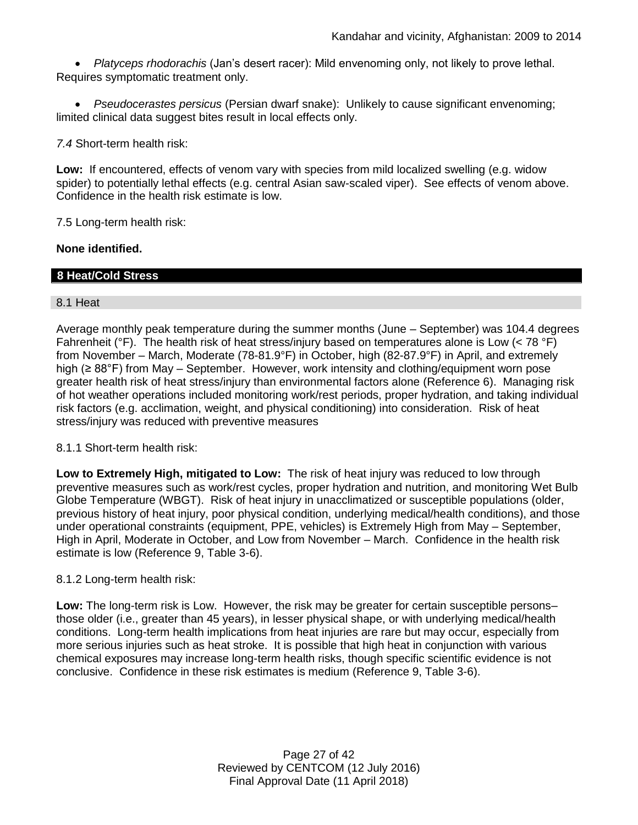*Platyceps rhodorachis* (Jan's desert racer): Mild envenoming only, not likely to prove lethal. Requires symptomatic treatment only.

 *Pseudocerastes persicus* (Persian dwarf snake): Unlikely to cause significant envenoming; limited clinical data suggest bites result in local effects only.

*7.4* Short-term health risk:

**Low:** If encountered, effects of venom vary with species from mild localized swelling (e.g. widow spider) to potentially lethal effects (e.g. central Asian saw-scaled viper). See effects of venom above. Confidence in the health risk estimate is low.

7.5 Long-term health risk:

# **None identified.**

# **8 Heat/Cold Stress**

## 8.1 Heat

Average monthly peak temperature during the summer months (June – September) was 104.4 degrees Fahrenheit ( ${}^{\circ}$ F). The health risk of heat stress/injury based on temperatures alone is Low (< 78  ${}^{\circ}$ F) from November – March, Moderate (78-81.9°F) in October, high (82-87.9°F) in April, and extremely high (≥ 88°F) from May – September. However, work intensity and clothing/equipment worn pose greater health risk of heat stress/injury than environmental factors alone (Reference 6). Managing risk of hot weather operations included monitoring work/rest periods, proper hydration, and taking individual risk factors (e.g. acclimation, weight, and physical conditioning) into consideration. Risk of heat stress/injury was reduced with preventive measures

# 8.1.1 Short-term health risk:

**Low to Extremely High, mitigated to Low:** The risk of heat injury was reduced to low through preventive measures such as work/rest cycles, proper hydration and nutrition, and monitoring Wet Bulb Globe Temperature (WBGT). Risk of heat injury in unacclimatized or susceptible populations (older, previous history of heat injury, poor physical condition, underlying medical/health conditions), and those under operational constraints (equipment, PPE, vehicles) is Extremely High from May – September, High in April, Moderate in October, and Low from November – March. Confidence in the health risk estimate is low (Reference 9, Table 3-6).

#### 8.1.2 Long-term health risk:

**Low:** The long-term risk is Low. However, the risk may be greater for certain susceptible persons– those older (i.e., greater than 45 years), in lesser physical shape, or with underlying medical/health conditions. Long-term health implications from heat injuries are rare but may occur, especially from more serious injuries such as heat stroke. It is possible that high heat in conjunction with various chemical exposures may increase long-term health risks, though specific scientific evidence is not conclusive. Confidence in these risk estimates is medium (Reference 9, Table 3-6).

> Page 27 of 42 Reviewed by CENTCOM (12 July 2016) Final Approval Date (11 April 2018)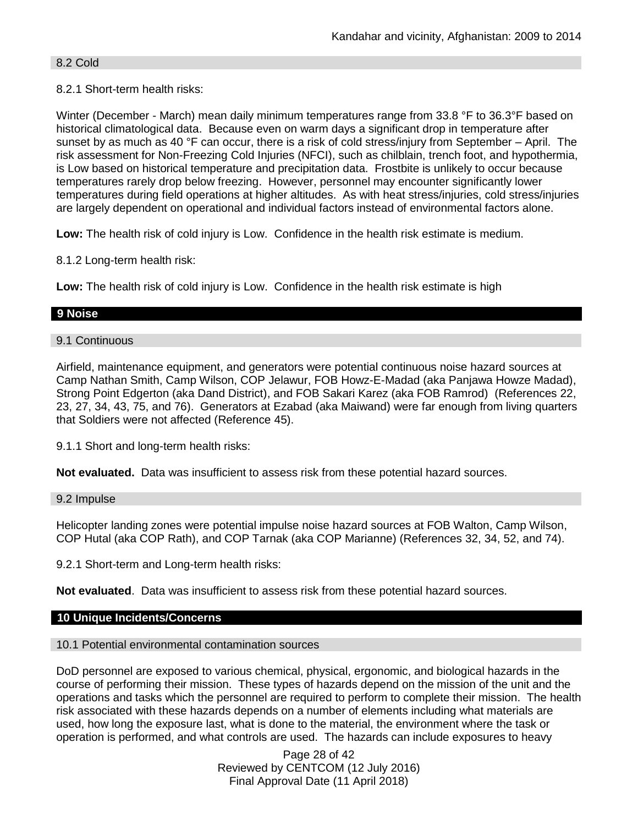# 8.2 Cold

# 8.2.1 Short-term health risks:

Winter (December - March) mean daily minimum temperatures range from 33.8 °F to 36.3°F based on historical climatological data. Because even on warm days a significant drop in temperature after sunset by as much as 40 °F can occur, there is a risk of cold stress/injury from September – April. The risk assessment for Non-Freezing Cold Injuries (NFCI), such as chilblain, trench foot, and hypothermia, is Low based on historical temperature and precipitation data. Frostbite is unlikely to occur because temperatures rarely drop below freezing. However, personnel may encounter significantly lower temperatures during field operations at higher altitudes. As with heat stress/injuries, cold stress/injuries are largely dependent on operational and individual factors instead of environmental factors alone.

**Low:** The health risk of cold injury is Low. Confidence in the health risk estimate is medium.

8.1.2 Long-term health risk:

**Low:** The health risk of cold injury is Low. Confidence in the health risk estimate is high

# **9 Noise**

# 9.1 Continuous

Airfield, maintenance equipment, and generators were potential continuous noise hazard sources at Camp Nathan Smith, Camp Wilson, COP Jelawur, FOB Howz-E-Madad (aka Panjawa Howze Madad), Strong Point Edgerton (aka Dand District), and FOB Sakari Karez (aka FOB Ramrod) (References 22, 23, 27, 34, 43, 75, and 76). Generators at Ezabad (aka Maiwand) were far enough from living quarters that Soldiers were not affected (Reference 45).

9.1.1 Short and long-term health risks:

**Not evaluated.** Data was insufficient to assess risk from these potential hazard sources.

#### 9.2 Impulse

Helicopter landing zones were potential impulse noise hazard sources at FOB Walton, Camp Wilson, COP Hutal (aka COP Rath), and COP Tarnak (aka COP Marianne) (References 32, 34, 52, and 74).

9.2.1 Short-term and Long-term health risks:

**Not evaluated**. Data was insufficient to assess risk from these potential hazard sources.

## **10 Unique Incidents/Concerns**

## 10.1 Potential environmental contamination sources

DoD personnel are exposed to various chemical, physical, ergonomic, and biological hazards in the course of performing their mission. These types of hazards depend on the mission of the unit and the operations and tasks which the personnel are required to perform to complete their mission. The health risk associated with these hazards depends on a number of elements including what materials are used, how long the exposure last, what is done to the material, the environment where the task or operation is performed, and what controls are used. The hazards can include exposures to heavy

> Page 28 of 42 Reviewed by CENTCOM (12 July 2016) Final Approval Date (11 April 2018)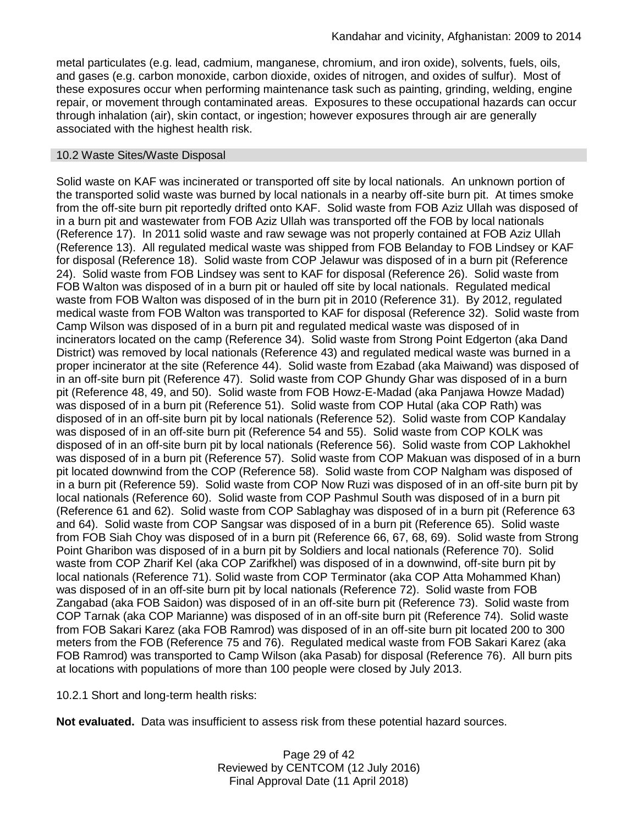metal particulates (e.g. lead, cadmium, manganese, chromium, and iron oxide), solvents, fuels, oils, and gases (e.g. carbon monoxide, carbon dioxide, oxides of nitrogen, and oxides of sulfur). Most of these exposures occur when performing maintenance task such as painting, grinding, welding, engine repair, or movement through contaminated areas. Exposures to these occupational hazards can occur through inhalation (air), skin contact, or ingestion; however exposures through air are generally associated with the highest health risk.

#### 10.2 Waste Sites/Waste Disposal

Solid waste on KAF was incinerated or transported off site by local nationals. An unknown portion of the transported solid waste was burned by local nationals in a nearby off-site burn pit. At times smoke from the off-site burn pit reportedly drifted onto KAF. Solid waste from FOB Aziz Ullah was disposed of in a burn pit and wastewater from FOB Aziz Ullah was transported off the FOB by local nationals (Reference 17). In 2011 solid waste and raw sewage was not properly contained at FOB Aziz Ullah (Reference 13). All regulated medical waste was shipped from FOB Belanday to FOB Lindsey or KAF for disposal (Reference 18). Solid waste from COP Jelawur was disposed of in a burn pit (Reference 24). Solid waste from FOB Lindsey was sent to KAF for disposal (Reference 26). Solid waste from FOB Walton was disposed of in a burn pit or hauled off site by local nationals. Regulated medical waste from FOB Walton was disposed of in the burn pit in 2010 (Reference 31). By 2012, regulated medical waste from FOB Walton was transported to KAF for disposal (Reference 32). Solid waste from Camp Wilson was disposed of in a burn pit and regulated medical waste was disposed of in incinerators located on the camp (Reference 34). Solid waste from Strong Point Edgerton (aka Dand District) was removed by local nationals (Reference 43) and regulated medical waste was burned in a proper incinerator at the site (Reference 44). Solid waste from Ezabad (aka Maiwand) was disposed of in an off-site burn pit (Reference 47). Solid waste from COP Ghundy Ghar was disposed of in a burn pit (Reference 48, 49, and 50). Solid waste from FOB Howz-E-Madad (aka Panjawa Howze Madad) was disposed of in a burn pit (Reference 51). Solid waste from COP Hutal (aka COP Rath) was disposed of in an off-site burn pit by local nationals (Reference 52). Solid waste from COP Kandalay was disposed of in an off-site burn pit (Reference 54 and 55). Solid waste from COP KOLK was disposed of in an off-site burn pit by local nationals (Reference 56). Solid waste from COP Lakhokhel was disposed of in a burn pit (Reference 57). Solid waste from COP Makuan was disposed of in a burn pit located downwind from the COP (Reference 58). Solid waste from COP Nalgham was disposed of in a burn pit (Reference 59). Solid waste from COP Now Ruzi was disposed of in an off-site burn pit by local nationals (Reference 60). Solid waste from COP Pashmul South was disposed of in a burn pit (Reference 61 and 62). Solid waste from COP Sablaghay was disposed of in a burn pit (Reference 63 and 64). Solid waste from COP Sangsar was disposed of in a burn pit (Reference 65). Solid waste from FOB Siah Choy was disposed of in a burn pit (Reference 66, 67, 68, 69). Solid waste from Strong Point Gharibon was disposed of in a burn pit by Soldiers and local nationals (Reference 70). Solid waste from COP Zharif Kel (aka COP Zarifkhel) was disposed of in a downwind, off-site burn pit by local nationals (Reference 71). Solid waste from COP Terminator (aka COP Atta Mohammed Khan) was disposed of in an off-site burn pit by local nationals (Reference 72). Solid waste from FOB Zangabad (aka FOB Saidon) was disposed of in an off-site burn pit (Reference 73). Solid waste from COP Tarnak (aka COP Marianne) was disposed of in an off-site burn pit (Reference 74). Solid waste from FOB Sakari Karez (aka FOB Ramrod) was disposed of in an off-site burn pit located 200 to 300 meters from the FOB (Reference 75 and 76). Regulated medical waste from FOB Sakari Karez (aka FOB Ramrod) was transported to Camp Wilson (aka Pasab) for disposal (Reference 76). All burn pits at locations with populations of more than 100 people were closed by July 2013.

10.2.1 Short and long-term health risks:

**Not evaluated.** Data was insufficient to assess risk from these potential hazard sources.

Page 29 of 42 Reviewed by CENTCOM (12 July 2016) Final Approval Date (11 April 2018)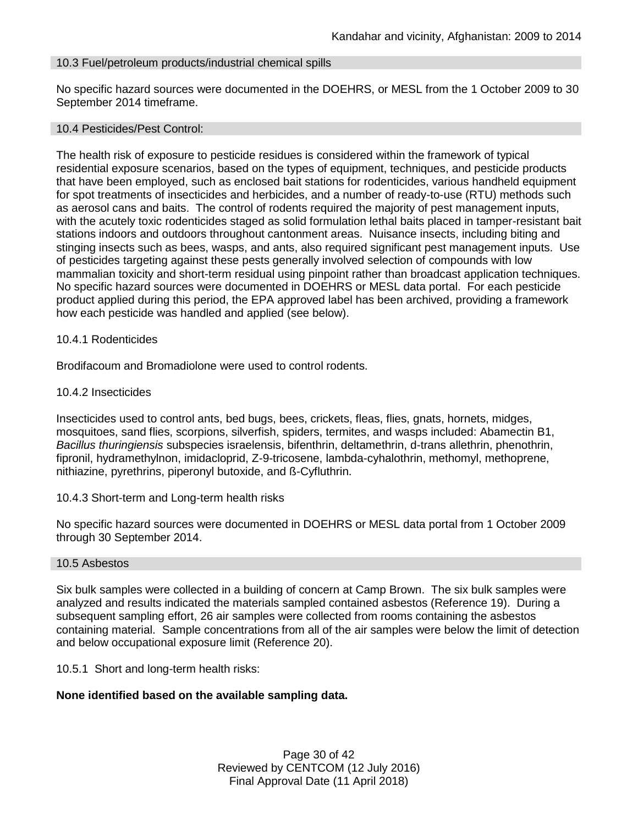## 10.3 Fuel/petroleum products/industrial chemical spills

No specific hazard sources were documented in the DOEHRS, or MESL from the 1 October 2009 to 30 September 2014 timeframe.

#### 10.4 Pesticides/Pest Control:

The health risk of exposure to pesticide residues is considered within the framework of typical residential exposure scenarios, based on the types of equipment, techniques, and pesticide products that have been employed, such as enclosed bait stations for rodenticides, various handheld equipment for spot treatments of insecticides and herbicides, and a number of ready-to-use (RTU) methods such as aerosol cans and baits. The control of rodents required the majority of pest management inputs, with the acutely toxic rodenticides staged as solid formulation lethal baits placed in tamper-resistant bait stations indoors and outdoors throughout cantonment areas. Nuisance insects, including biting and stinging insects such as bees, wasps, and ants, also required significant pest management inputs. Use of pesticides targeting against these pests generally involved selection of compounds with low mammalian toxicity and short-term residual using pinpoint rather than broadcast application techniques. No specific hazard sources were documented in DOEHRS or MESL data portal. For each pesticide product applied during this period, the EPA approved label has been archived, providing a framework how each pesticide was handled and applied (see below).

#### 10.4.1 Rodenticides

Brodifacoum and Bromadiolone were used to control rodents.

#### 10.4.2 Insecticides

Insecticides used to control ants, bed bugs, bees, crickets, fleas, flies, gnats, hornets, midges, mosquitoes, sand flies, scorpions, silverfish, spiders, termites, and wasps included: Abamectin B1, *Bacillus thuringiensis* subspecies israelensis, bifenthrin, deltamethrin, d-trans allethrin, phenothrin, fipronil, hydramethylnon, imidacloprid, Z-9-tricosene, lambda-cyhalothrin, methomyl, methoprene, nithiazine, pyrethrins, piperonyl butoxide, and ß-Cyfluthrin.

#### 10.4.3 Short-term and Long-term health risks

No specific hazard sources were documented in DOEHRS or MESL data portal from 1 October 2009 through 30 September 2014.

#### 10.5 Asbestos

Six bulk samples were collected in a building of concern at Camp Brown. The six bulk samples were analyzed and results indicated the materials sampled contained asbestos (Reference 19). During a subsequent sampling effort, 26 air samples were collected from rooms containing the asbestos containing material. Sample concentrations from all of the air samples were below the limit of detection and below occupational exposure limit (Reference 20).

10.5.1 Short and long-term health risks:

#### **None identified based on the available sampling data.**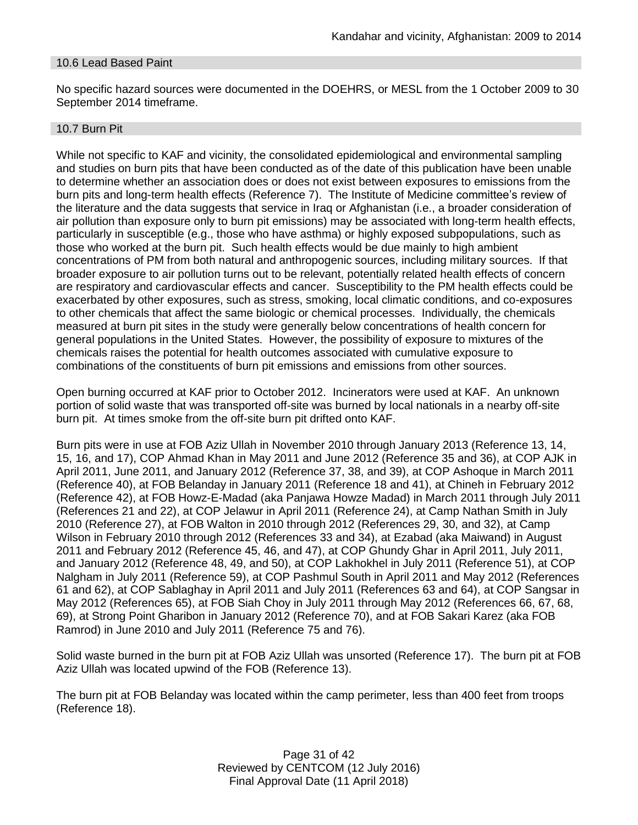## 10.6 Lead Based Paint

No specific hazard sources were documented in the DOEHRS, or MESL from the 1 October 2009 to 30 September 2014 timeframe.

#### 10.7 Burn Pit

While not specific to KAF and vicinity, the consolidated epidemiological and environmental sampling and studies on burn pits that have been conducted as of the date of this publication have been unable to determine whether an association does or does not exist between exposures to emissions from the burn pits and long-term health effects (Reference 7). The Institute of Medicine committee's review of the literature and the data suggests that service in Iraq or Afghanistan (i.e., a broader consideration of air pollution than exposure only to burn pit emissions) may be associated with long-term health effects, particularly in susceptible (e.g., those who have asthma) or highly exposed subpopulations, such as those who worked at the burn pit. Such health effects would be due mainly to high ambient concentrations of PM from both natural and anthropogenic sources, including military sources. If that broader exposure to air pollution turns out to be relevant, potentially related health effects of concern are respiratory and cardiovascular effects and cancer. Susceptibility to the PM health effects could be exacerbated by other exposures, such as stress, smoking, local climatic conditions, and co-exposures to other chemicals that affect the same biologic or chemical processes. Individually, the chemicals measured at burn pit sites in the study were generally below concentrations of health concern for general populations in the United States. However, the possibility of exposure to mixtures of the chemicals raises the potential for health outcomes associated with cumulative exposure to combinations of the constituents of burn pit emissions and emissions from other sources.

Open burning occurred at KAF prior to October 2012. Incinerators were used at KAF. An unknown portion of solid waste that was transported off-site was burned by local nationals in a nearby off-site burn pit. At times smoke from the off-site burn pit drifted onto KAF.

Burn pits were in use at FOB Aziz Ullah in November 2010 through January 2013 (Reference 13, 14, 15, 16, and 17), COP Ahmad Khan in May 2011 and June 2012 (Reference 35 and 36), at COP AJK in April 2011, June 2011, and January 2012 (Reference 37, 38, and 39), at COP Ashoque in March 2011 (Reference 40), at FOB Belanday in January 2011 (Reference 18 and 41), at Chineh in February 2012 (Reference 42), at FOB Howz-E-Madad (aka Panjawa Howze Madad) in March 2011 through July 2011 (References 21 and 22), at COP Jelawur in April 2011 (Reference 24), at Camp Nathan Smith in July 2010 (Reference 27), at FOB Walton in 2010 through 2012 (References 29, 30, and 32), at Camp Wilson in February 2010 through 2012 (References 33 and 34), at Ezabad (aka Maiwand) in August 2011 and February 2012 (Reference 45, 46, and 47), at COP Ghundy Ghar in April 2011, July 2011, and January 2012 (Reference 48, 49, and 50), at COP Lakhokhel in July 2011 (Reference 51), at COP Nalgham in July 2011 (Reference 59), at COP Pashmul South in April 2011 and May 2012 (References 61 and 62), at COP Sablaghay in April 2011 and July 2011 (References 63 and 64), at COP Sangsar in May 2012 (References 65), at FOB Siah Choy in July 2011 through May 2012 (References 66, 67, 68, 69), at Strong Point Gharibon in January 2012 (Reference 70), and at FOB Sakari Karez (aka FOB Ramrod) in June 2010 and July 2011 (Reference 75 and 76).

Solid waste burned in the burn pit at FOB Aziz Ullah was unsorted (Reference 17). The burn pit at FOB Aziz Ullah was located upwind of the FOB (Reference 13).

The burn pit at FOB Belanday was located within the camp perimeter, less than 400 feet from troops (Reference 18).

> Page 31 of 42 Reviewed by CENTCOM (12 July 2016) Final Approval Date (11 April 2018)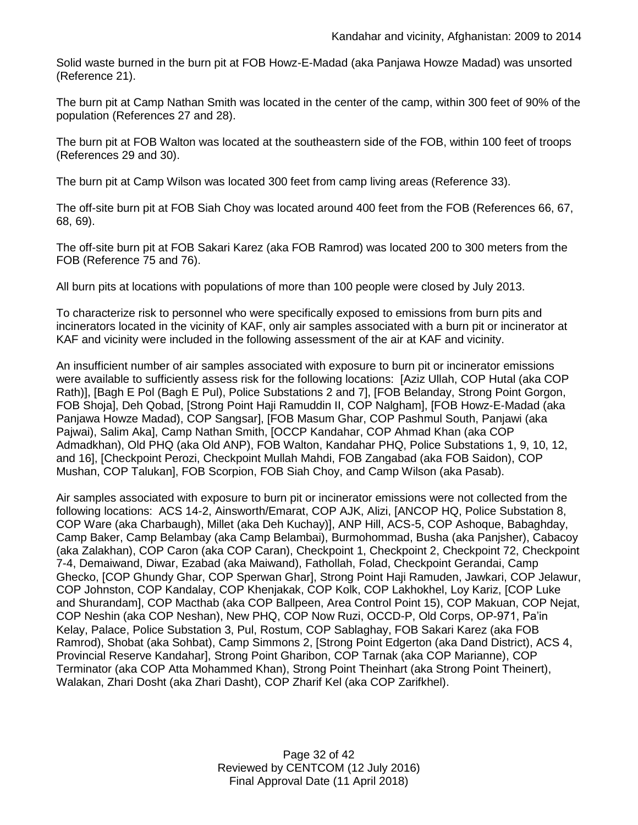Solid waste burned in the burn pit at FOB Howz-E-Madad (aka Panjawa Howze Madad) was unsorted (Reference 21).

The burn pit at Camp Nathan Smith was located in the center of the camp, within 300 feet of 90% of the population (References 27 and 28).

The burn pit at FOB Walton was located at the southeastern side of the FOB, within 100 feet of troops (References 29 and 30).

The burn pit at Camp Wilson was located 300 feet from camp living areas (Reference 33).

The off-site burn pit at FOB Siah Choy was located around 400 feet from the FOB (References 66, 67, 68, 69).

The off-site burn pit at FOB Sakari Karez (aka FOB Ramrod) was located 200 to 300 meters from the FOB (Reference 75 and 76).

All burn pits at locations with populations of more than 100 people were closed by July 2013.

To characterize risk to personnel who were specifically exposed to emissions from burn pits and incinerators located in the vicinity of KAF, only air samples associated with a burn pit or incinerator at KAF and vicinity were included in the following assessment of the air at KAF and vicinity.

An insufficient number of air samples associated with exposure to burn pit or incinerator emissions were available to sufficiently assess risk for the following locations: [Aziz Ullah, COP Hutal (aka COP Rath)], [Bagh E Pol (Bagh E Pul), Police Substations 2 and 7], [FOB Belanday, Strong Point Gorgon, FOB Shoja], Deh Qobad, [Strong Point Haji Ramuddin II, COP Nalgham], [FOB Howz-E-Madad (aka Panjawa Howze Madad), COP Sangsar], [FOB Masum Ghar, COP Pashmul South, Panjawi (aka Pajwai), Salim Aka], Camp Nathan Smith, [OCCP Kandahar, COP Ahmad Khan (aka COP Admadkhan), Old PHQ (aka Old ANP), FOB Walton, Kandahar PHQ, Police Substations 1, 9, 10, 12, and 16], [Checkpoint Perozi, Checkpoint Mullah Mahdi, FOB Zangabad (aka FOB Saidon), COP Mushan, COP Talukan], FOB Scorpion, FOB Siah Choy, and Camp Wilson (aka Pasab).

Air samples associated with exposure to burn pit or incinerator emissions were not collected from the following locations: ACS 14-2, Ainsworth/Emarat, COP AJK, Alizi, [ANCOP HQ, Police Substation 8, COP Ware (aka Charbaugh), Millet (aka Deh Kuchay)], ANP Hill, ACS-5, COP Ashoque, Babaghday, Camp Baker, Camp Belambay (aka Camp Belambai), Burmohommad, Busha (aka Panjsher), Cabacoy (aka Zalakhan), COP Caron (aka COP Caran), Checkpoint 1, Checkpoint 2, Checkpoint 72, Checkpoint 7-4, Demaiwand, Diwar, Ezabad (aka Maiwand), Fathollah, Folad, Checkpoint Gerandai, Camp Ghecko, [COP Ghundy Ghar, COP Sperwan Ghar], Strong Point Haji Ramuden, Jawkari, COP Jelawur, COP Johnston, COP Kandalay, COP Khenjakak, COP Kolk, COP Lakhokhel, Loy Kariz, [COP Luke and Shurandam], COP Macthab (aka COP Ballpeen, Area Control Point 15), COP Makuan, COP Nejat, COP Neshin (aka COP Neshan), New PHQ, COP Now Ruzi, OCCD-P, Old Corps, OP-971, Pa'in Kelay, Palace, Police Substation 3, Pul, Rostum, COP Sablaghay, FOB Sakari Karez (aka FOB Ramrod), Shobat (aka Sohbat), Camp Simmons 2, [Strong Point Edgerton (aka Dand District), ACS 4, Provincial Reserve Kandahar], Strong Point Gharibon, COP Tarnak (aka COP Marianne), COP Terminator (aka COP Atta Mohammed Khan), Strong Point Theinhart (aka Strong Point Theinert), Walakan, Zhari Dosht (aka Zhari Dasht), COP Zharif Kel (aka COP Zarifkhel).

> Page 32 of 42 Reviewed by CENTCOM (12 July 2016) Final Approval Date (11 April 2018)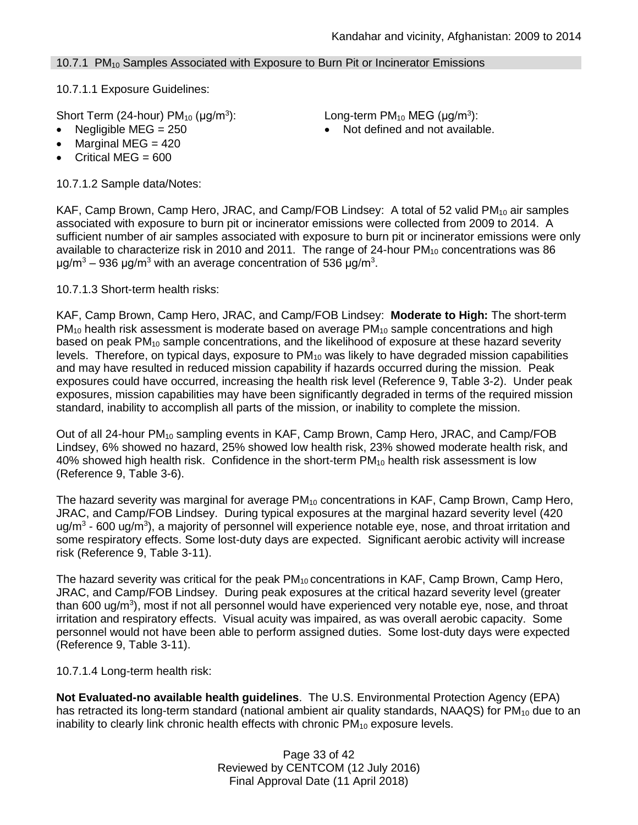# 10.7.1  $PM_{10}$  Samples Associated with Exposure to Burn Pit or Incinerator Emissions

10.7.1.1 Exposure Guidelines:

Short Term (24-hour)  $PM_{10}$  ( $\mu$ g/m<sup>3</sup>):

- 
- Marginal MEG  $= 420$
- Critical MEG =  $600$

10.7.1.2 Sample data/Notes:

): Long-term PM<sub>10</sub> MEG ( $\mu$ g/m<sup>3</sup>):

• Negligible MEG = 250 **a** Not defined and not available.

KAF, Camp Brown, Camp Hero, JRAC, and Camp/FOB Lindsey: A total of 52 valid  $PM_{10}$  air samples associated with exposure to burn pit or incinerator emissions were collected from 2009 to 2014. A sufficient number of air samples associated with exposure to burn pit or incinerator emissions were only available to characterize risk in 2010 and 2011. The range of 24-hour  $PM_{10}$  concentrations was 86 μg/m<sup>3</sup> – 936 μg/m<sup>3</sup> with an average concentration of 536 μg/m<sup>3</sup>.

10.7.1.3 Short-term health risks:

KAF, Camp Brown, Camp Hero, JRAC, and Camp/FOB Lindsey: **Moderate to High:** The short-term  $PM_{10}$  health risk assessment is moderate based on average  $PM_{10}$  sample concentrations and high based on peak  $PM_{10}$  sample concentrations, and the likelihood of exposure at these hazard severity levels. Therefore, on typical days, exposure to  $PM_{10}$  was likely to have degraded mission capabilities and may have resulted in reduced mission capability if hazards occurred during the mission. Peak exposures could have occurred, increasing the health risk level (Reference 9, Table 3-2). Under peak exposures, mission capabilities may have been significantly degraded in terms of the required mission standard, inability to accomplish all parts of the mission, or inability to complete the mission.

Out of all 24-hour PM<sub>10</sub> sampling events in KAF, Camp Brown, Camp Hero, JRAC, and Camp/FOB Lindsey, 6% showed no hazard, 25% showed low health risk, 23% showed moderate health risk, and 40% showed high health risk. Confidence in the short-term  $PM_{10}$  health risk assessment is low (Reference 9, Table 3-6).

The hazard severity was marginal for average  $PM_{10}$  concentrations in KAF, Camp Brown, Camp Hero, JRAC, and Camp/FOB Lindsey. During typical exposures at the marginal hazard severity level (420 ug/m<sup>3</sup> - 600 ug/m<sup>3</sup>), a majority of personnel will experience notable eye, nose, and throat irritation and some respiratory effects. Some lost-duty days are expected. Significant aerobic activity will increase risk (Reference 9, Table 3-11).

The hazard severity was critical for the peak PM<sub>10</sub> concentrations in KAF, Camp Brown, Camp Hero, JRAC, and Camp/FOB Lindsey. During peak exposures at the critical hazard severity level (greater than 600 ug/m<sup>3</sup>), most if not all personnel would have experienced very notable eye, nose, and throat irritation and respiratory effects. Visual acuity was impaired, as was overall aerobic capacity. Some personnel would not have been able to perform assigned duties. Some lost-duty days were expected (Reference 9, Table 3-11).

10.7.1.4 Long-term health risk:

**Not Evaluated-no available health guidelines**. The U.S. Environmental Protection Agency (EPA) has retracted its long-term standard (national ambient air quality standards, NAAQS) for  $PM_{10}$  due to an inability to clearly link chronic health effects with chronic  $PM_{10}$  exposure levels.

> Page 33 of 42 Reviewed by CENTCOM (12 July 2016) Final Approval Date (11 April 2018)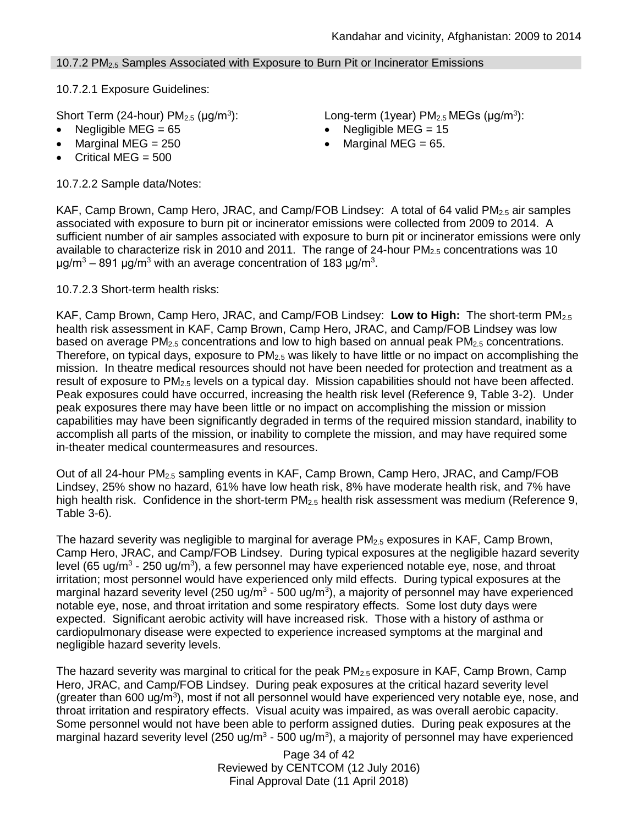# 10.7.2 PM<sub>2.5</sub> Samples Associated with Exposure to Burn Pit or Incinerator Emissions

10.7.2.1 Exposure Guidelines:

Short Term (24-hour)  $PM<sub>2.5</sub>$  ( $\mu$ g/m<sup>3</sup>):

- 
- 
- Critical MEG  $= 500$

10.7.2.2 Sample data/Notes:

): Long-term (1year)  $PM_{2.5}$  MEGs ( $\mu$ g/m<sup>3</sup>):

- Negligible MEG = 65 Negligible MEG = 15
	- Marginal MEG =  $250$   $\bullet$  Marginal MEG =  $65$ .

KAF, Camp Brown, Camp Hero, JRAC, and Camp/FOB Lindsey: A total of 64 valid  $PM_{2.5}$  air samples associated with exposure to burn pit or incinerator emissions were collected from 2009 to 2014. A sufficient number of air samples associated with exposure to burn pit or incinerator emissions were only available to characterize risk in 2010 and 2011. The range of 24-hour  $PM_{2.5}$  concentrations was 10 μg/m<sup>3</sup> – 891 μg/m<sup>3</sup> with an average concentration of 183 μg/m<sup>3</sup>.

10.7.2.3 Short-term health risks:

KAF, Camp Brown, Camp Hero, JRAC, and Camp/FOB Lindsey: **Low to High:** The short-term PM2.5 health risk assessment in KAF, Camp Brown, Camp Hero, JRAC, and Camp/FOB Lindsey was low based on average  $PM_{2.5}$  concentrations and low to high based on annual peak  $PM_{2.5}$  concentrations. Therefore, on typical days, exposure to  $PM<sub>2.5</sub>$  was likely to have little or no impact on accomplishing the mission. In theatre medical resources should not have been needed for protection and treatment as a result of exposure to  $PM<sub>2.5</sub>$  levels on a typical day. Mission capabilities should not have been affected. Peak exposures could have occurred, increasing the health risk level (Reference 9, Table 3-2). Under peak exposures there may have been little or no impact on accomplishing the mission or mission capabilities may have been significantly degraded in terms of the required mission standard, inability to accomplish all parts of the mission, or inability to complete the mission, and may have required some in-theater medical countermeasures and resources.

Out of all 24-hour PM2.5 sampling events in KAF, Camp Brown, Camp Hero, JRAC, and Camp/FOB Lindsey, 25% show no hazard, 61% have low heath risk, 8% have moderate health risk, and 7% have high health risk. Confidence in the short-term  $PM<sub>2.5</sub>$  health risk assessment was medium (Reference 9, Table 3-6).

The hazard severity was negligible to marginal for average  $PM_{2.5}$  exposures in KAF, Camp Brown, Camp Hero, JRAC, and Camp/FOB Lindsey. During typical exposures at the negligible hazard severity level (65 ug/m<sup>3</sup> - 250 ug/m<sup>3</sup>), a few personnel may have experienced notable eye, nose, and throat irritation; most personnel would have experienced only mild effects. During typical exposures at the marginal hazard severity level (250 ug/m<sup>3</sup> - 500 ug/m<sup>3</sup>), a majority of personnel may have experienced notable eye, nose, and throat irritation and some respiratory effects. Some lost duty days were expected. Significant aerobic activity will have increased risk. Those with a history of asthma or cardiopulmonary disease were expected to experience increased symptoms at the marginal and negligible hazard severity levels.

The hazard severity was marginal to critical for the peak PM2.5 exposure in KAF, Camp Brown, Camp Hero, JRAC, and Camp/FOB Lindsey. During peak exposures at the critical hazard severity level (greater than 600 ug/m<sup>3</sup>), most if not all personnel would have experienced very notable eye, nose, and throat irritation and respiratory effects. Visual acuity was impaired, as was overall aerobic capacity. Some personnel would not have been able to perform assigned duties. During peak exposures at the marginal hazard severity level (250 ug/m<sup>3</sup> - 500 ug/m<sup>3</sup>), a majority of personnel may have experienced

> Page 34 of 42 Reviewed by CENTCOM (12 July 2016) Final Approval Date (11 April 2018)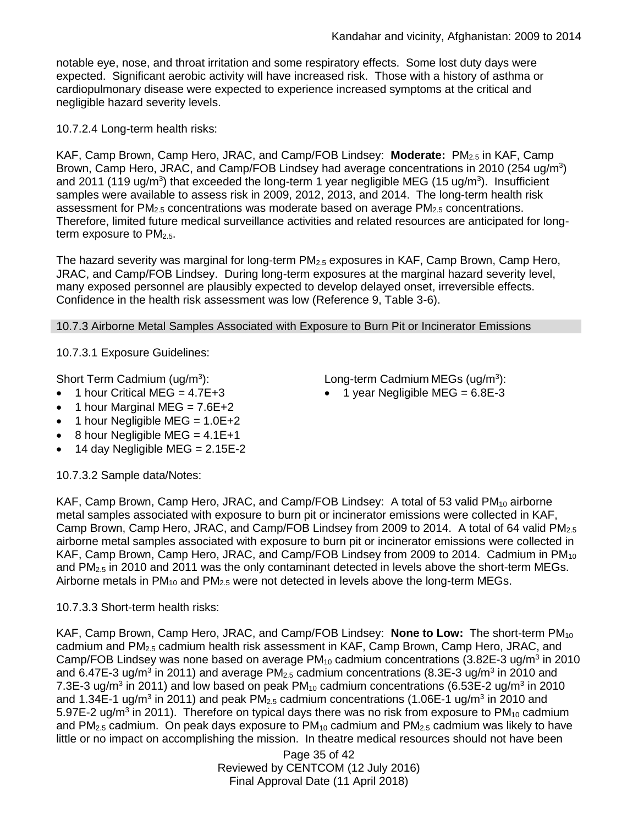notable eye, nose, and throat irritation and some respiratory effects. Some lost duty days were expected. Significant aerobic activity will have increased risk. Those with a history of asthma or cardiopulmonary disease were expected to experience increased symptoms at the critical and negligible hazard severity levels.

10.7.2.4 Long-term health risks:

KAF, Camp Brown, Camp Hero, JRAC, and Camp/FOB Lindsey: **Moderate:** PM2.5 in KAF, Camp Brown, Camp Hero, JRAC, and Camp/FOB Lindsey had average concentrations in 2010 (254 ug/m<sup>3</sup>) and 2011 (119 ug/m<sup>3</sup>) that exceeded the long-term 1 year negligible MEG (15 ug/m<sup>3</sup>). Insufficient samples were available to assess risk in 2009, 2012, 2013, and 2014. The long-term health risk assessment for  $PM_{2.5}$  concentrations was moderate based on average  $PM_{2.5}$  concentrations. Therefore, limited future medical surveillance activities and related resources are anticipated for longterm exposure to  $PM<sub>2.5</sub>$ .

The hazard severity was marginal for long-term PM<sub>2.5</sub> exposures in KAF, Camp Brown, Camp Hero, JRAC, and Camp/FOB Lindsey. During long-term exposures at the marginal hazard severity level, many exposed personnel are plausibly expected to develop delayed onset, irreversible effects. Confidence in the health risk assessment was low (Reference 9, Table 3-6).

10.7.3 Airborne Metal Samples Associated with Exposure to Burn Pit or Incinerator Emissions

10.7.3.1 Exposure Guidelines:

Short Term Cadmium ( $uq/m<sup>3</sup>$ ):

- $\bullet$  1 hour Critical MEG = 4.7E+3
- 1 hour Marginal MEG =  $7.6E+2$
- 1 hour Negligible MEG =  $1.0E+2$
- 8 hour Negligible MEG =  $4.1E+1$
- 14 day Negligible MEG =  $2.15E-2$

10.7.3.2 Sample data/Notes:

KAF, Camp Brown, Camp Hero, JRAC, and Camp/FOB Lindsey: A total of 53 valid  $PM_{10}$  airborne metal samples associated with exposure to burn pit or incinerator emissions were collected in KAF, Camp Brown, Camp Hero, JRAC, and Camp/FOB Lindsey from 2009 to 2014. A total of 64 valid PM<sub>2.5</sub> airborne metal samples associated with exposure to burn pit or incinerator emissions were collected in KAF, Camp Brown, Camp Hero, JRAC, and Camp/FOB Lindsey from 2009 to 2014. Cadmium in  $PM_{10}$ and PM<sub>2.5</sub> in 2010 and 2011 was the only contaminant detected in levels above the short-term MEGs. Airborne metals in  $PM_{10}$  and  $PM_{2.5}$  were not detected in levels above the long-term MEGs.

# 10.7.3.3 Short-term health risks:

KAF, Camp Brown, Camp Hero, JRAC, and Camp/FOB Lindsey: None to Low: The short-term PM<sub>10</sub> cadmium and PM2.5 cadmium health risk assessment in KAF, Camp Brown, Camp Hero, JRAC, and Camp/FOB Lindsey was none based on average  $PM_{10}$  cadmium concentrations (3.82E-3 ug/m<sup>3</sup> in 2010 and 6.47E-3 ug/m<sup>3</sup> in 2011) and average PM<sub>2.5</sub> cadmium concentrations (8.3E-3 ug/m<sup>3</sup> in 2010 and 7.3E-3 ug/m<sup>3</sup> in 2011) and low based on peak PM<sub>10</sub> cadmium concentrations (6.53E-2 ug/m<sup>3</sup> in 2010 and 1.34E-1 ug/m<sup>3</sup> in 2011) and peak PM<sub>2.5</sub> cadmium concentrations (1.06E-1 ug/m<sup>3</sup> in 2010 and 5.97E-2 ug/m<sup>3</sup> in 2011). Therefore on typical days there was no risk from exposure to PM<sub>10</sub> cadmium and  $PM<sub>2.5</sub>$  cadmium. On peak days exposure to  $PM<sub>10</sub>$  cadmium and  $PM<sub>2.5</sub>$  cadmium was likely to have little or no impact on accomplishing the mission. In theatre medical resources should not have been

> Page 35 of 42 Reviewed by CENTCOM (12 July 2016) Final Approval Date (11 April 2018)

): Long-term Cadmium MEGs (ug/m<sup>3</sup> ):

• 1 year Negligible MEG =  $6.8E-3$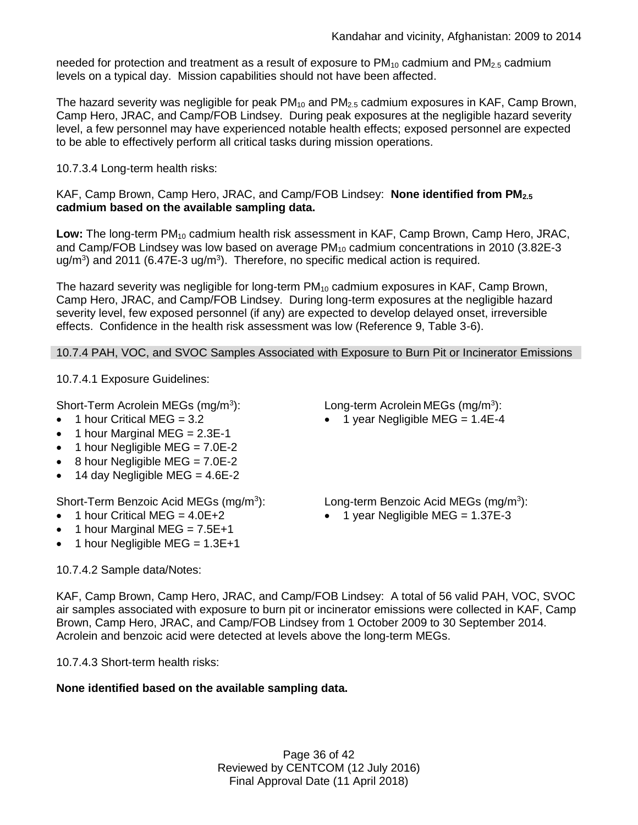needed for protection and treatment as a result of exposure to  $PM_{10}$  cadmium and  $PM_{2.5}$  cadmium levels on a typical day. Mission capabilities should not have been affected.

The hazard severity was negligible for peak  $PM_{10}$  and  $PM_{2.5}$  cadmium exposures in KAF, Camp Brown, Camp Hero, JRAC, and Camp/FOB Lindsey. During peak exposures at the negligible hazard severity level, a few personnel may have experienced notable health effects; exposed personnel are expected to be able to effectively perform all critical tasks during mission operations.

# 10.7.3.4 Long-term health risks:

KAF, Camp Brown, Camp Hero, JRAC, and Camp/FOB Lindsey: **None identified from PM2.5 cadmium based on the available sampling data.**

Low: The long-term PM<sub>10</sub> cadmium health risk assessment in KAF, Camp Brown, Camp Hero, JRAC, and Camp/FOB Lindsey was low based on average PM<sub>10</sub> cadmium concentrations in 2010 (3.82E-3 ug/m<sup>3</sup>) and 2011 (6.47E-3 ug/m<sup>3</sup>). Therefore, no specific medical action is required.

The hazard severity was negligible for long-term PM<sub>10</sub> cadmium exposures in KAF, Camp Brown, Camp Hero, JRAC, and Camp/FOB Lindsey. During long-term exposures at the negligible hazard severity level, few exposed personnel (if any) are expected to develop delayed onset, irreversible effects. Confidence in the health risk assessment was low (Reference 9, Table 3-6).

10.7.4 PAH, VOC, and SVOC Samples Associated with Exposure to Burn Pit or Incinerator Emissions

10.7.4.1 Exposure Guidelines:

Short-Term Acrolein MEGs (mg/m<sup>3</sup>):

- 1 hour Critical MEG = 3.2
- 1 hour Marginal MEG = 2.3E-1
- 1 hour Negligible MEG =  $7.0E-2$
- $\bullet$  8 hour Negligible MEG = 7.0E-2
- 14 day Negligible MEG =  $4.6E-2$

Short-Term Benzoic Acid MEGs (mg/m<sup>3</sup>):

- $\bullet$  1 hour Critical MEG = 4.0E+2
- 1 hour Marginal MEG =  $7.5E+1$
- 1 hour Negligible MEG =  $1.3E+1$

# 10.7.4.2 Sample data/Notes:

): Long-term Acrolein MEGs (mg/m<sup>3</sup> ):

 $\bullet$  1 year Negligible MEG = 1.4E-4

): Long-term Benzoic Acid MEGs (mg/m<sup>3</sup> ):

• 1 year Negligible MEG =  $1.37E-3$ 

KAF, Camp Brown, Camp Hero, JRAC, and Camp/FOB Lindsey: A total of 56 valid PAH, VOC, SVOC air samples associated with exposure to burn pit or incinerator emissions were collected in KAF, Camp Brown, Camp Hero, JRAC, and Camp/FOB Lindsey from 1 October 2009 to 30 September 2014. Acrolein and benzoic acid were detected at levels above the long-term MEGs.

10.7.4.3 Short-term health risks:

# **None identified based on the available sampling data.**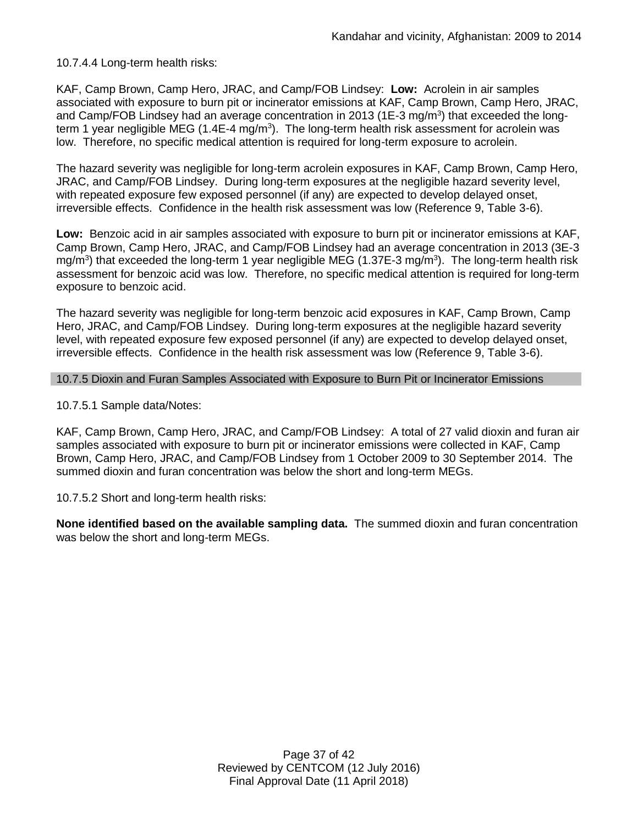# 10.7.4.4 Long-term health risks:

KAF, Camp Brown, Camp Hero, JRAC, and Camp/FOB Lindsey: **Low:** Acrolein in air samples associated with exposure to burn pit or incinerator emissions at KAF, Camp Brown, Camp Hero, JRAC, and Camp/FOB Lindsey had an average concentration in 2013 (1E-3 mg/m<sup>3</sup>) that exceeded the longterm 1 year negligible MEG (1.4E-4 mg/m<sup>3</sup>). The long-term health risk assessment for acrolein was low. Therefore, no specific medical attention is required for long-term exposure to acrolein.

The hazard severity was negligible for long-term acrolein exposures in KAF, Camp Brown, Camp Hero, JRAC, and Camp/FOB Lindsey. During long-term exposures at the negligible hazard severity level, with repeated exposure few exposed personnel (if any) are expected to develop delayed onset, irreversible effects. Confidence in the health risk assessment was low (Reference 9, Table 3-6).

**Low:** Benzoic acid in air samples associated with exposure to burn pit or incinerator emissions at KAF, Camp Brown, Camp Hero, JRAC, and Camp/FOB Lindsey had an average concentration in 2013 (3E-3 mg/m<sup>3</sup>) that exceeded the long-term 1 year negligible MEG (1.37E-3 mg/m<sup>3</sup>). The long-term health risk assessment for benzoic acid was low. Therefore, no specific medical attention is required for long-term exposure to benzoic acid.

The hazard severity was negligible for long-term benzoic acid exposures in KAF, Camp Brown, Camp Hero, JRAC, and Camp/FOB Lindsey. During long-term exposures at the negligible hazard severity level, with repeated exposure few exposed personnel (if any) are expected to develop delayed onset, irreversible effects. Confidence in the health risk assessment was low (Reference 9, Table 3-6).

## 10.7.5 Dioxin and Furan Samples Associated with Exposure to Burn Pit or Incinerator Emissions

10.7.5.1 Sample data/Notes:

KAF, Camp Brown, Camp Hero, JRAC, and Camp/FOB Lindsey: A total of 27 valid dioxin and furan air samples associated with exposure to burn pit or incinerator emissions were collected in KAF, Camp Brown, Camp Hero, JRAC, and Camp/FOB Lindsey from 1 October 2009 to 30 September 2014. The summed dioxin and furan concentration was below the short and long-term MEGs.

10.7.5.2 Short and long-term health risks:

**None identified based on the available sampling data.** The summed dioxin and furan concentration was below the short and long-term MEGs.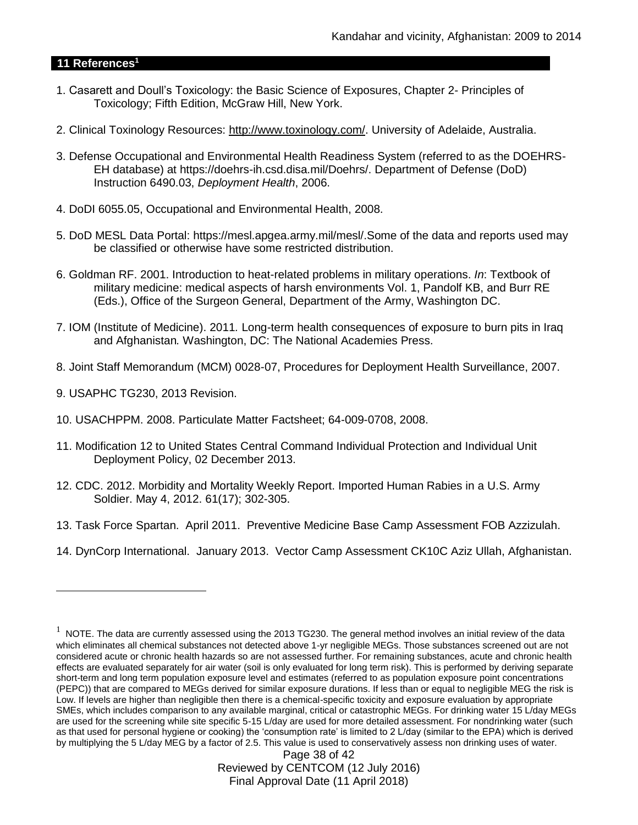#### **11 References<sup>1</sup>**

- 1. Casarett and Doull's Toxicology: the Basic Science of Exposures, Chapter 2- Principles of Toxicology; Fifth Edition, McGraw Hill, New York.
- 2. Clinical Toxinology Resources: [http://www.toxinology.com/.](http://www.toxinology.com/) University of Adelaide, Australia.
- 3. Defense Occupational and Environmental Health Readiness System (referred to as the DOEHRS-EH database) at https://doehrs-ih.csd.disa.mil/Doehrs/. Department of Defense (DoD) Instruction 6490.03, *Deployment Health*, 2006.
- 4. DoDI 6055.05, Occupational and Environmental Health, 2008.
- 5. DoD MESL Data Portal: https://mesl.apgea.army.mil/mesl/.Some of the data and reports used may be classified or otherwise have some restricted distribution.
- 6. Goldman RF. 2001. Introduction to heat-related problems in military operations. *In*: Textbook of military medicine: medical aspects of harsh environments Vol. 1, Pandolf KB, and Burr RE (Eds.), Office of the Surgeon General, Department of the Army, Washington DC.
- 7. IOM (Institute of Medicine). 2011*.* Long-term health consequences of exposure to burn pits in Iraq and Afghanistan*.* Washington, DC: The National Academies Press.
- 8. Joint Staff Memorandum (MCM) 0028-07, Procedures for Deployment Health Surveillance, 2007.
- 9. USAPHC TG230, 2013 Revision.

 $\overline{a}$ 

- 10. USACHPPM. 2008. Particulate Matter Factsheet; 64-009-0708, 2008.
- 11. Modification 12 to United States Central Command Individual Protection and Individual Unit Deployment Policy, 02 December 2013.
- 12. CDC. 2012. Morbidity and Mortality Weekly Report. Imported Human Rabies in a U.S. Army Soldier. May 4, 2012. 61(17); 302-305.
- 13. Task Force Spartan. April 2011. Preventive Medicine Base Camp Assessment FOB Azzizulah.
- 14. DynCorp International. January 2013. Vector Camp Assessment CK10C Aziz Ullah, Afghanistan.

Page 38 of 42 Reviewed by CENTCOM (12 July 2016) Final Approval Date (11 April 2018)

 $1$  NOTE. The data are currently assessed using the 2013 TG230. The general method involves an initial review of the data which eliminates all chemical substances not detected above 1-yr negligible MEGs. Those substances screened out are not considered acute or chronic health hazards so are not assessed further. For remaining substances, acute and chronic health effects are evaluated separately for air water (soil is only evaluated for long term risk). This is performed by deriving separate short-term and long term population exposure level and estimates (referred to as population exposure point concentrations (PEPC)) that are compared to MEGs derived for similar exposure durations. If less than or equal to negligible MEG the risk is Low. If levels are higher than negligible then there is a chemical-specific toxicity and exposure evaluation by appropriate SMEs, which includes comparison to any available marginal, critical or catastrophic MEGs. For drinking water 15 L/day MEGs are used for the screening while site specific 5-15 L/day are used for more detailed assessment. For nondrinking water (such as that used for personal hygiene or cooking) the 'consumption rate' is limited to 2 L/day (similar to the EPA) which is derived by multiplying the 5 L/day MEG by a factor of 2.5. This value is used to conservatively assess non drinking uses of water.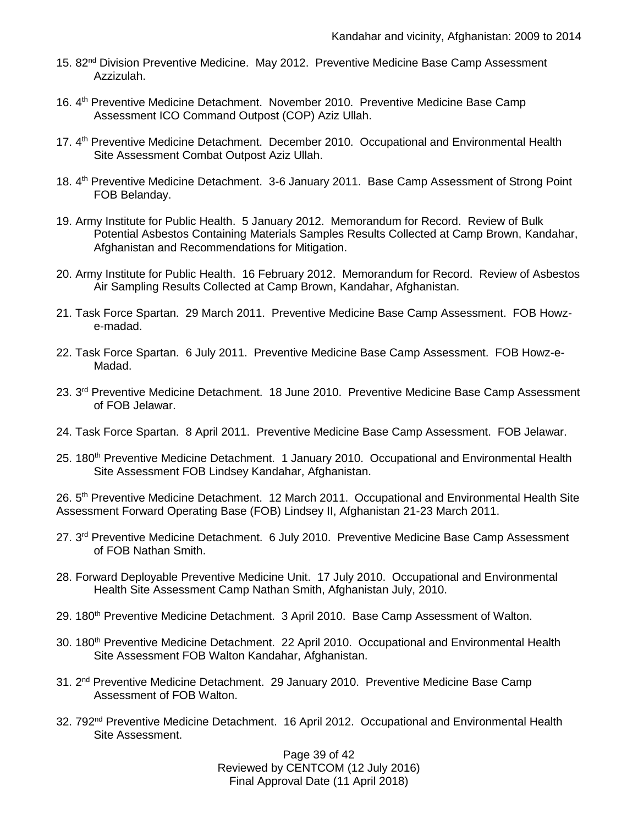- 15. 82<sup>nd</sup> Division Preventive Medicine. May 2012. Preventive Medicine Base Camp Assessment Azzizulah.
- 16. 4th Preventive Medicine Detachment. November 2010. Preventive Medicine Base Camp Assessment ICO Command Outpost (COP) Aziz Ullah.
- 17. 4<sup>th</sup> Preventive Medicine Detachment. December 2010. Occupational and Environmental Health Site Assessment Combat Outpost Aziz Ullah.
- 18. 4<sup>th</sup> Preventive Medicine Detachment. 3-6 January 2011. Base Camp Assessment of Strong Point FOB Belanday.
- 19. Army Institute for Public Health. 5 January 2012. Memorandum for Record. Review of Bulk Potential Asbestos Containing Materials Samples Results Collected at Camp Brown, Kandahar, Afghanistan and Recommendations for Mitigation.
- 20. Army Institute for Public Health. 16 February 2012. Memorandum for Record. Review of Asbestos Air Sampling Results Collected at Camp Brown, Kandahar, Afghanistan.
- 21. Task Force Spartan. 29 March 2011. Preventive Medicine Base Camp Assessment. FOB Howze-madad.
- 22. Task Force Spartan. 6 July 2011. Preventive Medicine Base Camp Assessment. FOB Howz-e-Madad.
- 23. 3<sup>rd</sup> Preventive Medicine Detachment. 18 June 2010. Preventive Medicine Base Camp Assessment of FOB Jelawar.
- 24. Task Force Spartan. 8 April 2011. Preventive Medicine Base Camp Assessment. FOB Jelawar.
- 25. 180<sup>th</sup> Preventive Medicine Detachment. 1 January 2010. Occupational and Environmental Health Site Assessment FOB Lindsey Kandahar, Afghanistan.

26. 5<sup>th</sup> Preventive Medicine Detachment. 12 March 2011. Occupational and Environmental Health Site Assessment Forward Operating Base (FOB) Lindsey II, Afghanistan 21-23 March 2011.

- 27. 3<sup>rd</sup> Preventive Medicine Detachment. 6 July 2010. Preventive Medicine Base Camp Assessment of FOB Nathan Smith.
- 28. Forward Deployable Preventive Medicine Unit. 17 July 2010. Occupational and Environmental Health Site Assessment Camp Nathan Smith, Afghanistan July, 2010.
- 29. 180<sup>th</sup> Preventive Medicine Detachment. 3 April 2010. Base Camp Assessment of Walton.
- 30. 180<sup>th</sup> Preventive Medicine Detachment. 22 April 2010. Occupational and Environmental Health Site Assessment FOB Walton Kandahar, Afghanistan.
- 31. 2<sup>nd</sup> Preventive Medicine Detachment. 29 January 2010. Preventive Medicine Base Camp Assessment of FOB Walton.
- 32. 792<sup>nd</sup> Preventive Medicine Detachment. 16 April 2012. Occupational and Environmental Health Site Assessment.

Page 39 of 42 Reviewed by CENTCOM (12 July 2016) Final Approval Date (11 April 2018)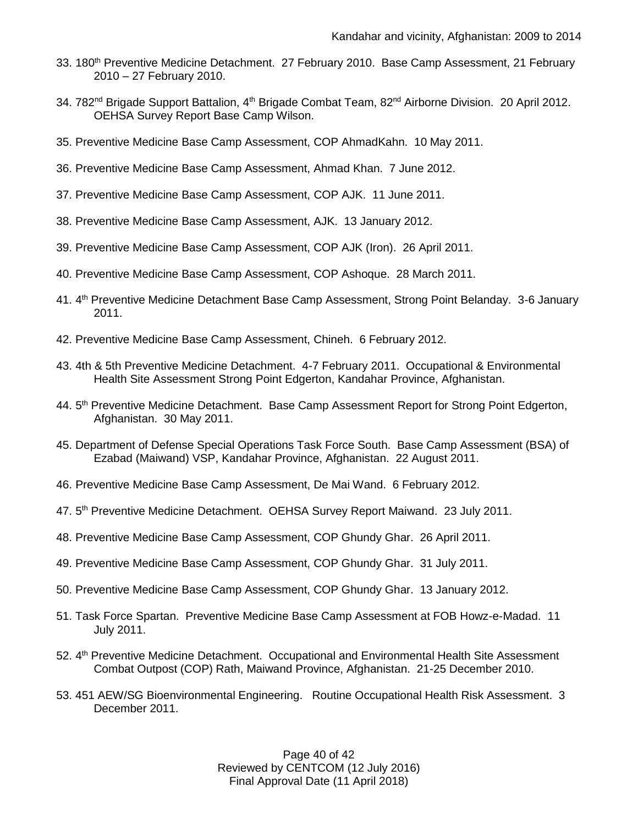- 33. 180<sup>th</sup> Preventive Medicine Detachment. 27 February 2010. Base Camp Assessment, 21 February 2010 – 27 February 2010.
- 34. 782<sup>nd</sup> Brigade Support Battalion, 4<sup>th</sup> Brigade Combat Team, 82<sup>nd</sup> Airborne Division. 20 April 2012. OEHSA Survey Report Base Camp Wilson.
- 35. Preventive Medicine Base Camp Assessment, COP AhmadKahn. 10 May 2011.
- 36. Preventive Medicine Base Camp Assessment, Ahmad Khan. 7 June 2012.
- 37. Preventive Medicine Base Camp Assessment, COP AJK. 11 June 2011.
- 38. Preventive Medicine Base Camp Assessment, AJK. 13 January 2012.
- 39. Preventive Medicine Base Camp Assessment, COP AJK (Iron). 26 April 2011.
- 40. Preventive Medicine Base Camp Assessment, COP Ashoque. 28 March 2011.
- 41. 4th Preventive Medicine Detachment Base Camp Assessment, Strong Point Belanday. 3-6 January 2011.
- 42. Preventive Medicine Base Camp Assessment, Chineh. 6 February 2012.
- 43. 4th & 5th Preventive Medicine Detachment. 4-7 February 2011. Occupational & Environmental Health Site Assessment Strong Point Edgerton, Kandahar Province, Afghanistan.
- 44. 5<sup>th</sup> Preventive Medicine Detachment. Base Camp Assessment Report for Strong Point Edgerton, Afghanistan. 30 May 2011.
- 45. Department of Defense Special Operations Task Force South. Base Camp Assessment (BSA) of Ezabad (Maiwand) VSP, Kandahar Province, Afghanistan. 22 August 2011.
- 46. Preventive Medicine Base Camp Assessment, De Mai Wand. 6 February 2012.
- 47. 5th Preventive Medicine Detachment. OEHSA Survey Report Maiwand. 23 July 2011.
- 48. Preventive Medicine Base Camp Assessment, COP Ghundy Ghar. 26 April 2011.
- 49. Preventive Medicine Base Camp Assessment, COP Ghundy Ghar. 31 July 2011.
- 50. Preventive Medicine Base Camp Assessment, COP Ghundy Ghar. 13 January 2012.
- 51. Task Force Spartan. Preventive Medicine Base Camp Assessment at FOB Howz-e-Madad. 11 July 2011.
- 52. 4<sup>th</sup> Preventive Medicine Detachment. Occupational and Environmental Health Site Assessment Combat Outpost (COP) Rath, Maiwand Province, Afghanistan. 21-25 December 2010.
- 53. 451 AEW/SG Bioenvironmental Engineering. Routine Occupational Health Risk Assessment. 3 December 2011.

Page 40 of 42 Reviewed by CENTCOM (12 July 2016) Final Approval Date (11 April 2018)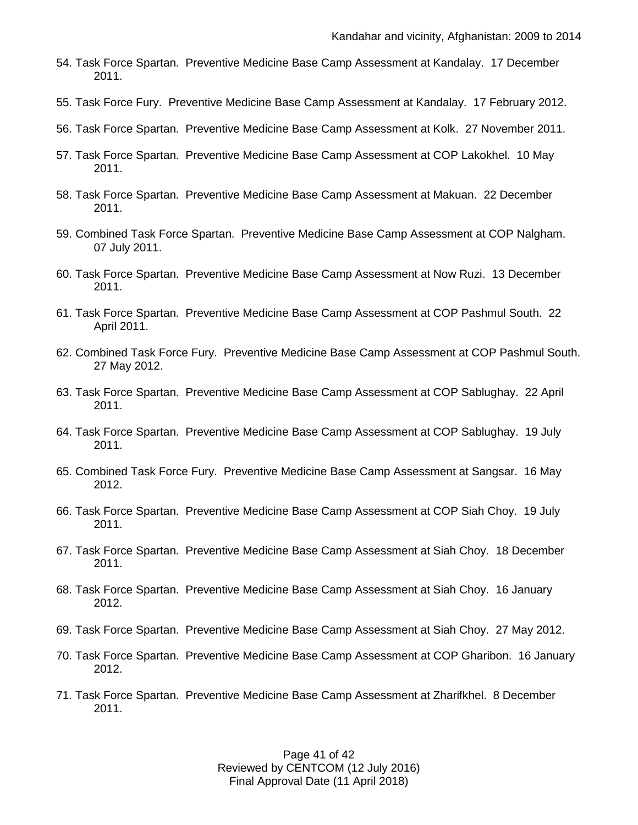- 54. Task Force Spartan. Preventive Medicine Base Camp Assessment at Kandalay. 17 December 2011.
- 55. Task Force Fury. Preventive Medicine Base Camp Assessment at Kandalay. 17 February 2012.
- 56. Task Force Spartan. Preventive Medicine Base Camp Assessment at Kolk. 27 November 2011.
- 57. Task Force Spartan. Preventive Medicine Base Camp Assessment at COP Lakokhel. 10 May 2011.
- 58. Task Force Spartan. Preventive Medicine Base Camp Assessment at Makuan. 22 December 2011.
- 59. Combined Task Force Spartan. Preventive Medicine Base Camp Assessment at COP Nalgham. 07 July 2011.
- 60. Task Force Spartan. Preventive Medicine Base Camp Assessment at Now Ruzi. 13 December 2011.
- 61. Task Force Spartan. Preventive Medicine Base Camp Assessment at COP Pashmul South. 22 April 2011.
- 62. Combined Task Force Fury. Preventive Medicine Base Camp Assessment at COP Pashmul South. 27 May 2012.
- 63. Task Force Spartan. Preventive Medicine Base Camp Assessment at COP Sablughay. 22 April 2011.
- 64. Task Force Spartan. Preventive Medicine Base Camp Assessment at COP Sablughay. 19 July 2011.
- 65. Combined Task Force Fury. Preventive Medicine Base Camp Assessment at Sangsar. 16 May 2012.
- 66. Task Force Spartan. Preventive Medicine Base Camp Assessment at COP Siah Choy. 19 July 2011.
- 67. Task Force Spartan. Preventive Medicine Base Camp Assessment at Siah Choy. 18 December 2011.
- 68. Task Force Spartan. Preventive Medicine Base Camp Assessment at Siah Choy. 16 January 2012.
- 69. Task Force Spartan. Preventive Medicine Base Camp Assessment at Siah Choy. 27 May 2012.
- 70. Task Force Spartan. Preventive Medicine Base Camp Assessment at COP Gharibon. 16 January 2012.
- 71. Task Force Spartan. Preventive Medicine Base Camp Assessment at Zharifkhel. 8 December 2011.

Page 41 of 42 Reviewed by CENTCOM (12 July 2016) Final Approval Date (11 April 2018)